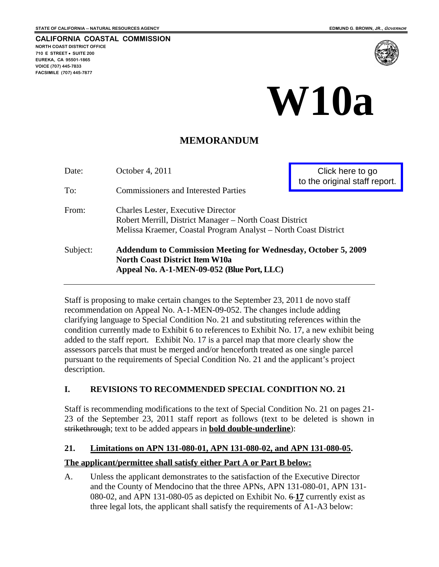**CALIFORNIA COASTAL COMMISSION NORTH COAST DISTRICT OFFICE 710 E STREET** • **SUITE 200 EUREKA, CA 95501-1865 VOICE (707) 445-7833 FACSIMILE (707) 445-7877** 



# **W10a**

### **MEMORANDUM**

| Date:    | October 4, 2011                                                                                                                                                         | Click here to go<br>to the original staff report. |  |
|----------|-------------------------------------------------------------------------------------------------------------------------------------------------------------------------|---------------------------------------------------|--|
| To:      | <b>Commissioners and Interested Parties</b>                                                                                                                             |                                                   |  |
| From:    | <b>Charles Lester, Executive Director</b><br>Robert Merrill, District Manager - North Coast District<br>Melissa Kraemer, Coastal Program Analyst - North Coast District |                                                   |  |
| Subject: | <b>Addendum to Commission Meeting for Wednesday, October 5, 2009</b><br><b>North Coast District Item W10a</b><br>Appeal No. A-1-MEN-09-052 (Blue Port, LLC)             |                                                   |  |

Staff is proposing to make certain changes to the September 23, 2011 de novo staff recommendation on Appeal No. A-1-MEN-09-052. The changes include adding clarifying language to Special Condition No. 21 and substituting references within the condition currently made to Exhibit 6 to references to Exhibit No. 17, a new exhibit being added to the staff report. Exhibit No. 17 is a parcel map that more clearly show the assessors parcels that must be merged and/or henceforth treated as one single parcel pursuant to the requirements of Special Condition No. 21 and the applicant's project description.

#### **I. REVISIONS TO RECOMMENDED SPECIAL CONDITION NO. 21**

Staff is recommending modifications to the text of Special Condition No. 21 on pages 21- 23 of the September 23, 2011 staff report as follows (text to be deleted is shown in strikethrough; text to be added appears in **bold double-underline**):

#### **21. Limitations on APN 131-080-01, APN 131-080-02, and APN 131-080-05.**

#### **The applicant/permittee shall satisfy either Part A or Part B below:**

A. Unless the applicant demonstrates to the satisfaction of the Executive Director and the County of Mendocino that the three APNs, APN 131-080-01, APN 131- 080-02, and APN 131-080-05 as depicted on Exhibit No. 6 **17** currently exist as three legal lots, the applicant shall satisfy the requirements of A1-A3 below: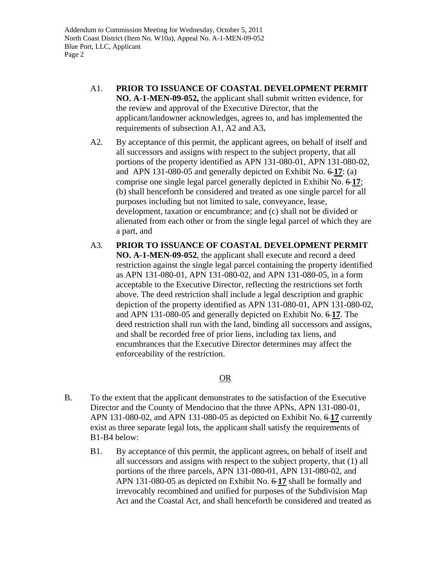Addendum to Commission Meeting for Wednesday, October 5, 2011 North Coast District (Item No. W10a), Appeal No. A-1-MEN-09-052 Blue Port, LLC, Applicant Page 2

- A1. **PRIOR TO ISSUANCE OF COASTAL DEVELOPMENT PERMIT NO. A-1-MEN-09-052,** the applicant shall submit written evidence, for the review and approval of the Executive Director, that the applicant/landowner acknowledges, agrees to, and has implemented the requirements of subsection A1, A2 and A3**.**
- A2. By acceptance of this permit, the applicant agrees, on behalf of itself and all successors and assigns with respect to the subject property, that all portions of the property identified as APN 131-080-01, APN 131-080-02, and APN 131-080-05 and generally depicted on Exhibit No.  $6-17$ : (a) comprise one single legal parcel generally depicted in Exhibit No. 6 **17**; (b) shall henceforth be considered and treated as one single parcel for all purposes including but not limited to sale, conveyance, lease, development, taxation or encumbrance; and (c) shall not be divided or alienated from each other or from the single legal parcel of which they are a part, and
- A3. **PRIOR TO ISSUANCE OF COASTAL DEVELOPMENT PERMIT NO. A-1-MEN-09-052**, the applicant shall execute and record a deed restriction against the single legal parcel containing the property identified as APN 131-080-01, APN 131-080-02, and APN 131-080-05, in a form acceptable to the Executive Director, reflecting the restrictions set forth above. The deed restriction shall include a legal description and graphic depiction of the property identified as APN 131-080-01, APN 131-080-02, and APN 131-080-05 and generally depicted on Exhibit No. 6 **17**. The deed restriction shall run with the land, binding all successors and assigns, and shall be recorded free of prior liens, including tax liens, and encumbrances that the Executive Director determines may affect the enforceability of the restriction.

#### <u>OR</u>

- B. To the extent that the applicant demonstrates to the satisfaction of the Executive Director and the County of Mendocino that the three APNs, APN 131-080-01, APN 131-080-02, and APN 131-080-05 as depicted on Exhibit No. 6 **17** currently exist as three separate legal lots, the applicant shall satisfy the requirements of B1-B4 below:
	- B1. By acceptance of this permit, the applicant agrees, on behalf of itself and all successors and assigns with respect to the subject property, that (1) all portions of the three parcels, APN 131-080-01, APN 131-080-02, and APN 131-080-05 as depicted on Exhibit No. 6 **17** shall be formally and irrevocably recombined and unified for purposes of the Subdivision Map Act and the Coastal Act, and shall henceforth be considered and treated as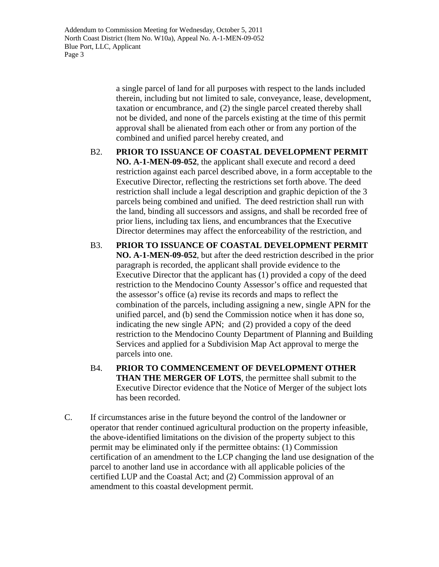Addendum to Commission Meeting for Wednesday, October 5, 2011 North Coast District (Item No. W10a), Appeal No. A-1-MEN-09-052 Blue Port, LLC, Applicant Page 3

> a single parcel of land for all purposes with respect to the lands included therein, including but not limited to sale, conveyance, lease, development, taxation or encumbrance, and (2) the single parcel created thereby shall not be divided, and none of the parcels existing at the time of this permit approval shall be alienated from each other or from any portion of the combined and unified parcel hereby created, and

B2. **PRIOR TO ISSUANCE OF COASTAL DEVELOPMENT PERMIT NO. A-1-MEN-09-052**, the applicant shall execute and record a deed restriction against each parcel described above, in a form acceptable to the Executive Director, reflecting the restrictions set forth above. The deed restriction shall include a legal description and graphic depiction of the 3 parcels being combined and unified. The deed restriction shall run with the land, binding all successors and assigns, and shall be recorded free of prior liens, including tax liens, and encumbrances that the Executive Director determines may affect the enforceability of the restriction, and

- B3. **PRIOR TO ISSUANCE OF COASTAL DEVELOPMENT PERMIT NO. A-1-MEN-09-052**, but after the deed restriction described in the prior paragraph is recorded, the applicant shall provide evidence to the Executive Director that the applicant has (1) provided a copy of the deed restriction to the Mendocino County Assessor's office and requested that the assessor's office (a) revise its records and maps to reflect the combination of the parcels, including assigning a new, single APN for the unified parcel, and (b) send the Commission notice when it has done so, indicating the new single APN; and (2) provided a copy of the deed restriction to the Mendocino County Department of Planning and Building Services and applied for a Subdivision Map Act approval to merge the parcels into one.
- B4. **PRIOR TO COMMENCEMENT OF DEVELOPMENT OTHER THAN THE MERGER OF LOTS**, the permittee shall submit to the Executive Director evidence that the Notice of Merger of the subject lots has been recorded.
- C. If circumstances arise in the future beyond the control of the landowner or operator that render continued agricultural production on the property infeasible, the above-identified limitations on the division of the property subject to this permit may be eliminated only if the permittee obtains: (1) Commission certification of an amendment to the LCP changing the land use designation of the parcel to another land use in accordance with all applicable policies of the certified LUP and the Coastal Act; and (2) Commission approval of an amendment to this coastal development permit.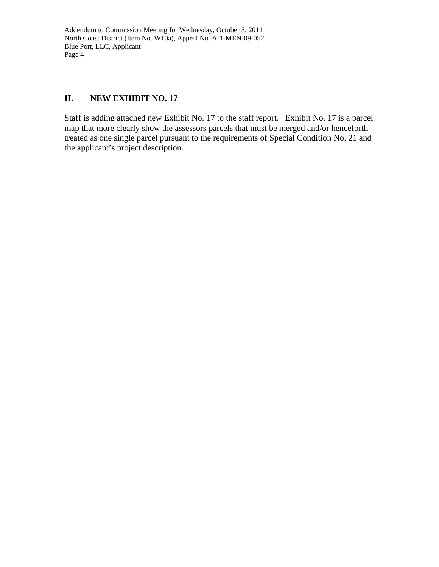Addendum to Commission Meeting for Wednesday, October 5, 2011 North Coast District (Item No. W10a), Appeal No. A-1-MEN-09-052 Blue Port, LLC, Applicant Page 4

#### **II. NEW EXHIBIT NO. 17**

Staff is adding attached new Exhibit No. 17 to the staff report. Exhibit No. 17 is a parcel map that more clearly show the assessors parcels that must be merged and/or henceforth treated as one single parcel pursuant to the requirements of Special Condition No. 21 and the applicant's project description.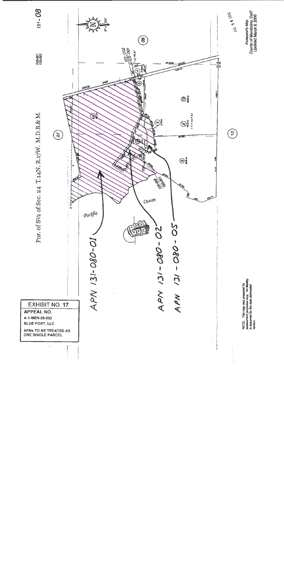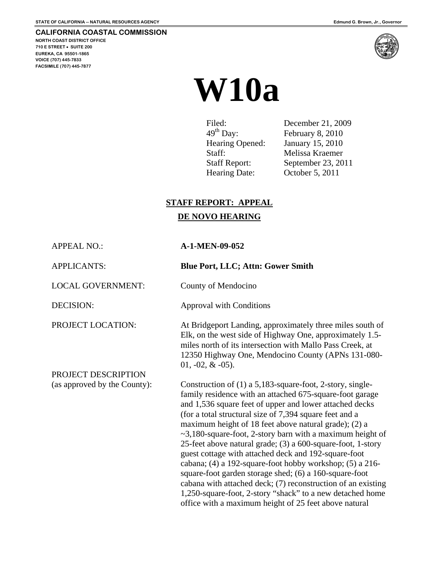<span id="page-5-0"></span>**NORTH COAST DISTRICT OFFICE 710 E STREET SUITE 200 EUREKA, CA 95501-1865 VOICE (707) 445-7833 FACSIMILE (707) 445-7877** 

## **W10a**

| Filed:                | December 21, 2009  |
|-----------------------|--------------------|
| $49^{\text{th}}$ Day: | February 8, 2010   |
| Hearing Opened:       | January 15, 2010   |
| Staff:                | Melissa Kraemer    |
| <b>Staff Report:</b>  | September 23, 2011 |
| Hearing Date:         | October 5, 2011    |

#### **STAFF REPORT: APPEAL**

#### **DE NOVO HEARING**

APPEAL NO.: **A-1-MEN-09-052** 

LOCAL GOVERNMENT: County of Mendocino

PROJECT DESCRIPTION

APPLICANTS: **Blue Port, LLC; Attn: Gower Smith** 

DECISION: Approval with Conditions

PROJECT LOCATION: At Bridgeport Landing, approximately three miles south of Elk, on the west side of Highway One, approximately 1.5 miles north of its intersection with Mallo Pass Creek, at 12350 Highway One, Mendocino County (APNs 131-080-  $01, -02, \& -05$ ).

(as approved by the County): Construction of (1) a 5,183-square-foot, 2-story, singlefamily residence with an attached 675-square-foot garage and 1,536 square feet of upper and lower attached decks (for a total structural size of 7,394 square feet and a maximum height of 18 feet above natural grade); (2) a ~3,180-square-foot, 2-story barn with a maximum height of 25-feet above natural grade; (3) a 600-square-foot, 1-story guest cottage with attached deck and 192-square-foot cabana; (4) a 192-square-foot hobby workshop; (5) a 216 square-foot garden storage shed; (6) a 160-square-foot cabana with attached deck; (7) reconstruction of an existing 1,250-square-foot, 2-story "shack" to a new detached home office with a maximum height of 25 feet above natural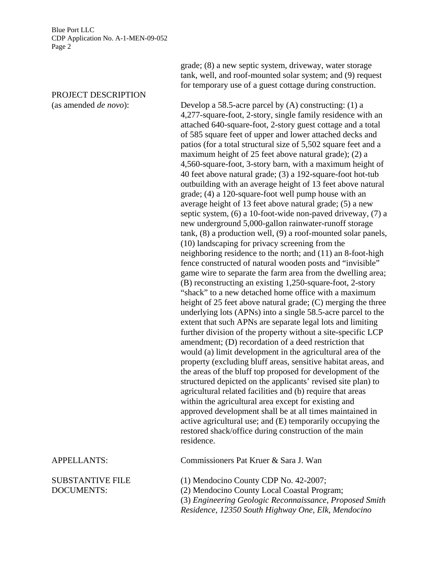PROJECT DESCRIPTION

grade; (8) a new septic system, driveway, water storage tank, well, and roof-mounted solar system; and (9) request for temporary use of a guest cottage during construction.

(as amended *de novo*): Develop a 58.5-acre parcel by (A) constructing: (1) a 4,277-square-foot, 2-story, single family residence with an attached 640-square-foot, 2-story guest cottage and a total of 585 square feet of upper and lower attached decks and patios (for a total structural size of 5,502 square feet and a maximum height of 25 feet above natural grade); (2) a 4,560-square-foot, 3-story barn, with a maximum height of 40 feet above natural grade; (3) a 192-square-foot hot-tub outbuilding with an average height of 13 feet above natural grade; (4) a 120-square-foot well pump house with an average height of 13 feet above natural grade; (5) a new septic system, (6) a 10-foot-wide non-paved driveway, (7) a new underground 5,000-gallon rainwater-runoff storage tank, (8) a production well, (9) a roof-mounted solar panels, (10) landscaping for privacy screening from the neighboring residence to the north; and (11) an 8-foot-high fence constructed of natural wooden posts and "invisible" game wire to separate the farm area from the dwelling area; (B) reconstructing an existing 1,250-square-foot, 2-story "shack" to a new detached home office with a maximum height of 25 feet above natural grade; (C) merging the three underlying lots (APNs) into a single 58.5-acre parcel to the extent that such APNs are separate legal lots and limiting further division of the property without a site-specific LCP amendment; (D) recordation of a deed restriction that would (a) limit development in the agricultural area of the property (excluding bluff areas, sensitive habitat areas, and the areas of the bluff top proposed for development of the structured depicted on the applicants' revised site plan) to agricultural related facilities and (b) require that areas within the agricultural area except for existing and approved development shall be at all times maintained in active agricultural use; and (E) temporarily occupying the restored shack/office during construction of the main residence.

APPELLANTS: Commissioners Pat Kruer & Sara J. Wan

SUBSTANTIVE FILE (1) Mendocino County CDP No. 42-2007; DOCUMENTS: (2) Mendocino County Local Coastal Program; (3) *Engineering Geologic Reconnaissance, Proposed Smith Residence, 12350 South Highway One, Elk, Mendocino*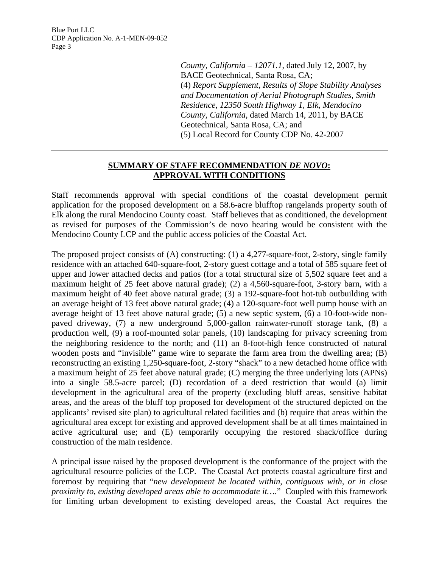> *County, California – 12071.1*, dated July 12, 2007, by BACE Geotechnical, Santa Rosa, CA; (4) *Report Supplement, Results of Slope Stability Analyses and Documentation of Aerial Photograph Studies, Smith Residence, 12350 South Highway 1, Elk, Mendocino County, California*, dated March 14, 2011, by BACE Geotechnical, Santa Rosa, CA; and (5) Local Record for County CDP No. 42-2007

#### **SUMMARY OF STAFF RECOMMENDATION** *DE NOVO***: APPROVAL WITH CONDITIONS**

Staff recommends approval with special conditions of the coastal development permit application for the proposed development on a 58.6-acre blufftop rangelands property south of Elk along the rural Mendocino County coast. Staff believes that as conditioned, the development as revised for purposes of the Commission's de novo hearing would be consistent with the Mendocino County LCP and the public access policies of the Coastal Act.

The proposed project consists of (A) constructing: (1) a 4,277-square-foot, 2-story, single family residence with an attached 640-square-foot, 2-story guest cottage and a total of 585 square feet of upper and lower attached decks and patios (for a total structural size of 5,502 square feet and a maximum height of 25 feet above natural grade); (2) a 4,560-square-foot, 3-story barn, with a maximum height of 40 feet above natural grade; (3) a 192-square-foot hot-tub outbuilding with an average height of 13 feet above natural grade; (4) a 120-square-foot well pump house with an average height of 13 feet above natural grade; (5) a new septic system, (6) a 10-foot-wide nonpaved driveway, (7) a new underground 5,000-gallon rainwater-runoff storage tank, (8) a production well, (9) a roof-mounted solar panels, (10) landscaping for privacy screening from the neighboring residence to the north; and (11) an 8-foot-high fence constructed of natural wooden posts and "invisible" game wire to separate the farm area from the dwelling area; (B) reconstructing an existing 1,250-square-foot, 2-story "shack" to a new detached home office with a maximum height of 25 feet above natural grade; (C) merging the three underlying lots (APNs) into a single 58.5-acre parcel; (D) recordation of a deed restriction that would (a) limit development in the agricultural area of the property (excluding bluff areas, sensitive habitat areas, and the areas of the bluff top proposed for development of the structured depicted on the applicants' revised site plan) to agricultural related facilities and (b) require that areas within the agricultural area except for existing and approved development shall be at all times maintained in active agricultural use; and (E) temporarily occupying the restored shack/office during construction of the main residence.

A principal issue raised by the proposed development is the conformance of the project with the agricultural resource policies of the LCP. The Coastal Act protects coastal agriculture first and foremost by requiring that "*new development be located within, contiguous with, or in close proximity to, existing developed areas able to accommodate it…*." Coupled with this framework for limiting urban development to existing developed areas, the Coastal Act requires the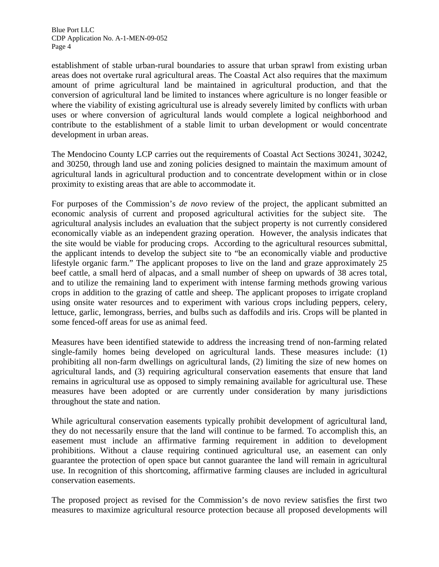establishment of stable urban-rural boundaries to assure that urban sprawl from existing urban areas does not overtake rural agricultural areas. The Coastal Act also requires that the maximum amount of prime agricultural land be maintained in agricultural production, and that the conversion of agricultural land be limited to instances where agriculture is no longer feasible or where the viability of existing agricultural use is already severely limited by conflicts with urban uses or where conversion of agricultural lands would complete a logical neighborhood and contribute to the establishment of a stable limit to urban development or would concentrate development in urban areas.

The Mendocino County LCP carries out the requirements of Coastal Act Sections 30241, 30242, and 30250, through land use and zoning policies designed to maintain the maximum amount of agricultural lands in agricultural production and to concentrate development within or in close proximity to existing areas that are able to accommodate it.

For purposes of the Commission's *de novo* review of the project, the applicant submitted an economic analysis of current and proposed agricultural activities for the subject site. The agricultural analysis includes an evaluation that the subject property is not currently considered economically viable as an independent grazing operation. However, the analysis indicates that the site would be viable for producing crops. According to the agricultural resources submittal, the applicant intends to develop the subject site to "be an economically viable and productive lifestyle organic farm." The applicant proposes to live on the land and graze approximately 25 beef cattle, a small herd of alpacas, and a small number of sheep on upwards of 38 acres total, and to utilize the remaining land to experiment with intense farming methods growing various crops in addition to the grazing of cattle and sheep. The applicant proposes to irrigate cropland using onsite water resources and to experiment with various crops including peppers, celery, lettuce, garlic, lemongrass, berries, and bulbs such as daffodils and iris. Crops will be planted in some fenced-off areas for use as animal feed.

Measures have been identified statewide to address the increasing trend of non-farming related single-family homes being developed on agricultural lands. These measures include: (1) prohibiting all non-farm dwellings on agricultural lands, (2) limiting the size of new homes on agricultural lands, and (3) requiring agricultural conservation easements that ensure that land remains in agricultural use as opposed to simply remaining available for agricultural use. These measures have been adopted or are currently under consideration by many jurisdictions throughout the state and nation.

While agricultural conservation easements typically prohibit development of agricultural land, they do not necessarily ensure that the land will continue to be farmed. To accomplish this, an easement must include an affirmative farming requirement in addition to development prohibitions. Without a clause requiring continued agricultural use, an easement can only guarantee the protection of open space but cannot guarantee the land will remain in agricultural use. In recognition of this shortcoming, affirmative farming clauses are included in agricultural conservation easements.

The proposed project as revised for the Commission's de novo review satisfies the first two measures to maximize agricultural resource protection because all proposed developments will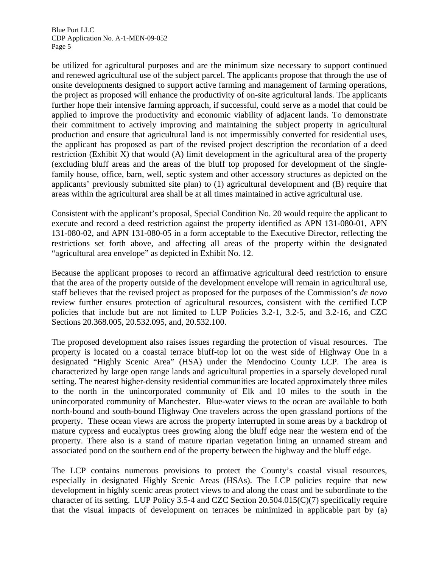be utilized for agricultural purposes and are the minimum size necessary to support continued and renewed agricultural use of the subject parcel. The applicants propose that through the use of onsite developments designed to support active farming and management of farming operations, the project as proposed will enhance the productivity of on-site agricultural lands. The applicants further hope their intensive farming approach, if successful, could serve as a model that could be applied to improve the productivity and economic viability of adjacent lands. To demonstrate their commitment to actively improving and maintaining the subject property in agricultural production and ensure that agricultural land is not impermissibly converted for residential uses, the applicant has proposed as part of the revised project description the recordation of a deed restriction (Exhibit X) that would (A) limit development in the agricultural area of the property (excluding bluff areas and the areas of the bluff top proposed for development of the singlefamily house, office, barn, well, septic system and other accessory structures as depicted on the applicants' previously submitted site plan) to (1) agricultural development and (B) require that areas within the agricultural area shall be at all times maintained in active agricultural use.

Consistent with the applicant's proposal, Special Condition No. 20 would require the applicant to execute and record a deed restriction against the property identified as APN 131-080-01, APN 131-080-02, and APN 131-080-05 in a form acceptable to the Executive Director, reflecting the restrictions set forth above, and affecting all areas of the property within the designated "agricultural area envelope" as depicted in Exhibit No. 12.

Because the applicant proposes to record an affirmative agricultural deed restriction to ensure that the area of the property outside of the development envelope will remain in agricultural use, staff believes that the revised project as proposed for the purposes of the Commission's *de novo* review further ensures protection of agricultural resources, consistent with the certified LCP policies that include but are not limited to LUP Policies 3.2-1, 3.2-5, and 3.2-16, and CZC Sections 20.368.005, 20.532.095, and, 20.532.100.

The proposed development also raises issues regarding the protection of visual resources. The property is located on a coastal terrace bluff-top lot on the west side of Highway One in a designated "Highly Scenic Area" (HSA) under the Mendocino County LCP. The area is characterized by large open range lands and agricultural properties in a sparsely developed rural setting. The nearest higher-density residential communities are located approximately three miles to the north in the unincorporated community of Elk and 10 miles to the south in the unincorporated community of Manchester. Blue-water views to the ocean are available to both north-bound and south-bound Highway One travelers across the open grassland portions of the property. These ocean views are across the property interrupted in some areas by a backdrop of mature cypress and eucalyptus trees growing along the bluff edge near the western end of the property. There also is a stand of mature riparian vegetation lining an unnamed stream and associated pond on the southern end of the property between the highway and the bluff edge.

The LCP contains numerous provisions to protect the County's coastal visual resources, especially in designated Highly Scenic Areas (HSAs). The LCP policies require that new development in highly scenic areas protect views to and along the coast and be subordinate to the character of its setting. LUP Policy 3.5-4 and CZC Section 20.504.015(C)(7) specifically require that the visual impacts of development on terraces be minimized in applicable part by (a)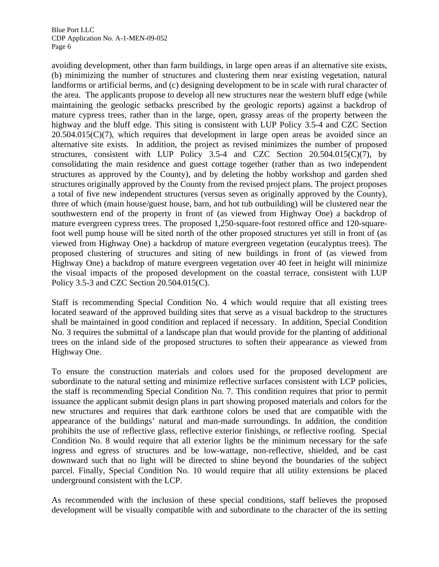avoiding development, other than farm buildings, in large open areas if an alternative site exists, (b) minimizing the number of structures and clustering them near existing vegetation, natural landforms or artificial berms, and (c) designing development to be in scale with rural character of the area. The applicants propose to develop all new structures near the western bluff edge (while maintaining the geologic setbacks prescribed by the geologic reports) against a backdrop of mature cypress trees, rather than in the large, open, grassy areas of the property between the highway and the bluff edge. This siting is consistent with LUP Policy 3.5-4 and CZC Section  $20.504.015(C)(7)$ , which requires that development in large open areas be avoided since an alternative site exists. In addition, the project as revised minimizes the number of proposed structures, consistent with LUP Policy 3.5-4 and CZC Section 20.504.015(C)(7), by consolidating the main residence and guest cottage together (rather than as two independent structures as approved by the County), and by deleting the hobby workshop and garden shed structures originally approved by the County from the revised project plans. The project proposes a total of five new independent structures (versus seven as originally approved by the County), three of which (main house/guest house, barn, and hot tub outbuilding) will be clustered near the southwestern end of the property in front of (as viewed from Highway One) a backdrop of mature evergreen cypress trees. The proposed 1,250-square-foot restored office and 120-squarefoot well pump house will be sited north of the other proposed structures yet still in front of (as viewed from Highway One) a backdrop of mature evergreen vegetation (eucalyptus trees). The proposed clustering of structures and siting of new buildings in front of (as viewed from Highway One) a backdrop of mature evergreen vegetation over 40 feet in height will minimize the visual impacts of the proposed development on the coastal terrace, consistent with LUP Policy 3.5-3 and CZC Section 20.504.015(C).

Staff is recommending Special Condition No. 4 which would require that all existing trees located seaward of the approved building sites that serve as a visual backdrop to the structures shall be maintained in good condition and replaced if necessary. In addition, Special Condition No. 3 requires the submittal of a landscape plan that would provide for the planting of additional trees on the inland side of the proposed structures to soften their appearance as viewed from Highway One.

To ensure the construction materials and colors used for the proposed development are subordinate to the natural setting and minimize reflective surfaces consistent with LCP policies, the staff is recommending Special Condition No. 7. This condition requires that prior to permit issuance the applicant submit design plans in part showing proposed materials and colors for the new structures and requires that dark earthtone colors be used that are compatible with the appearance of the buildings' natural and man-made surroundings. In addition, the condition prohibits the use of reflective glass, reflective exterior finishings, or reflective roofing. Special Condition No. 8 would require that all exterior lights be the minimum necessary for the safe ingress and egress of structures and be low-wattage, non-reflective, shielded, and be cast downward such that no light will be directed to shine beyond the boundaries of the subject parcel. Finally, Special Condition No. 10 would require that all utility extensions be placed underground consistent with the LCP.

As recommended with the inclusion of these special conditions, staff believes the proposed development will be visually compatible with and subordinate to the character of the its setting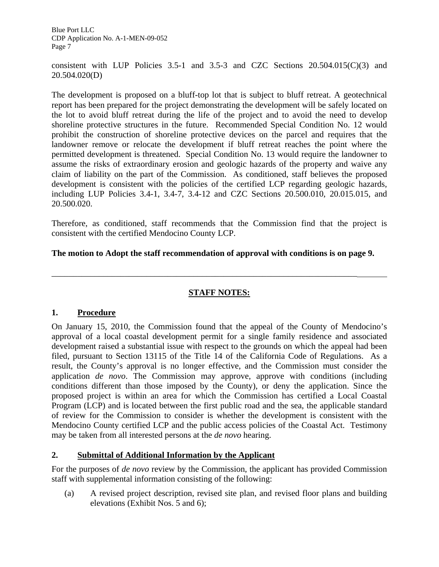consistent with LUP Policies 3.5-1 and 3.5-3 and CZC Sections 20.504.015(C)(3) and 20.504.020(D)

The development is proposed on a bluff-top lot that is subject to bluff retreat. A geotechnical report has been prepared for the project demonstrating the development will be safely located on the lot to avoid bluff retreat during the life of the project and to avoid the need to develop shoreline protective structures in the future. Recommended Special Condition No. 12 would prohibit the construction of shoreline protective devices on the parcel and requires that the landowner remove or relocate the development if bluff retreat reaches the point where the permitted development is threatened. Special Condition No. 13 would require the landowner to assume the risks of extraordinary erosion and geologic hazards of the property and waive any claim of liability on the part of the Commission. As conditioned, staff believes the proposed development is consistent with the policies of the certified LCP regarding geologic hazards, including LUP Policies 3.4-1, 3.4-7, 3.4-12 and CZC Sections 20.500.010, 20.015.015, and 20.500.020.

Therefore, as conditioned, staff recommends that the Commission find that the project is consistent with the certified Mendocino County LCP.

#### **The motion to Adopt the staff recommendation of approval with conditions is on page 9.**

\_\_\_\_\_\_\_\_\_\_\_\_\_\_\_\_\_\_\_\_\_\_\_\_\_\_\_\_\_\_\_\_\_\_\_\_\_\_\_\_\_\_\_\_\_\_\_\_\_\_\_\_\_\_\_\_\_\_\_\_\_\_\_\_\_\_\_\_\_\_\_

#### **STAFF NOTES:**

#### **1. Procedure**

On January 15, 2010, the Commission found that the appeal of the County of Mendocino's approval of a local coastal development permit for a single family residence and associated development raised a substantial issue with respect to the grounds on which the appeal had been filed, pursuant to Section 13115 of the Title 14 of the California Code of Regulations. As a result, the County's approval is no longer effective, and the Commission must consider the application *de novo*. The Commission may approve, approve with conditions (including conditions different than those imposed by the County), or deny the application. Since the proposed project is within an area for which the Commission has certified a Local Coastal Program (LCP) and is located between the first public road and the sea, the applicable standard of review for the Commission to consider is whether the development is consistent with the Mendocino County certified LCP and the public access policies of the Coastal Act. Testimony may be taken from all interested persons at the *de novo* hearing.

#### **2. Submittal of Additional Information by the Applicant**

For the purposes of *de novo* review by the Commission, the applicant has provided Commission staff with supplemental information consisting of the following:

(a) A revised project description, revised site plan, and revised floor plans and building elevations (Exhibit Nos. 5 and 6);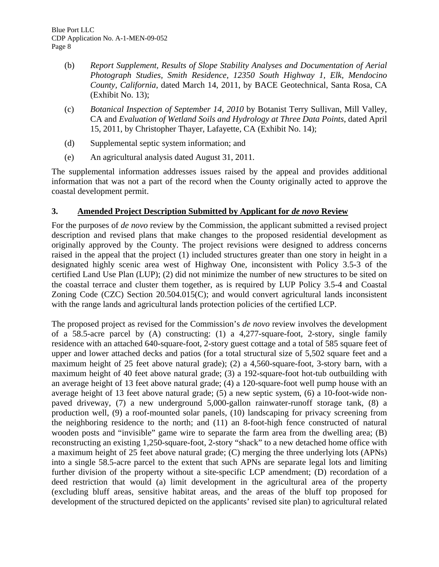- (b) *Report Supplement, Results of Slope Stability Analyses and Documentation of Aerial Photograph Studies, Smith Residence, 12350 South Highway 1, Elk, Mendocino County, California*, dated March 14, 2011, by BACE Geotechnical, Santa Rosa, CA (Exhibit No. 13);
- (c) *Botanical Inspection of September 14, 2010* by Botanist Terry Sullivan, Mill Valley, CA and *Evaluation of Wetland Soils and Hydrology at Three Data Points*, dated April 15, 2011, by Christopher Thayer, Lafayette, CA (Exhibit No. 14);
- (d) Supplemental septic system information; and
- (e) An agricultural analysis dated August 31, 2011.

The supplemental information addresses issues raised by the appeal and provides additional information that was not a part of the record when the County originally acted to approve the coastal development permit.

#### **3. Amended Project Description Submitted by Applicant for** *de novo* **Review**

For the purposes of *de novo* review by the Commission, the applicant submitted a revised project description and revised plans that make changes to the proposed residential development as originally approved by the County. The project revisions were designed to address concerns raised in the appeal that the project (1) included structures greater than one story in height in a designated highly scenic area west of Highway One, inconsistent with Policy 3.5-3 of the certified Land Use Plan (LUP); (2) did not minimize the number of new structures to be sited on the coastal terrace and cluster them together, as is required by LUP Policy 3.5-4 and Coastal Zoning Code (CZC) Section 20.504.015(C); and would convert agricultural lands inconsistent with the range lands and agricultural lands protection policies of the certified LCP.

The proposed project as revised for the Commission's *de novo* review involves the development of a 58.5-acre parcel by (A) constructing: (1) a 4,277-square-foot, 2-story, single family residence with an attached 640-square-foot, 2-story guest cottage and a total of 585 square feet of upper and lower attached decks and patios (for a total structural size of 5,502 square feet and a maximum height of 25 feet above natural grade); (2) a 4,560-square-foot, 3-story barn, with a maximum height of 40 feet above natural grade; (3) a 192-square-foot hot-tub outbuilding with an average height of 13 feet above natural grade; (4) a 120-square-foot well pump house with an average height of 13 feet above natural grade; (5) a new septic system, (6) a 10-foot-wide nonpaved driveway, (7) a new underground 5,000-gallon rainwater-runoff storage tank, (8) a production well, (9) a roof-mounted solar panels, (10) landscaping for privacy screening from the neighboring residence to the north; and (11) an 8-foot-high fence constructed of natural wooden posts and "invisible" game wire to separate the farm area from the dwelling area; (B) reconstructing an existing 1,250-square-foot, 2-story "shack" to a new detached home office with a maximum height of 25 feet above natural grade; (C) merging the three underlying lots (APNs) into a single 58.5-acre parcel to the extent that such APNs are separate legal lots and limiting further division of the property without a site-specific LCP amendment; (D) recordation of a deed restriction that would (a) limit development in the agricultural area of the property (excluding bluff areas, sensitive habitat areas, and the areas of the bluff top proposed for development of the structured depicted on the applicants' revised site plan) to agricultural related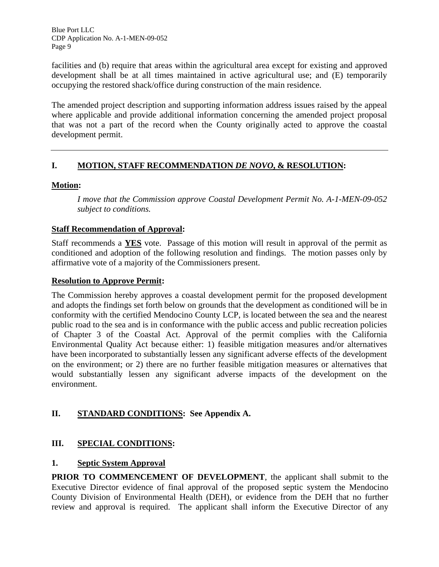facilities and (b) require that areas within the agricultural area except for existing and approved development shall be at all times maintained in active agricultural use; and (E) temporarily occupying the restored shack/office during construction of the main residence.

The amended project description and supporting information address issues raised by the appeal where applicable and provide additional information concerning the amended project proposal that was not a part of the record when the County originally acted to approve the coastal development permit.

#### **I. MOTION, STAFF RECOMMENDATION** *DE NOVO***, & RESOLUTION:**

#### **Motion:**

*I move that the Commission approve Coastal Development Permit No. A-1-MEN-09-052 subject to conditions.* 

#### **Staff Recommendation of Approval:**

Staff recommends a **YES** vote. Passage of this motion will result in approval of the permit as conditioned and adoption of the following resolution and findings. The motion passes only by affirmative vote of a majority of the Commissioners present.

#### **Resolution to Approve Permit:**

The Commission hereby approves a coastal development permit for the proposed development and adopts the findings set forth below on grounds that the development as conditioned will be in conformity with the certified Mendocino County LCP, is located between the sea and the nearest public road to the sea and is in conformance with the public access and public recreation policies of Chapter 3 of the Coastal Act. Approval of the permit complies with the California Environmental Quality Act because either: 1) feasible mitigation measures and/or alternatives have been incorporated to substantially lessen any significant adverse effects of the development on the environment; or 2) there are no further feasible mitigation measures or alternatives that would substantially lessen any significant adverse impacts of the development on the environment.

#### **II. STANDARD CONDITIONS: See Appendix A.**

#### **III. SPECIAL CONDITIONS:**

#### **1. Septic System Approval**

**PRIOR TO COMMENCEMENT OF DEVELOPMENT**, the applicant shall submit to the Executive Director evidence of final approval of the proposed septic system the Mendocino County Division of Environmental Health (DEH), or evidence from the DEH that no further review and approval is required. The applicant shall inform the Executive Director of any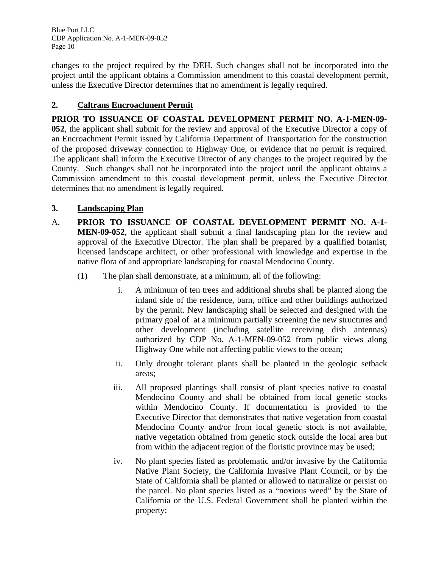changes to the project required by the DEH. Such changes shall not be incorporated into the project until the applicant obtains a Commission amendment to this coastal development permit, unless the Executive Director determines that no amendment is legally required.

#### **2. Caltrans Encroachment Permit**

**PRIOR TO ISSUANCE OF COASTAL DEVELOPMENT PERMIT NO. A-1-MEN-09- 052**, the applicant shall submit for the review and approval of the Executive Director a copy of an Encroachment Permit issued by California Department of Transportation for the construction of the proposed driveway connection to Highway One, or evidence that no permit is required. The applicant shall inform the Executive Director of any changes to the project required by the County. Such changes shall not be incorporated into the project until the applicant obtains a Commission amendment to this coastal development permit, unless the Executive Director determines that no amendment is legally required.

#### **3. Landscaping Plan**

- A. **PRIOR TO ISSUANCE OF COASTAL DEVELOPMENT PERMIT NO. A-1- MEN-09-052**, the applicant shall submit a final landscaping plan for the review and approval of the Executive Director. The plan shall be prepared by a qualified botanist, licensed landscape architect, or other professional with knowledge and expertise in the native flora of and appropriate landscaping for coastal Mendocino County.
	- (1) The plan shall demonstrate, at a minimum, all of the following:
		- i. A minimum of ten trees and additional shrubs shall be planted along the inland side of the residence, barn, office and other buildings authorized by the permit. New landscaping shall be selected and designed with the primary goal of at a minimum partially screening the new structures and other development (including satellite receiving dish antennas) authorized by CDP No. A-1-MEN-09-052 from public views along Highway One while not affecting public views to the ocean;
		- ii. Only drought tolerant plants shall be planted in the geologic setback areas;
		- iii. All proposed plantings shall consist of plant species native to coastal Mendocino County and shall be obtained from local genetic stocks within Mendocino County. If documentation is provided to the Executive Director that demonstrates that native vegetation from coastal Mendocino County and/or from local genetic stock is not available, native vegetation obtained from genetic stock outside the local area but from within the adjacent region of the floristic province may be used;
		- iv. No plant species listed as problematic and/or invasive by the California Native Plant Society, the California Invasive Plant Council, or by the State of California shall be planted or allowed to naturalize or persist on the parcel. No plant species listed as a "noxious weed" by the State of California or the U.S. Federal Government shall be planted within the property;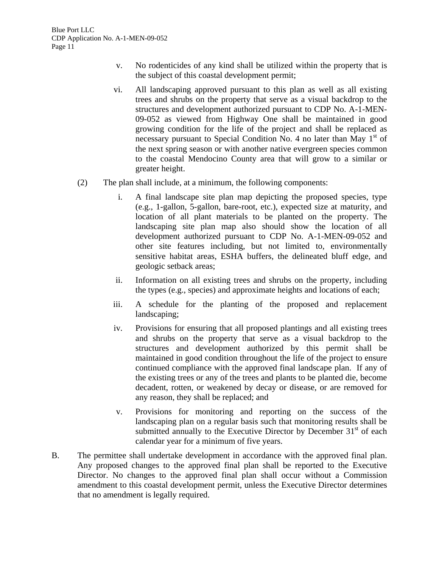- v. No rodenticides of any kind shall be utilized within the property that is the subject of this coastal development permit;
- vi. All landscaping approved pursuant to this plan as well as all existing trees and shrubs on the property that serve as a visual backdrop to the structures and development authorized pursuant to CDP No. A-1-MEN-09-052 as viewed from Highway One shall be maintained in good growing condition for the life of the project and shall be replaced as necessary pursuant to Special Condition No. 4 no later than May  $1<sup>st</sup>$  of the next spring season or with another native evergreen species common to the coastal Mendocino County area that will grow to a similar or greater height.
- (2) The plan shall include, at a minimum, the following components:
	- i. A final landscape site plan map depicting the proposed species, type (e.g., 1-gallon, 5-gallon, bare-root, etc.), expected size at maturity, and location of all plant materials to be planted on the property. The landscaping site plan map also should show the location of all development authorized pursuant to CDP No. A-1-MEN-09-052 and other site features including, but not limited to, environmentally sensitive habitat areas, ESHA buffers, the delineated bluff edge, and geologic setback areas;
	- ii. Information on all existing trees and shrubs on the property, including the types (e.g., species) and approximate heights and locations of each;
	- iii. A schedule for the planting of the proposed and replacement landscaping;
	- iv. Provisions for ensuring that all proposed plantings and all existing trees and shrubs on the property that serve as a visual backdrop to the structures and development authorized by this permit shall be maintained in good condition throughout the life of the project to ensure continued compliance with the approved final landscape plan. If any of the existing trees or any of the trees and plants to be planted die, become decadent, rotten, or weakened by decay or disease, or are removed for any reason, they shall be replaced; and
	- v. Provisions for monitoring and reporting on the success of the landscaping plan on a regular basis such that monitoring results shall be submitted annually to the Executive Director by December  $31<sup>st</sup>$  of each calendar year for a minimum of five years.
- B. The permittee shall undertake development in accordance with the approved final plan. Any proposed changes to the approved final plan shall be reported to the Executive Director. No changes to the approved final plan shall occur without a Commission amendment to this coastal development permit, unless the Executive Director determines that no amendment is legally required.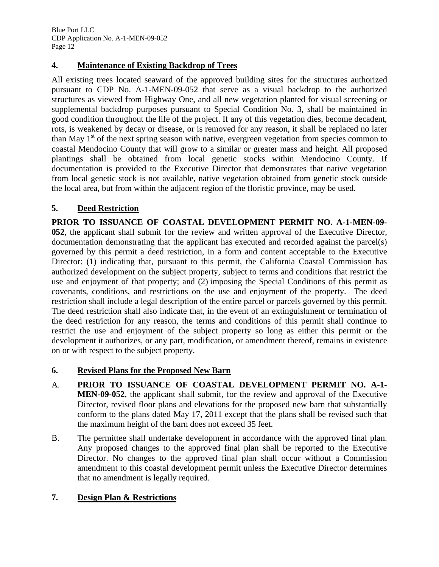#### **4. Maintenance of Existing Backdrop of Trees**

All existing trees located seaward of the approved building sites for the structures authorized pursuant to CDP No. A-1-MEN-09-052 that serve as a visual backdrop to the authorized structures as viewed from Highway One, and all new vegetation planted for visual screening or supplemental backdrop purposes pursuant to Special Condition No. 3, shall be maintained in good condition throughout the life of the project. If any of this vegetation dies, become decadent, rots, is weakened by decay or disease, or is removed for any reason, it shall be replaced no later than May  $1<sup>st</sup>$  of the next spring season with native, evergreen vegetation from species common to coastal Mendocino County that will grow to a similar or greater mass and height. All proposed plantings shall be obtained from local genetic stocks within Mendocino County. If documentation is provided to the Executive Director that demonstrates that native vegetation from local genetic stock is not available, native vegetation obtained from genetic stock outside the local area, but from within the adjacent region of the floristic province, may be used.

#### **5. Deed Restriction**

**PRIOR TO ISSUANCE OF COASTAL DEVELOPMENT PERMIT NO. A-1-MEN-09- 052**, the applicant shall submit for the review and written approval of the Executive Director, documentation demonstrating that the applicant has executed and recorded against the parcel(s) governed by this permit a deed restriction, in a form and content acceptable to the Executive Director: (1) indicating that, pursuant to this permit, the California Coastal Commission has authorized development on the subject property, subject to terms and conditions that restrict the use and enjoyment of that property; and (2) imposing the Special Conditions of this permit as covenants, conditions, and restrictions on the use and enjoyment of the property. The deed restriction shall include a legal description of the entire parcel or parcels governed by this permit. The deed restriction shall also indicate that, in the event of an extinguishment or termination of the deed restriction for any reason, the terms and conditions of this permit shall continue to restrict the use and enjoyment of the subject property so long as either this permit or the development it authorizes, or any part, modification, or amendment thereof, remains in existence on or with respect to the subject property.

#### **6. Revised Plans for the Proposed New Barn**

- A. **PRIOR TO ISSUANCE OF COASTAL DEVELOPMENT PERMIT NO. A-1- MEN-09-052**, the applicant shall submit, for the review and approval of the Executive Director, revised floor plans and elevations for the proposed new barn that substantially conform to the plans dated May 17, 2011 except that the plans shall be revised such that the maximum height of the barn does not exceed 35 feet.
- B. The permittee shall undertake development in accordance with the approved final plan. Any proposed changes to the approved final plan shall be reported to the Executive Director. No changes to the approved final plan shall occur without a Commission amendment to this coastal development permit unless the Executive Director determines that no amendment is legally required.

#### **7. Design Plan & Restrictions**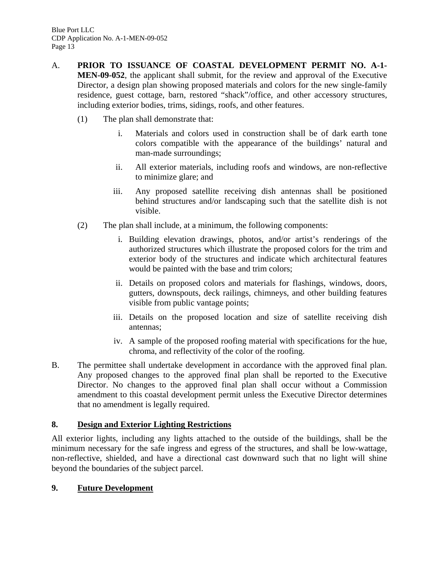- A. **PRIOR TO ISSUANCE OF COASTAL DEVELOPMENT PERMIT NO. A-1- MEN-09-052**, the applicant shall submit, for the review and approval of the Executive Director, a design plan showing proposed materials and colors for the new single-family residence, guest cottage, barn, restored "shack"/office, and other accessory structures, including exterior bodies, trims, sidings, roofs, and other features.
	- (1) The plan shall demonstrate that:
		- i. Materials and colors used in construction shall be of dark earth tone colors compatible with the appearance of the buildings' natural and man-made surroundings;
		- ii. All exterior materials, including roofs and windows, are non-reflective to minimize glare; and
		- iii. Any proposed satellite receiving dish antennas shall be positioned behind structures and/or landscaping such that the satellite dish is not visible.
	- (2) The plan shall include, at a minimum, the following components:
		- i. Building elevation drawings, photos, and/or artist's renderings of the authorized structures which illustrate the proposed colors for the trim and exterior body of the structures and indicate which architectural features would be painted with the base and trim colors;
		- ii. Details on proposed colors and materials for flashings, windows, doors, gutters, downspouts, deck railings, chimneys, and other building features visible from public vantage points;
		- iii. Details on the proposed location and size of satellite receiving dish antennas;
		- iv. A sample of the proposed roofing material with specifications for the hue, chroma, and reflectivity of the color of the roofing.
- B. The permittee shall undertake development in accordance with the approved final plan. Any proposed changes to the approved final plan shall be reported to the Executive Director. No changes to the approved final plan shall occur without a Commission amendment to this coastal development permit unless the Executive Director determines that no amendment is legally required.

#### **8. Design and Exterior Lighting Restrictions**

All exterior lights, including any lights attached to the outside of the buildings, shall be the minimum necessary for the safe ingress and egress of the structures, and shall be low-wattage, non-reflective, shielded, and have a directional cast downward such that no light will shine beyond the boundaries of the subject parcel.

#### **9. Future Development**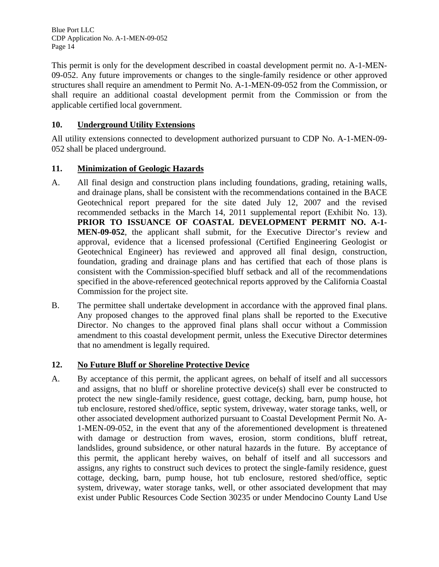This permit is only for the development described in coastal development permit no. A-1-MEN-09-052. Any future improvements or changes to the single-family residence or other approved structures shall require an amendment to Permit No. A-1-MEN-09-052 from the Commission, or shall require an additional coastal development permit from the Commission or from the applicable certified local government.

#### **10. Underground Utility Extensions**

All utility extensions connected to development authorized pursuant to CDP No. A-1-MEN-09- 052 shall be placed underground.

#### **11. Minimization of Geologic Hazards**

- A. All final design and construction plans including foundations, grading, retaining walls, and drainage plans, shall be consistent with the recommendations contained in the BACE Geotechnical report prepared for the site dated July 12, 2007 and the revised recommended setbacks in the March 14, 2011 supplemental report (Exhibit No. 13). **PRIOR TO ISSUANCE OF COASTAL DEVELOPMENT PERMIT NO. A-1- MEN-09-052**, the applicant shall submit, for the Executive Director's review and approval, evidence that a licensed professional (Certified Engineering Geologist or Geotechnical Engineer) has reviewed and approved all final design, construction, foundation, grading and drainage plans and has certified that each of those plans is consistent with the Commission-specified bluff setback and all of the recommendations specified in the above-referenced geotechnical reports approved by the California Coastal Commission for the project site.
- B. The permittee shall undertake development in accordance with the approved final plans. Any proposed changes to the approved final plans shall be reported to the Executive Director. No changes to the approved final plans shall occur without a Commission amendment to this coastal development permit, unless the Executive Director determines that no amendment is legally required.

#### **12. No Future Bluff or Shoreline Protective Device**

A. By acceptance of this permit, the applicant agrees, on behalf of itself and all successors and assigns, that no bluff or shoreline protective device(s) shall ever be constructed to protect the new single-family residence, guest cottage, decking, barn, pump house, hot tub enclosure, restored shed/office, septic system, driveway, water storage tanks, well, or other associated development authorized pursuant to Coastal Development Permit No. A-1-MEN-09-052, in the event that any of the aforementioned development is threatened with damage or destruction from waves, erosion, storm conditions, bluff retreat, landslides, ground subsidence, or other natural hazards in the future. By acceptance of this permit, the applicant hereby waives, on behalf of itself and all successors and assigns, any rights to construct such devices to protect the single-family residence, guest cottage, decking, barn, pump house, hot tub enclosure, restored shed/office, septic system, driveway, water storage tanks, well, or other associated development that may exist under Public Resources Code Section 30235 or under Mendocino County Land Use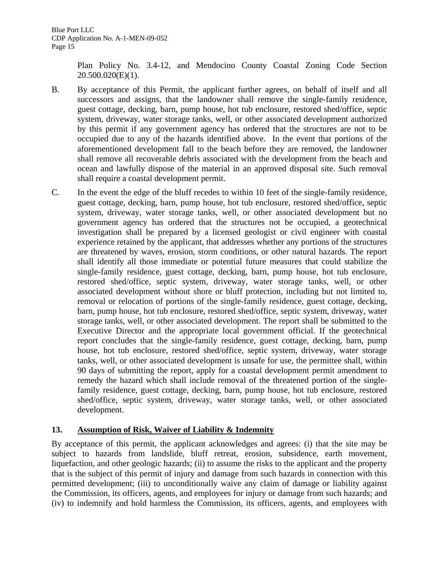Plan Policy No. 3.4-12, and Mendocino County Coastal Zoning Code Section 20.500.020(E)(1).

- B. By acceptance of this Permit, the applicant further agrees, on behalf of itself and all successors and assigns, that the landowner shall remove the single-family residence, guest cottage, decking, barn, pump house, hot tub enclosure, restored shed/office, septic system, driveway, water storage tanks, well, or other associated development authorized by this permit if any government agency has ordered that the structures are not to be occupied due to any of the hazards identified above. In the event that portions of the aforementioned development fall to the beach before they are removed, the landowner shall remove all recoverable debris associated with the development from the beach and ocean and lawfully dispose of the material in an approved disposal site. Such removal shall require a coastal development permit.
- C. In the event the edge of the bluff recedes to within 10 feet of the single-family residence, guest cottage, decking, barn, pump house, hot tub enclosure, restored shed/office, septic system, driveway, water storage tanks, well, or other associated development but no government agency has ordered that the structures not be occupied, a geotechnical investigation shall be prepared by a licensed geologist or civil engineer with coastal experience retained by the applicant, that addresses whether any portions of the structures are threatened by waves, erosion, storm conditions, or other natural hazards. The report shall identify all those immediate or potential future measures that could stabilize the single-family residence, guest cottage, decking, barn, pump house, hot tub enclosure, restored shed/office, septic system, driveway, water storage tanks, well, or other associated development without shore or bluff protection, including but not limited to, removal or relocation of portions of the single-family residence, guest cottage, decking, barn, pump house, hot tub enclosure, restored shed/office, septic system, driveway, water storage tanks, well, or other associated development. The report shall be submitted to the Executive Director and the appropriate local government official. If the geotechnical report concludes that the single-family residence, guest cottage, decking, barn, pump house, hot tub enclosure, restored shed/office, septic system, driveway, water storage tanks, well, or other associated development is unsafe for use, the permittee shall, within 90 days of submitting the report, apply for a coastal development permit amendment to remedy the hazard which shall include removal of the threatened portion of the singlefamily residence, guest cottage, decking, barn, pump house, hot tub enclosure, restored shed/office, septic system, driveway, water storage tanks, well, or other associated development.

#### **13. Assumption of Risk, Waiver of Liability & Indemnity**

By acceptance of this permit, the applicant acknowledges and agrees: (i) that the site may be subject to hazards from landslide, bluff retreat, erosion, subsidence, earth movement, liquefaction, and other geologic hazards; (ii) to assume the risks to the applicant and the property that is the subject of this permit of injury and damage from such hazards in connection with this permitted development; (iii) to unconditionally waive any claim of damage or liability against the Commission, its officers, agents, and employees for injury or damage from such hazards; and (iv) to indemnify and hold harmless the Commission, its officers, agents, and employees with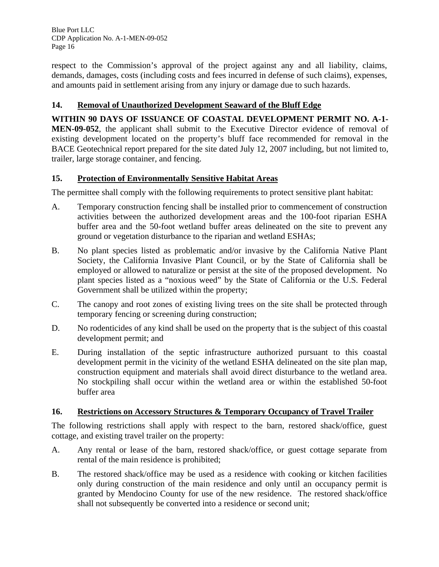respect to the Commission's approval of the project against any and all liability, claims, demands, damages, costs (including costs and fees incurred in defense of such claims), expenses, and amounts paid in settlement arising from any injury or damage due to such hazards.

#### **14. Removal of Unauthorized Development Seaward of the Bluff Edge**

**WITHIN 90 DAYS OF ISSUANCE OF COASTAL DEVELOPMENT PERMIT NO. A-1- MEN-09-052**, the applicant shall submit to the Executive Director evidence of removal of existing development located on the property's bluff face recommended for removal in the BACE Geotechnical report prepared for the site dated July 12, 2007 including, but not limited to, trailer, large storage container, and fencing.

#### **15. Protection of Environmentally Sensitive Habitat Areas**

The permittee shall comply with the following requirements to protect sensitive plant habitat:

- A. Temporary construction fencing shall be installed prior to commencement of construction activities between the authorized development areas and the 100-foot riparian ESHA buffer area and the 50-foot wetland buffer areas delineated on the site to prevent any ground or vegetation disturbance to the riparian and wetland ESHAs;
- B. No plant species listed as problematic and/or invasive by the California Native Plant Society, the California Invasive Plant Council, or by the State of California shall be employed or allowed to naturalize or persist at the site of the proposed development. No plant species listed as a "noxious weed" by the State of California or the U.S. Federal Government shall be utilized within the property;
- C. The canopy and root zones of existing living trees on the site shall be protected through temporary fencing or screening during construction;
- D. No rodenticides of any kind shall be used on the property that is the subject of this coastal development permit; and
- E. During installation of the septic infrastructure authorized pursuant to this coastal development permit in the vicinity of the wetland ESHA delineated on the site plan map, construction equipment and materials shall avoid direct disturbance to the wetland area. No stockpiling shall occur within the wetland area or within the established 50-foot buffer area

#### **16. Restrictions on Accessory Structures & Temporary Occupancy of Travel Trailer**

The following restrictions shall apply with respect to the barn, restored shack/office, guest cottage, and existing travel trailer on the property:

- A. Any rental or lease of the barn, restored shack/office, or guest cottage separate from rental of the main residence is prohibited;
- B. The restored shack/office may be used as a residence with cooking or kitchen facilities only during construction of the main residence and only until an occupancy permit is granted by Mendocino County for use of the new residence. The restored shack/office shall not subsequently be converted into a residence or second unit;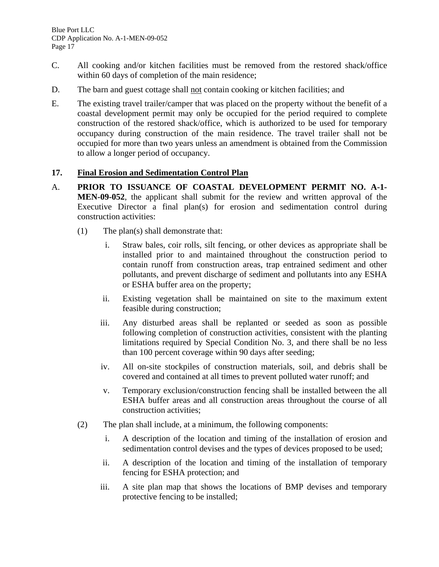- C. All cooking and/or kitchen facilities must be removed from the restored shack/office within 60 days of completion of the main residence;
- D. The barn and guest cottage shall not contain cooking or kitchen facilities; and
- E. The existing travel trailer/camper that was placed on the property without the benefit of a coastal development permit may only be occupied for the period required to complete construction of the restored shack/office, which is authorized to be used for temporary occupancy during construction of the main residence. The travel trailer shall not be occupied for more than two years unless an amendment is obtained from the Commission to allow a longer period of occupancy.

#### **17. Final Erosion and Sedimentation Control Plan**

- A. **PRIOR TO ISSUANCE OF COASTAL DEVELOPMENT PERMIT NO. A-1- MEN-09-052**, the applicant shall submit for the review and written approval of the Executive Director a final plan(s) for erosion and sedimentation control during construction activities:
	- (1) The plan(s) shall demonstrate that:
		- i. Straw bales, coir rolls, silt fencing, or other devices as appropriate shall be installed prior to and maintained throughout the construction period to contain runoff from construction areas, trap entrained sediment and other pollutants, and prevent discharge of sediment and pollutants into any ESHA or ESHA buffer area on the property;
		- ii. Existing vegetation shall be maintained on site to the maximum extent feasible during construction;
		- iii. Any disturbed areas shall be replanted or seeded as soon as possible following completion of construction activities, consistent with the planting limitations required by Special Condition No. 3, and there shall be no less than 100 percent coverage within 90 days after seeding;
		- iv. All on-site stockpiles of construction materials, soil, and debris shall be covered and contained at all times to prevent polluted water runoff; and
		- v. Temporary exclusion/construction fencing shall be installed between the all ESHA buffer areas and all construction areas throughout the course of all construction activities;
	- (2) The plan shall include, at a minimum, the following components:
		- i. A description of the location and timing of the installation of erosion and sedimentation control devises and the types of devices proposed to be used;
		- ii. A description of the location and timing of the installation of temporary fencing for ESHA protection; and
		- iii. A site plan map that shows the locations of BMP devises and temporary protective fencing to be installed;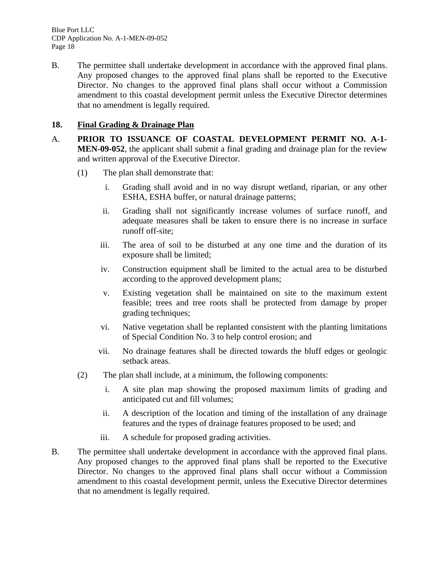B. The permittee shall undertake development in accordance with the approved final plans. Any proposed changes to the approved final plans shall be reported to the Executive Director. No changes to the approved final plans shall occur without a Commission amendment to this coastal development permit unless the Executive Director determines that no amendment is legally required.

#### **18. Final Grading & Drainage Plan**

- A. **PRIOR TO ISSUANCE OF COASTAL DEVELOPMENT PERMIT NO. A-1- MEN-09-052**, the applicant shall submit a final grading and drainage plan for the review and written approval of the Executive Director.
	- (1) The plan shall demonstrate that:
		- i. Grading shall avoid and in no way disrupt wetland, riparian, or any other ESHA, ESHA buffer, or natural drainage patterns;
		- ii. Grading shall not significantly increase volumes of surface runoff, and adequate measures shall be taken to ensure there is no increase in surface runoff off-site;
		- iii. The area of soil to be disturbed at any one time and the duration of its exposure shall be limited;
		- iv. Construction equipment shall be limited to the actual area to be disturbed according to the approved development plans;
		- v. Existing vegetation shall be maintained on site to the maximum extent feasible; trees and tree roots shall be protected from damage by proper grading techniques;
		- vi. Native vegetation shall be replanted consistent with the planting limitations of Special Condition No. 3 to help control erosion; and
		- vii. No drainage features shall be directed towards the bluff edges or geologic setback areas.
	- (2) The plan shall include, at a minimum, the following components:
		- i. A site plan map showing the proposed maximum limits of grading and anticipated cut and fill volumes;
		- ii. A description of the location and timing of the installation of any drainage features and the types of drainage features proposed to be used; and
		- iii. A schedule for proposed grading activities.
- B. The permittee shall undertake development in accordance with the approved final plans. Any proposed changes to the approved final plans shall be reported to the Executive Director. No changes to the approved final plans shall occur without a Commission amendment to this coastal development permit, unless the Executive Director determines that no amendment is legally required.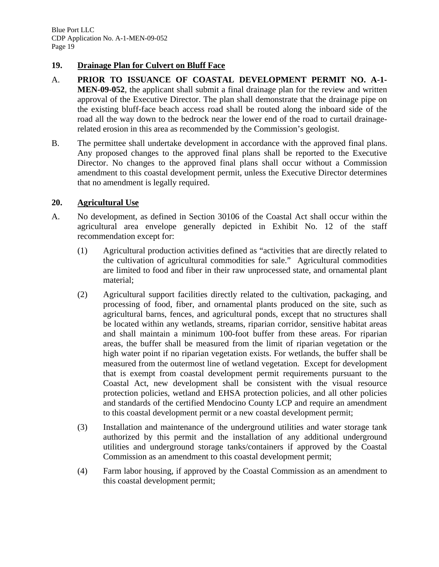#### **19. Drainage Plan for Culvert on Bluff Face**

- A. **PRIOR TO ISSUANCE OF COASTAL DEVELOPMENT PERMIT NO. A-1- MEN-09-052**, the applicant shall submit a final drainage plan for the review and written approval of the Executive Director. The plan shall demonstrate that the drainage pipe on the existing bluff-face beach access road shall be routed along the inboard side of the road all the way down to the bedrock near the lower end of the road to curtail drainagerelated erosion in this area as recommended by the Commission's geologist.
- B. The permittee shall undertake development in accordance with the approved final plans. Any proposed changes to the approved final plans shall be reported to the Executive Director. No changes to the approved final plans shall occur without a Commission amendment to this coastal development permit, unless the Executive Director determines that no amendment is legally required.

#### **20. Agricultural Use**

- A. No development, as defined in Section 30106 of the Coastal Act shall occur within the agricultural area envelope generally depicted in Exhibit No. 12 of the staff recommendation except for:
	- (1) Agricultural production activities defined as "activities that are directly related to the cultivation of agricultural commodities for sale." Agricultural commodities are limited to food and fiber in their raw unprocessed state, and ornamental plant material;
	- (2) Agricultural support facilities directly related to the cultivation, packaging, and processing of food, fiber, and ornamental plants produced on the site, such as agricultural barns, fences, and agricultural ponds, except that no structures shall be located within any wetlands, streams, riparian corridor, sensitive habitat areas and shall maintain a minimum 100-foot buffer from these areas. For riparian areas, the buffer shall be measured from the limit of riparian vegetation or the high water point if no riparian vegetation exists. For wetlands, the buffer shall be measured from the outermost line of wetland vegetation. Except for development that is exempt from coastal development permit requirements pursuant to the Coastal Act, new development shall be consistent with the visual resource protection policies, wetland and EHSA protection policies, and all other policies and standards of the certified Mendocino County LCP and require an amendment to this coastal development permit or a new coastal development permit;
	- (3) Installation and maintenance of the underground utilities and water storage tank authorized by this permit and the installation of any additional underground utilities and underground storage tanks/containers if approved by the Coastal Commission as an amendment to this coastal development permit;
	- (4) Farm labor housing, if approved by the Coastal Commission as an amendment to this coastal development permit;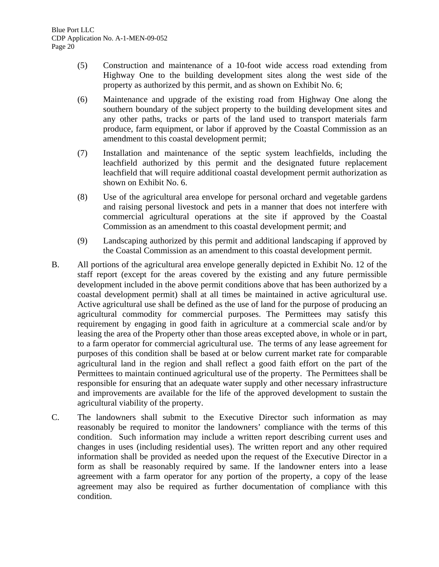- (5) Construction and maintenance of a 10-foot wide access road extending from Highway One to the building development sites along the west side of the property as authorized by this permit, and as shown on Exhibit No. 6;
- (6) Maintenance and upgrade of the existing road from Highway One along the southern boundary of the subject property to the building development sites and any other paths, tracks or parts of the land used to transport materials farm produce, farm equipment, or labor if approved by the Coastal Commission as an amendment to this coastal development permit;
- (7) Installation and maintenance of the septic system leachfields, including the leachfield authorized by this permit and the designated future replacement leachfield that will require additional coastal development permit authorization as shown on Exhibit No. 6.
- (8) Use of the agricultural area envelope for personal orchard and vegetable gardens and raising personal livestock and pets in a manner that does not interfere with commercial agricultural operations at the site if approved by the Coastal Commission as an amendment to this coastal development permit; and
- (9) Landscaping authorized by this permit and additional landscaping if approved by the Coastal Commission as an amendment to this coastal development permit.
- B. All portions of the agricultural area envelope generally depicted in Exhibit No. 12 of the staff report (except for the areas covered by the existing and any future permissible development included in the above permit conditions above that has been authorized by a coastal development permit) shall at all times be maintained in active agricultural use. Active agricultural use shall be defined as the use of land for the purpose of producing an agricultural commodity for commercial purposes. The Permittees may satisfy this requirement by engaging in good faith in agriculture at a commercial scale and/or by leasing the area of the Property other than those areas excepted above, in whole or in part, to a farm operator for commercial agricultural use. The terms of any lease agreement for purposes of this condition shall be based at or below current market rate for comparable agricultural land in the region and shall reflect a good faith effort on the part of the Permittees to maintain continued agricultural use of the property. The Permittees shall be responsible for ensuring that an adequate water supply and other necessary infrastructure and improvements are available for the life of the approved development to sustain the agricultural viability of the property.
- C. The landowners shall submit to the Executive Director such information as may reasonably be required to monitor the landowners' compliance with the terms of this condition. Such information may include a written report describing current uses and changes in uses (including residential uses). The written report and any other required information shall be provided as needed upon the request of the Executive Director in a form as shall be reasonably required by same. If the landowner enters into a lease agreement with a farm operator for any portion of the property, a copy of the lease agreement may also be required as further documentation of compliance with this condition.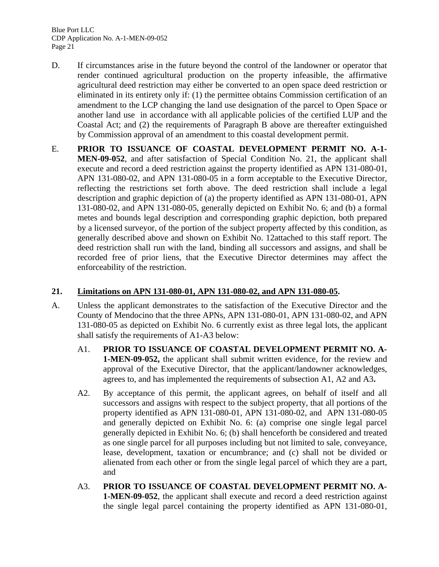- D. If circumstances arise in the future beyond the control of the landowner or operator that render continued agricultural production on the property infeasible, the affirmative agricultural deed restriction may either be converted to an open space deed restriction or eliminated in its entirety only if: (1) the permittee obtains Commission certification of an amendment to the LCP changing the land use designation of the parcel to Open Space or another land use in accordance with all applicable policies of the certified LUP and the Coastal Act; and (2) the requirements of Paragraph B above are thereafter extinguished by Commission approval of an amendment to this coastal development permit.
- E. **PRIOR TO ISSUANCE OF COASTAL DEVELOPMENT PERMIT NO. A-1- MEN-09-052**, and after satisfaction of Special Condition No. 21, the applicant shall execute and record a deed restriction against the property identified as APN 131-080-01, APN 131-080-02, and APN 131-080-05 in a form acceptable to the Executive Director, reflecting the restrictions set forth above. The deed restriction shall include a legal description and graphic depiction of (a) the property identified as APN 131-080-01, APN 131-080-02, and APN 131-080-05, generally depicted on Exhibit No. 6; and (b) a formal metes and bounds legal description and corresponding graphic depiction, both prepared by a licensed surveyor, of the portion of the subject property affected by this condition, as generally described above and shown on Exhibit No. 12attached to this staff report. The deed restriction shall run with the land, binding all successors and assigns, and shall be recorded free of prior liens, that the Executive Director determines may affect the enforceability of the restriction.

#### **21. Limitations on APN 131-080-01, APN 131-080-02, and APN 131-080-05.**

- A. Unless the applicant demonstrates to the satisfaction of the Executive Director and the County of Mendocino that the three APNs, APN 131-080-01, APN 131-080-02, and APN 131-080-05 as depicted on Exhibit No. 6 currently exist as three legal lots, the applicant shall satisfy the requirements of A1-A3 below:
	- A1. **PRIOR TO ISSUANCE OF COASTAL DEVELOPMENT PERMIT NO. A-1-MEN-09-052,** the applicant shall submit written evidence, for the review and approval of the Executive Director, that the applicant/landowner acknowledges, agrees to, and has implemented the requirements of subsection A1, A2 and A3**.**
	- A2. By acceptance of this permit, the applicant agrees, on behalf of itself and all successors and assigns with respect to the subject property, that all portions of the property identified as APN 131-080-01, APN 131-080-02, and APN 131-080-05 and generally depicted on Exhibit No. 6: (a) comprise one single legal parcel generally depicted in Exhibit No. 6; (b) shall henceforth be considered and treated as one single parcel for all purposes including but not limited to sale, conveyance, lease, development, taxation or encumbrance; and (c) shall not be divided or alienated from each other or from the single legal parcel of which they are a part, and
	- A3. **PRIOR TO ISSUANCE OF COASTAL DEVELOPMENT PERMIT NO. A-1-MEN-09-052**, the applicant shall execute and record a deed restriction against the single legal parcel containing the property identified as APN 131-080-01,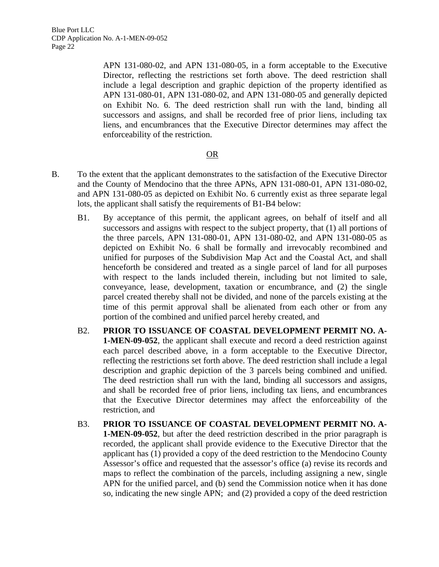> APN 131-080-02, and APN 131-080-05, in a form acceptable to the Executive Director, reflecting the restrictions set forth above. The deed restriction shall include a legal description and graphic depiction of the property identified as APN 131-080-01, APN 131-080-02, and APN 131-080-05 and generally depicted on Exhibit No. 6. The deed restriction shall run with the land, binding all successors and assigns, and shall be recorded free of prior liens, including tax liens, and encumbrances that the Executive Director determines may affect the enforceability of the restriction.

#### <u>OR</u>

- B. To the extent that the applicant demonstrates to the satisfaction of the Executive Director and the County of Mendocino that the three APNs, APN 131-080-01, APN 131-080-02, and APN 131-080-05 as depicted on Exhibit No. 6 currently exist as three separate legal lots, the applicant shall satisfy the requirements of B1-B4 below:
	- B1. By acceptance of this permit, the applicant agrees, on behalf of itself and all successors and assigns with respect to the subject property, that (1) all portions of the three parcels, APN 131-080-01, APN 131-080-02, and APN 131-080-05 as depicted on Exhibit No. 6 shall be formally and irrevocably recombined and unified for purposes of the Subdivision Map Act and the Coastal Act, and shall henceforth be considered and treated as a single parcel of land for all purposes with respect to the lands included therein, including but not limited to sale, conveyance, lease, development, taxation or encumbrance, and (2) the single parcel created thereby shall not be divided, and none of the parcels existing at the time of this permit approval shall be alienated from each other or from any portion of the combined and unified parcel hereby created, and
	- B2. **PRIOR TO ISSUANCE OF COASTAL DEVELOPMENT PERMIT NO. A-1-MEN-09-052**, the applicant shall execute and record a deed restriction against each parcel described above, in a form acceptable to the Executive Director, reflecting the restrictions set forth above. The deed restriction shall include a legal description and graphic depiction of the 3 parcels being combined and unified. The deed restriction shall run with the land, binding all successors and assigns, and shall be recorded free of prior liens, including tax liens, and encumbrances that the Executive Director determines may affect the enforceability of the restriction, and
	- B3. **PRIOR TO ISSUANCE OF COASTAL DEVELOPMENT PERMIT NO. A-1-MEN-09-052**, but after the deed restriction described in the prior paragraph is recorded, the applicant shall provide evidence to the Executive Director that the applicant has (1) provided a copy of the deed restriction to the Mendocino County Assessor's office and requested that the assessor's office (a) revise its records and maps to reflect the combination of the parcels, including assigning a new, single APN for the unified parcel, and (b) send the Commission notice when it has done so, indicating the new single APN; and (2) provided a copy of the deed restriction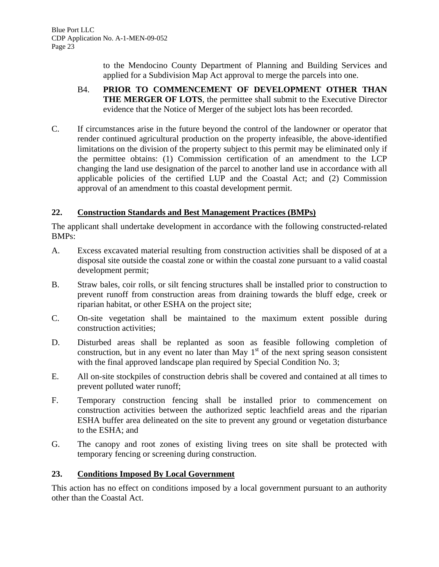to the Mendocino County Department of Planning and Building Services and applied for a Subdivision Map Act approval to merge the parcels into one.

- B4. **PRIOR TO COMMENCEMENT OF DEVELOPMENT OTHER THAN THE MERGER OF LOTS**, the permittee shall submit to the Executive Director evidence that the Notice of Merger of the subject lots has been recorded.
- C. If circumstances arise in the future beyond the control of the landowner or operator that render continued agricultural production on the property infeasible, the above-identified limitations on the division of the property subject to this permit may be eliminated only if the permittee obtains: (1) Commission certification of an amendment to the LCP changing the land use designation of the parcel to another land use in accordance with all applicable policies of the certified LUP and the Coastal Act; and (2) Commission approval of an amendment to this coastal development permit.

#### **22. Construction Standards and Best Management Practices (BMPs)**

The applicant shall undertake development in accordance with the following constructed-related BMPs:

- A. Excess excavated material resulting from construction activities shall be disposed of at a disposal site outside the coastal zone or within the coastal zone pursuant to a valid coastal development permit;
- B. Straw bales, coir rolls, or silt fencing structures shall be installed prior to construction to prevent runoff from construction areas from draining towards the bluff edge, creek or riparian habitat, or other ESHA on the project site;
- C. On-site vegetation shall be maintained to the maximum extent possible during construction activities;
- D. Disturbed areas shall be replanted as soon as feasible following completion of construction, but in any event no later than May  $1<sup>st</sup>$  of the next spring season consistent with the final approved landscape plan required by Special Condition No. 3;
- E. All on-site stockpiles of construction debris shall be covered and contained at all times to prevent polluted water runoff;
- F. Temporary construction fencing shall be installed prior to commencement on construction activities between the authorized septic leachfield areas and the riparian ESHA buffer area delineated on the site to prevent any ground or vegetation disturbance to the ESHA; and
- G. The canopy and root zones of existing living trees on site shall be protected with temporary fencing or screening during construction.

#### **23. Conditions Imposed By Local Government**

This action has no effect on conditions imposed by a local government pursuant to an authority other than the Coastal Act.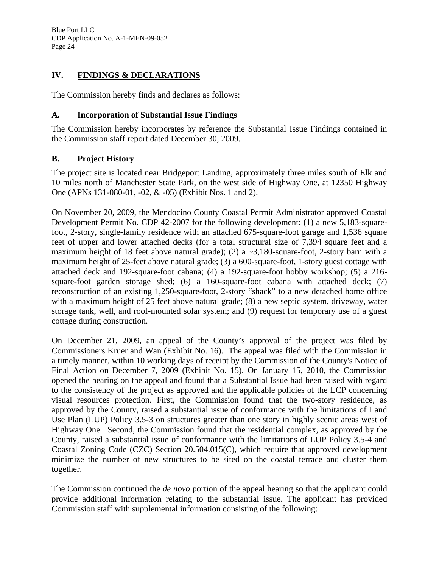#### **IV. FINDINGS & DECLARATIONS**

The Commission hereby finds and declares as follows:

#### **A. Incorporation of Substantial Issue Findings**

The Commission hereby incorporates by reference the Substantial Issue Findings contained in the Commission staff report dated December 30, 2009.

#### **B. Project History**

The project site is located near Bridgeport Landing, approximately three miles south of Elk and 10 miles north of Manchester State Park, on the west side of Highway One, at 12350 Highway One (APNs 131-080-01, -02, & -05) (Exhibit Nos. 1 and 2).

On November 20, 2009, the Mendocino County Coastal Permit Administrator approved Coastal Development Permit No. CDP 42-2007 for the following development: (1) a new 5,183-squarefoot, 2-story, single-family residence with an attached 675-square-foot garage and 1,536 square feet of upper and lower attached decks (for a total structural size of 7,394 square feet and a maximum height of 18 feet above natural grade); (2) a  $\sim$ 3,180-square-foot, 2-story barn with a maximum height of 25-feet above natural grade; (3) a 600-square-foot, 1-story guest cottage with attached deck and 192-square-foot cabana; (4) a 192-square-foot hobby workshop; (5) a 216 square-foot garden storage shed; (6) a 160-square-foot cabana with attached deck; (7) reconstruction of an existing 1,250-square-foot, 2-story "shack" to a new detached home office with a maximum height of 25 feet above natural grade; (8) a new septic system, driveway, water storage tank, well, and roof-mounted solar system; and (9) request for temporary use of a guest cottage during construction.

On December 21, 2009, an appeal of the County's approval of the project was filed by Commissioners Kruer and Wan (Exhibit No. 16). The appeal was filed with the Commission in a timely manner, within 10 working days of receipt by the Commission of the County's Notice of Final Action on December 7, 2009 (Exhibit No. 15). On January 15, 2010, the Commission opened the hearing on the appeal and found that a Substantial Issue had been raised with regard to the consistency of the project as approved and the applicable policies of the LCP concerning visual resources protection. First, the Commission found that the two-story residence, as approved by the County, raised a substantial issue of conformance with the limitations of Land Use Plan (LUP) Policy 3.5-3 on structures greater than one story in highly scenic areas west of Highway One. Second, the Commission found that the residential complex, as approved by the County, raised a substantial issue of conformance with the limitations of LUP Policy 3.5-4 and Coastal Zoning Code (CZC) Section 20.504.015(C), which require that approved development minimize the number of new structures to be sited on the coastal terrace and cluster them together.

The Commission continued the *de novo* portion of the appeal hearing so that the applicant could provide additional information relating to the substantial issue. The applicant has provided Commission staff with supplemental information consisting of the following: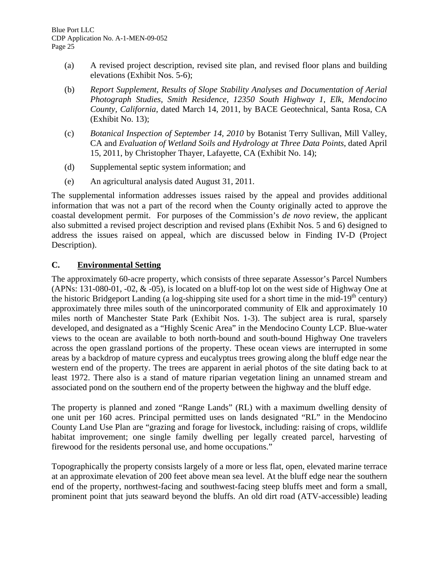- (a) A revised project description, revised site plan, and revised floor plans and building elevations (Exhibit Nos. 5-6);
- (b) *Report Supplement, Results of Slope Stability Analyses and Documentation of Aerial Photograph Studies, Smith Residence, 12350 South Highway 1, Elk, Mendocino County, California*, dated March 14, 2011, by BACE Geotechnical, Santa Rosa, CA (Exhibit No. 13);
- (c) *Botanical Inspection of September 14, 2010* by Botanist Terry Sullivan, Mill Valley, CA and *Evaluation of Wetland Soils and Hydrology at Three Data Points*, dated April 15, 2011, by Christopher Thayer, Lafayette, CA (Exhibit No. 14);
- (d) Supplemental septic system information; and
- (e) An agricultural analysis dated August 31, 2011.

The supplemental information addresses issues raised by the appeal and provides additional information that was not a part of the record when the County originally acted to approve the coastal development permit. For purposes of the Commission's *de novo* review, the applicant also submitted a revised project description and revised plans (Exhibit Nos. 5 and 6) designed to address the issues raised on appeal, which are discussed below in Finding IV-D (Project Description).

#### **C. Environmental Setting**

The approximately 60-acre property, which consists of three separate Assessor's Parcel Numbers (APNs: 131-080-01, -02, & -05), is located on a bluff-top lot on the west side of Highway One at the historic Bridgeport Landing (a log-shipping site used for a short time in the mid-19<sup>th</sup> century) approximately three miles south of the unincorporated community of Elk and approximately 10 miles north of Manchester State Park (Exhibit Nos. 1-3). The subject area is rural, sparsely developed, and designated as a "Highly Scenic Area" in the Mendocino County LCP. Blue-water views to the ocean are available to both north-bound and south-bound Highway One travelers across the open grassland portions of the property. These ocean views are interrupted in some areas by a backdrop of mature cypress and eucalyptus trees growing along the bluff edge near the western end of the property. The trees are apparent in aerial photos of the site dating back to at least 1972. There also is a stand of mature riparian vegetation lining an unnamed stream and associated pond on the southern end of the property between the highway and the bluff edge.

The property is planned and zoned "Range Lands" (RL) with a maximum dwelling density of one unit per 160 acres. Principal permitted uses on lands designated "RL" in the Mendocino County Land Use Plan are "grazing and forage for livestock, including: raising of crops, wildlife habitat improvement; one single family dwelling per legally created parcel, harvesting of firewood for the residents personal use, and home occupations."

Topographically the property consists largely of a more or less flat, open, elevated marine terrace at an approximate elevation of 200 feet above mean sea level. At the bluff edge near the southern end of the property, northwest-facing and southwest-facing steep bluffs meet and form a small, prominent point that juts seaward beyond the bluffs. An old dirt road (ATV-accessible) leading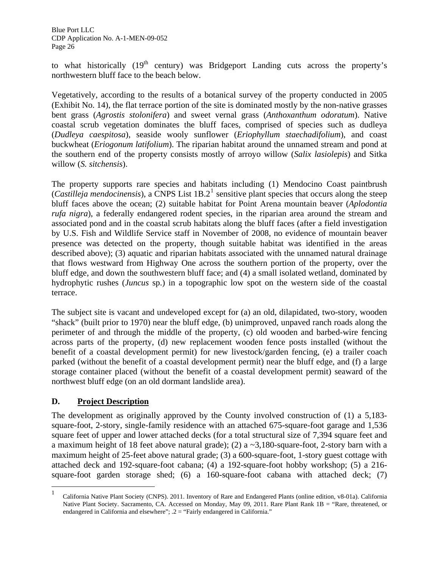to what historically  $(19<sup>th</sup>$  century) was Bridgeport Landing cuts across the property's northwestern bluff face to the beach below.

Vegetatively, according to the results of a botanical survey of the property conducted in 2005 (Exhibit No. 14), the flat terrace portion of the site is dominated mostly by the non-native grasses bent grass (*Agrostis stolonifera*) and sweet vernal grass (*Anthoxanthum odoratum*). Native coastal scrub vegetation dominates the bluff faces, comprised of species such as dudleya (*Dudleya caespitosa*), seaside wooly sunflower (*Eriophyllum staechadifolium*), and coast buckwheat (*Eriogonum latifolium*). The riparian habitat around the unnamed stream and pond at the southern end of the property consists mostly of arroyo willow (*Salix lasiolepis*) and Sitka willow (*S. sitchensis*).

The property supports rare species and habitats including (1) Mendocino Coast paintbrush  $(Castilleja$  mendocinensis), a CNPS List  $1B.2<sup>1</sup>$  $1B.2<sup>1</sup>$  sensitive plant species that occurs along the steep bluff faces above the ocean; (2) suitable habitat for Point Arena mountain beaver (*Aplodontia rufa nigra*), a federally endangered rodent species, in the riparian area around the stream and associated pond and in the coastal scrub habitats along the bluff faces (after a field investigation by U.S. Fish and Wildlife Service staff in November of 2008, no evidence of mountain beaver presence was detected on the property, though suitable habitat was identified in the areas described above); (3) aquatic and riparian habitats associated with the unnamed natural drainage that flows westward from Highway One across the southern portion of the property, over the bluff edge, and down the southwestern bluff face; and (4) a small isolated wetland, dominated by hydrophytic rushes (*Juncus* sp.) in a topographic low spot on the western side of the coastal terrace.

The subject site is vacant and undeveloped except for (a) an old, dilapidated, two-story, wooden "shack" (built prior to 1970) near the bluff edge, (b) unimproved, unpaved ranch roads along the perimeter of and through the middle of the property, (c) old wooden and barbed-wire fencing across parts of the property, (d) new replacement wooden fence posts installed (without the benefit of a coastal development permit) for new livestock/garden fencing, (e) a trailer coach parked (without the benefit of a coastal development permit) near the bluff edge, and (f) a large storage container placed (without the benefit of a coastal development permit) seaward of the northwest bluff edge (on an old dormant landslide area).

#### **D. Project Description**

1

The development as originally approved by the County involved construction of (1) a 5,183 square-foot, 2-story, single-family residence with an attached 675-square-foot garage and 1,536 square feet of upper and lower attached decks (for a total structural size of 7,394 square feet and a maximum height of 18 feet above natural grade); (2) a  $\sim$ 3,180-square-foot, 2-story barn with a maximum height of 25-feet above natural grade; (3) a 600-square-foot, 1-story guest cottage with attached deck and 192-square-foot cabana; (4) a 192-square-foot hobby workshop; (5) a 216 square-foot garden storage shed; (6) a 160-square-foot cabana with attached deck; (7)

<sup>1</sup> California Native Plant Society (CNPS). 2011. Inventory of Rare and Endangered Plants (online edition, v8-01a). California Native Plant Society. Sacramento, CA. Accessed on Monday, May 09, 2011. Rare Plant Rank 1B = "Rare, threatened, or endangered in California and elsewhere"; .2 = "Fairly endangered in California."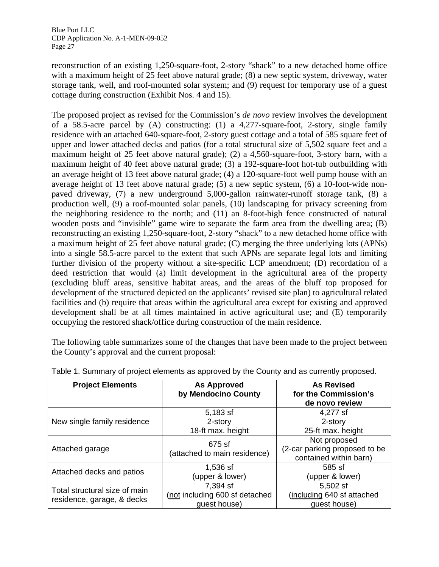reconstruction of an existing 1,250-square-foot, 2-story "shack" to a new detached home office with a maximum height of 25 feet above natural grade; (8) a new septic system, driveway, water storage tank, well, and roof-mounted solar system; and (9) request for temporary use of a guest cottage during construction (Exhibit Nos. 4 and 15).

The proposed project as revised for the Commission's *de novo* review involves the development of a 58.5-acre parcel by (A) constructing: (1) a 4,277-square-foot, 2-story, single family residence with an attached 640-square-foot, 2-story guest cottage and a total of 585 square feet of upper and lower attached decks and patios (for a total structural size of 5,502 square feet and a maximum height of 25 feet above natural grade); (2) a 4,560-square-foot, 3-story barn, with a maximum height of 40 feet above natural grade; (3) a 192-square-foot hot-tub outbuilding with an average height of 13 feet above natural grade; (4) a 120-square-foot well pump house with an average height of 13 feet above natural grade; (5) a new septic system, (6) a 10-foot-wide nonpaved driveway, (7) a new underground 5,000-gallon rainwater-runoff storage tank, (8) a production well, (9) a roof-mounted solar panels, (10) landscaping for privacy screening from the neighboring residence to the north; and (11) an 8-foot-high fence constructed of natural wooden posts and "invisible" game wire to separate the farm area from the dwelling area; (B) reconstructing an existing 1,250-square-foot, 2-story "shack" to a new detached home office with a maximum height of 25 feet above natural grade; (C) merging the three underlying lots (APNs) into a single 58.5-acre parcel to the extent that such APNs are separate legal lots and limiting further division of the property without a site-specific LCP amendment; (D) recordation of a deed restriction that would (a) limit development in the agricultural area of the property (excluding bluff areas, sensitive habitat areas, and the areas of the bluff top proposed for development of the structured depicted on the applicants' revised site plan) to agricultural related facilities and (b) require that areas within the agricultural area except for existing and approved development shall be at all times maintained in active agricultural use; and (E) temporarily occupying the restored shack/office during construction of the main residence.

The following table summarizes some of the changes that have been made to the project between the County's approval and the current proposal:

<span id="page-31-0"></span>

| <b>Project Elements</b>       | <b>As Approved</b><br>by Mendocino County | <b>As Revised</b><br>for the Commission's<br>de novo review |
|-------------------------------|-------------------------------------------|-------------------------------------------------------------|
|                               | 5,183 sf                                  | 4,277 sf                                                    |
| New single family residence   | 2-story                                   | 2-story                                                     |
|                               | 18-ft max. height                         | 25-ft max. height                                           |
|                               | 675 sf                                    | Not proposed                                                |
| Attached garage               | (attached to main residence)              | (2-car parking proposed to be                               |
|                               |                                           | contained within barn)                                      |
| Attached decks and patios     | 1,536 sf                                  | 585 sf                                                      |
|                               | (upper & lower)                           | (upper & lower)                                             |
| Total structural size of main | 7,394 sf                                  | 5,502 sf                                                    |
|                               | (not including 600 sf detached            | (including 640 sf attached                                  |
| residence, garage, & decks    | guest house)                              | guest house)                                                |

Table 1. Summary of project elements as approved by the County and as currently proposed.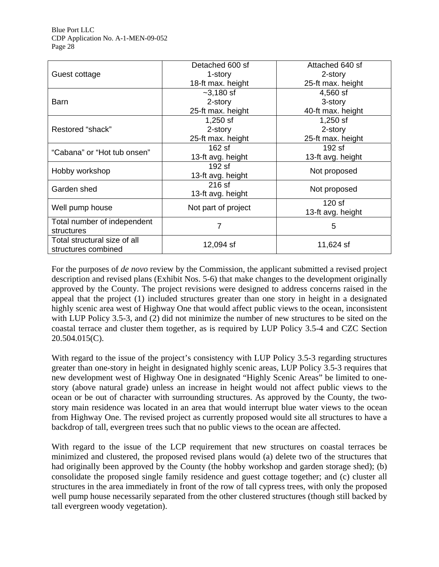|                              | Detached 600 sf     | Attached 640 sf   |  |
|------------------------------|---------------------|-------------------|--|
| Guest cottage                | 1-story             | 2-story           |  |
|                              | 18-ft max. height   | 25-ft max. height |  |
|                              | $-3,180$ sf         | 4,560 sf          |  |
| <b>Barn</b>                  | 2-story             | 3-story           |  |
|                              | 25-ft max. height   | 40-ft max. height |  |
|                              | $1,250$ sf          | $1,250$ sf        |  |
| Restored "shack"             | 2-story             | 2-story           |  |
|                              | 25-ft max. height   | 25-ft max. height |  |
| "Cabana" or "Hot tub onsen"  | 162 sf              | 192 sf            |  |
|                              | 13-ft avg. height   | 13-ft avg. height |  |
| Hobby workshop               | 192 sf              | Not proposed      |  |
|                              | 13-ft avg. height   |                   |  |
| Garden shed                  | 216 sf              | Not proposed      |  |
|                              | 13-ft avg. height   |                   |  |
| Well pump house              |                     | $120$ sf          |  |
|                              | Not part of project | 13-ft avg. height |  |
| Total number of independent  | 7                   | 5                 |  |
| structures                   |                     |                   |  |
| Total structural size of all |                     |                   |  |
| structures combined          | 12,094 sf           | 11,624 sf         |  |

For the purposes of *de novo* review by the Commission, the applicant submitted a revised project description and revised plans (Exhibit Nos. 5-6) that make changes to the development originally approved by the County. The project revisions were designed to address concerns raised in the appeal that the project (1) included structures greater than one story in height in a designated highly scenic area west of Highway One that would affect public views to the ocean, inconsistent with LUP Policy 3.5-3, and (2) did not minimize the number of new structures to be sited on the coastal terrace and cluster them together, as is required by LUP Policy 3.5-4 and CZC Section 20.504.015(C).

With regard to the issue of the project's consistency with LUP Policy 3.5-3 regarding structures greater than one-story in height in designated highly scenic areas, LUP Policy 3.5-3 requires that new development west of Highway One in designated "Highly Scenic Areas" be limited to onestory (above natural grade) unless an increase in height would not affect public views to the ocean or be out of character with surrounding structures. As approved by the County, the twostory main residence was located in an area that would interrupt blue water views to the ocean from Highway One. The revised project as currently proposed would site all structures to have a backdrop of tall, evergreen trees such that no public views to the ocean are affected.

With regard to the issue of the LCP requirement that new structures on coastal terraces be minimized and clustered, the proposed revised plans would (a) delete two of the structures that had originally been approved by the County (the hobby workshop and garden storage shed); (b) consolidate the proposed single family residence and guest cottage together; and (c) cluster all structures in the area immediately in front of the row of tall cypress trees, with only the proposed well pump house necessarily separated from the other clustered structures (though still backed by tall evergreen woody vegetation).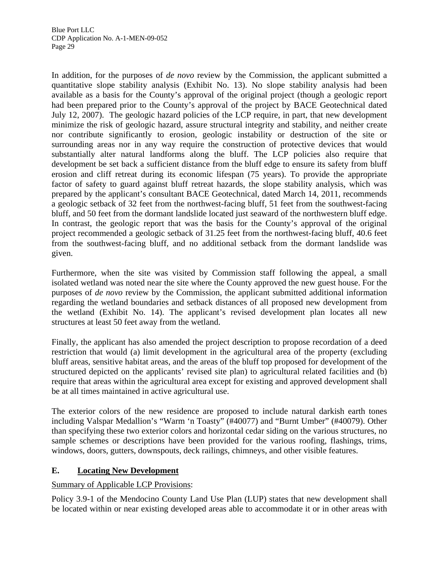In addition, for the purposes of *de novo* review by the Commission, the applicant submitted a quantitative slope stability analysis (Exhibit No. 13). No slope stability analysis had been available as a basis for the County's approval of the original project (though a geologic report had been prepared prior to the County's approval of the project by BACE Geotechnical dated July 12, 2007). The geologic hazard policies of the LCP require, in part, that new development minimize the risk of geologic hazard, assure structural integrity and stability, and neither create nor contribute significantly to erosion, geologic instability or destruction of the site or surrounding areas nor in any way require the construction of protective devices that would substantially alter natural landforms along the bluff. The LCP policies also require that development be set back a sufficient distance from the bluff edge to ensure its safety from bluff erosion and cliff retreat during its economic lifespan (75 years). To provide the appropriate factor of safety to guard against bluff retreat hazards, the slope stability analysis, which was prepared by the applicant's consultant BACE Geotechnical, dated March 14, 2011, recommends a geologic setback of 32 feet from the northwest-facing bluff, 51 feet from the southwest-facing bluff, and 50 feet from the dormant landslide located just seaward of the northwestern bluff edge. In contrast, the geologic report that was the basis for the County's approval of the original project recommended a geologic setback of 31.25 feet from the northwest-facing bluff, 40.6 feet from the southwest-facing bluff, and no additional setback from the dormant landslide was given.

Furthermore, when the site was visited by Commission staff following the appeal, a small isolated wetland was noted near the site where the County approved the new guest house. For the purposes of *de novo* review by the Commission, the applicant submitted additional information regarding the wetland boundaries and setback distances of all proposed new development from the wetland (Exhibit No. 14). The applicant's revised development plan locates all new structures at least 50 feet away from the wetland.

Finally, the applicant has also amended the project description to propose recordation of a deed restriction that would (a) limit development in the agricultural area of the property (excluding bluff areas, sensitive habitat areas, and the areas of the bluff top proposed for development of the structured depicted on the applicants' revised site plan) to agricultural related facilities and (b) require that areas within the agricultural area except for existing and approved development shall be at all times maintained in active agricultural use.

The exterior colors of the new residence are proposed to include natural darkish earth tones including Valspar Medallion's "Warm 'n Toasty" (#40077) and "Burnt Umber" (#40079). Other than specifying these two exterior colors and horizontal cedar siding on the various structures, no sample schemes or descriptions have been provided for the various roofing, flashings, trims, windows, doors, gutters, downspouts, deck railings, chimneys, and other visible features.

#### **E. Locating New Development**

#### Summary of Applicable LCP Provisions:

Policy 3.9-1 of the Mendocino County Land Use Plan (LUP) states that new development shall be located within or near existing developed areas able to accommodate it or in other areas with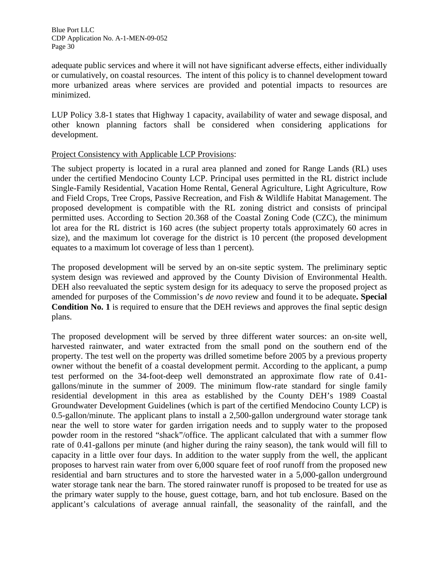adequate public services and where it will not have significant adverse effects, either individually or cumulatively, on coastal resources. The intent of this policy is to channel development toward more urbanized areas where services are provided and potential impacts to resources are minimized.

LUP Policy 3.8-1 states that Highway 1 capacity, availability of water and sewage disposal, and other known planning factors shall be considered when considering applications for development.

#### Project Consistency with Applicable LCP Provisions:

The subject property is located in a rural area planned and zoned for Range Lands (RL) uses under the certified Mendocino County LCP. Principal uses permitted in the RL district include Single-Family Residential, Vacation Home Rental, General Agriculture, Light Agriculture, Row and Field Crops, Tree Crops, Passive Recreation, and Fish & Wildlife Habitat Management. The proposed development is compatible with the RL zoning district and consists of principal permitted uses. According to Section 20.368 of the Coastal Zoning Code (CZC), the minimum lot area for the RL district is 160 acres (the subject property totals approximately 60 acres in size), and the maximum lot coverage for the district is 10 percent (the proposed development equates to a maximum lot coverage of less than 1 percent).

The proposed development will be served by an on-site septic system. The preliminary septic system design was reviewed and approved by the County Division of Environmental Health. DEH also reevaluated the septic system design for its adequacy to serve the proposed project as amended for purposes of the Commission's *de novo* review and found it to be adequate**. Special Condition No. 1** is required to ensure that the DEH reviews and approves the final septic design plans.

The proposed development will be served by three different water sources: an on-site well, harvested rainwater, and water extracted from the small pond on the southern end of the property. The test well on the property was drilled sometime before 2005 by a previous property owner without the benefit of a coastal development permit. According to the applicant, a pump test performed on the 34-foot-deep well demonstrated an approximate flow rate of 0.41 gallons/minute in the summer of 2009. The minimum flow-rate standard for single family residential development in this area as established by the County DEH's 1989 Coastal Groundwater Development Guidelines (which is part of the certified Mendocino County LCP) is 0.5-gallon/minute. The applicant plans to install a 2,500-gallon underground water storage tank near the well to store water for garden irrigation needs and to supply water to the proposed powder room in the restored "shack"/office. The applicant calculated that with a summer flow rate of 0.41-gallons per minute (and higher during the rainy season), the tank would will fill to capacity in a little over four days. In addition to the water supply from the well, the applicant proposes to harvest rain water from over 6,000 square feet of roof runoff from the proposed new residential and barn structures and to store the harvested water in a 5,000-gallon underground water storage tank near the barn. The stored rainwater runoff is proposed to be treated for use as the primary water supply to the house, guest cottage, barn, and hot tub enclosure. Based on the applicant's calculations of average annual rainfall, the seasonality of the rainfall, and the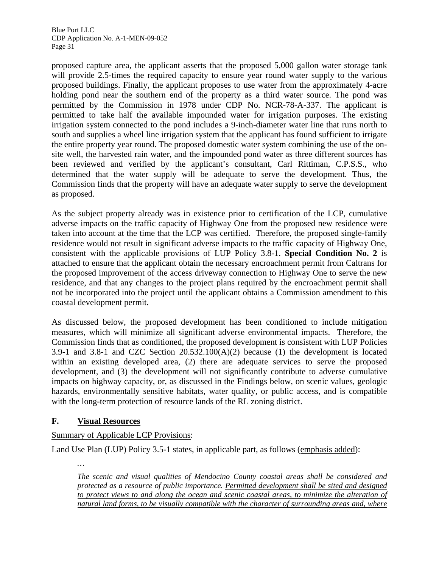proposed capture area, the applicant asserts that the proposed 5,000 gallon water storage tank will provide 2.5-times the required capacity to ensure year round water supply to the various proposed buildings. Finally, the applicant proposes to use water from the approximately 4-acre holding pond near the southern end of the property as a third water source. The pond was permitted by the Commission in 1978 under CDP No. NCR-78-A-337. The applicant is permitted to take half the available impounded water for irrigation purposes. The existing irrigation system connected to the pond includes a 9-inch-diameter water line that runs north to south and supplies a wheel line irrigation system that the applicant has found sufficient to irrigate the entire property year round. The proposed domestic water system combining the use of the onsite well, the harvested rain water, and the impounded pond water as three different sources has been reviewed and verified by the applicant's consultant, Carl Rittiman, C.P.S.S., who determined that the water supply will be adequate to serve the development. Thus, the Commission finds that the property will have an adequate water supply to serve the development as proposed.

As the subject property already was in existence prior to certification of the LCP, cumulative adverse impacts on the traffic capacity of Highway One from the proposed new residence were taken into account at the time that the LCP was certified. Therefore, the proposed single-family residence would not result in significant adverse impacts to the traffic capacity of Highway One, consistent with the applicable provisions of LUP Policy 3.8-1. **Special Condition No. 2** is attached to ensure that the applicant obtain the necessary encroachment permit from Caltrans for the proposed improvement of the access driveway connection to Highway One to serve the new residence, and that any changes to the project plans required by the encroachment permit shall not be incorporated into the project until the applicant obtains a Commission amendment to this coastal development permit.

As discussed below, the proposed development has been conditioned to include mitigation measures, which will minimize all significant adverse environmental impacts. Therefore, the Commission finds that as conditioned, the proposed development is consistent with LUP Policies 3.9-1 and 3.8-1 and CZC Section 20.532.100(A)(2) because (1) the development is located within an existing developed area, (2) there are adequate services to serve the proposed development, and (3) the development will not significantly contribute to adverse cumulative impacts on highway capacity, or, as discussed in the Findings below, on scenic values, geologic hazards, environmentally sensitive habitats, water quality, or public access, and is compatible with the long-term protection of resource lands of the RL zoning district.

#### **F. Visual Resources**

*…* 

#### Summary of Applicable LCP Provisions:

Land Use Plan (LUP) Policy 3.5-1 states, in applicable part, as follows (emphasis added):

*The scenic and visual qualities of Mendocino County coastal areas shall be considered and protected as a resource of public importance. Permitted development shall be sited and designed to protect views to and along the ocean and scenic coastal areas, to minimize the alteration of natural land forms, to be visually compatible with the character of surrounding areas and, where*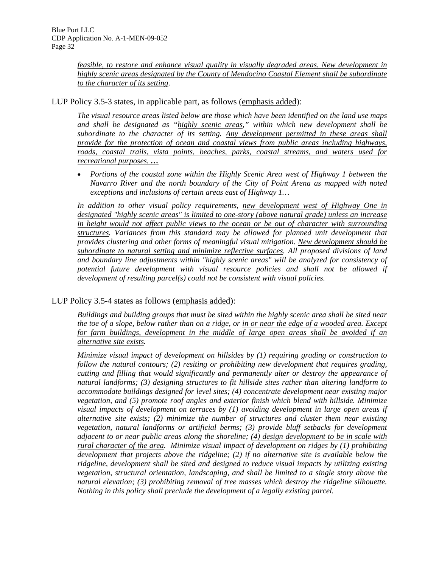*feasible, to restore and enhance visual quality in visually degraded areas. New development in highly scenic areas designated by the County of Mendocino Coastal Element shall be subordinate to the character of its setting*.

LUP Policy 3.5-3 states, in applicable part, as follows (emphasis added):

*The visual resource areas listed below are those which have been identified on the land use maps and shall be designated as "highly scenic areas," within which new development shall be subordinate to the character of its setting. Any development permitted in these areas shall provide for the protection of ocean and coastal views from public areas including highways, roads, coastal trails, vista points, beaches, parks, coastal streams, and waters used for recreational purposes. …*

 *Portions of the coastal zone within the Highly Scenic Area west of Highway 1 between the Navarro River and the north boundary of the City of Point Arena as mapped with noted exceptions and inclusions of certain areas east of Highway 1…*

In addition to other visual policy requirements, new development west of Highway One in *designated "highly scenic areas" is limited to one-story (above natural grade) unless an increase in height would not affect public views to the ocean or be out of character with surrounding structures. Variances from this standard may be allowed for planned unit development that provides clustering and other forms of meaningful visual mitigation. New development should be subordinate to natural setting and minimize reflective surfaces. All proposed divisions of land and boundary line adjustments within "highly scenic areas" will be analyzed for consistency of potential future development with visual resource policies and shall not be allowed if development of resulting parcel(s) could not be consistent with visual policies.*

## LUP Policy 3.5-4 states as follows (emphasis added):

*Buildings and building groups that must be sited within the highly scenic area shall be sited near the toe of a slope, below rather than on a ridge, or in or near the edge of a wooded area. Except for farm buildings, development in the middle of large open areas shall be avoided if an alternative site exists.* 

*Minimize visual impact of development on hillsides by (1) requiring grading or construction to follow the natural contours; (2) resiting or prohibiting new development that requires grading, cutting and filling that would significantly and permanently alter or destroy the appearance of natural landforms; (3) designing structures to fit hillside sites rather than altering landform to accommodate buildings designed for level sites; (4) concentrate development near existing major vegetation, and (5) promote roof angles and exterior finish which blend with hillside. Minimize visual impacts of development on terraces by (1) avoiding development in large open areas if alternative site exists; (2) minimize the number of structures and cluster them near existing vegetation, natural landforms or artificial berms; (3) provide bluff setbacks for development adjacent to or near public areas along the shoreline; (4) design development to be in scale with rural character of the area. Minimize visual impact of development on ridges by (1) prohibiting development that projects above the ridgeline; (2) if no alternative site is available below the ridgeline, development shall be sited and designed to reduce visual impacts by utilizing existing vegetation, structural orientation, landscaping, and shall be limited to a single story above the natural elevation; (3) prohibiting removal of tree masses which destroy the ridgeline silhouette. Nothing in this policy shall preclude the development of a legally existing parcel.*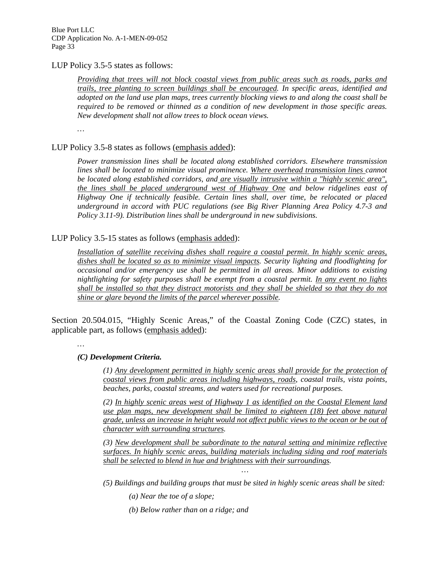### LUP Policy 3.5-5 states as follows:

*Providing that trees will not block coastal views from public areas such as roads, parks and trails, tree planting to screen buildings shall be encouraged. In specific areas, identified and adopted on the land use plan maps, trees currently blocking views to and along the coast shall be required to be removed or thinned as a condition of new development in those specific areas. New development shall not allow trees to block ocean views.* 

*…* 

## LUP Policy 3.5-8 states as follows (emphasis added):

*Power transmission lines shall be located along established corridors. Elsewhere transmission*  lines shall be located to minimize visual prominence. Where overhead transmission lines cannot *be located along established corridors, and are visually intrusive within a "highly scenic area", the lines shall be placed underground west of Highway One and below ridgelines east of Highway One if technically feasible. Certain lines shall, over time, be relocated or placed underground in accord with PUC regulations (see Big River Planning Area Policy 4.7-3 and Policy 3.11-9). Distribution lines shall be underground in new subdivisions.* 

### LUP Policy 3.5-15 states as follows (emphasis added):

*Installation of satellite receiving dishes shall require a coastal permit. In highly scenic areas, dishes shall be located so as to minimize visual impacts. Security lighting and floodlighting for occasional and/or emergency use shall be permitted in all areas. Minor additions to existing nightlighting for safety purposes shall be exempt from a coastal permit. In any event no lights shall be installed so that they distract motorists and they shall be shielded so that they do not shine or glare beyond the limits of the parcel wherever possible.* 

Section 20.504.015, "Highly Scenic Areas," of the Coastal Zoning Code (CZC) states, in applicable part, as follows (emphasis added):

*…* 

#### *(C) Development Criteria.*

*(1) Any development permitted in highly scenic areas shall provide for the protection of coastal views from public areas including highways, roads, coastal trails, vista points, beaches, parks, coastal streams, and waters used for recreational purposes.* 

*(2) In highly scenic areas west of Highway 1 as identified on the Coastal Element land use plan maps, new development shall be limited to eighteen (18) feet above natural grade, unless an increase in height would not affect public views to the ocean or be out of character with surrounding structures.* 

*(3) New development shall be subordinate to the natural setting and minimize reflective surfaces. In highly scenic areas, building materials including siding and roof materials shall be selected to blend in hue and brightness with their surroundings.* 

*… (5) Buildings and building groups that must be sited in highly scenic areas shall be sited:* 

*(a) Near the toe of a slope;* 

*(b) Below rather than on a ridge; and*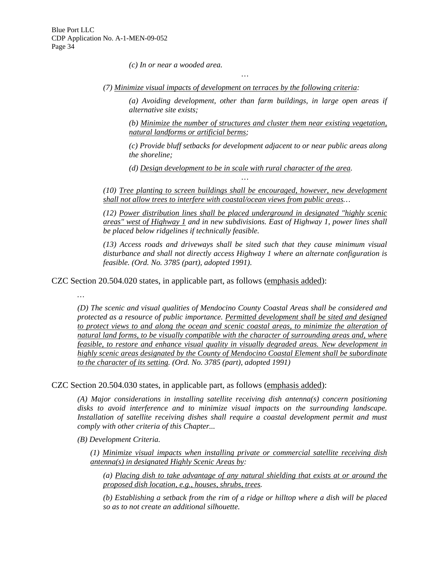*(c) In or near a wooded area.* 

*(7) Minimize visual impacts of development on terraces by the following criteria:* 

*…* 

*(a) Avoiding development, other than farm buildings, in large open areas if alternative site exists;* 

*(b) Minimize the number of structures and cluster them near existing vegetation, natural landforms or artificial berms;* 

*(c) Provide bluff setbacks for development adjacent to or near public areas along the shoreline;* 

*(d) Design development to be in scale with rural character of the area.* 

*(10) Tree planting to screen buildings shall be encouraged, however, new development shall not allow trees to interfere with coastal/ocean views from public areas…* 

*…* 

*(12) Power distribution lines shall be placed underground in designated "highly scenic areas" west of Highway 1 and in new subdivisions. East of Highway 1, power lines shall be placed below ridgelines if technically feasible.* 

*(13) Access roads and driveways shall be sited such that they cause minimum visual disturbance and shall not directly access Highway 1 where an alternate configuration is feasible. (Ord. No. 3785 (part), adopted 1991)*.

CZC Section 20.504.020 states, in applicable part, as follows (emphasis added):

*…* 

*(D) The scenic and visual qualities of Mendocino County Coastal Areas shall be considered and protected as a resource of public importance. Permitted development shall be sited and designed to protect views to and along the ocean and scenic coastal areas, to minimize the alteration of natural land forms, to be visually compatible with the character of surrounding areas and, where feasible, to restore and enhance visual quality in visually degraded areas. New development in highly scenic areas designated by the County of Mendocino Coastal Element shall be subordinate to the character of its setting. (Ord. No. 3785 (part), adopted 1991)* 

CZC Section 20.504.030 states, in applicable part, as follows (emphasis added):

*(A) Major considerations in installing satellite receiving dish antenna(s) concern positioning disks to avoid interference and to minimize visual impacts on the surrounding landscape.*  Installation of satellite receiving dishes shall require a coastal development permit and must *comply with other criteria of this Chapter...* 

*(B) Development Criteria.* 

*(1) Minimize visual impacts when installing private or commercial satellite receiving dish antenna(s) in designated Highly Scenic Areas by:* 

*(a) Placing dish to take advantage of any natural shielding that exists at or around the proposed dish location, e.g., houses, shrubs, trees.* 

*(b) Establishing a setback from the rim of a ridge or hilltop where a dish will be placed so as to not create an additional silhouette.*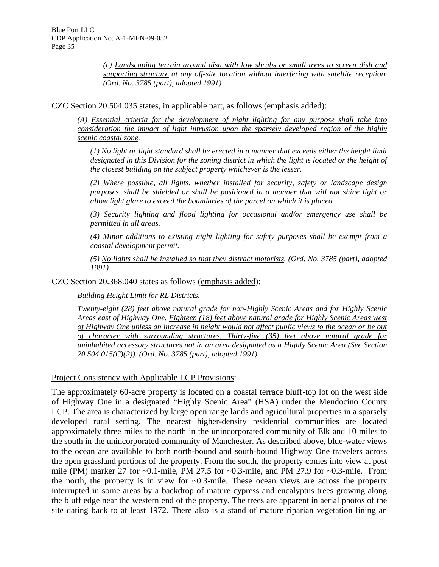*(c) Landscaping terrain around dish with low shrubs or small trees to screen dish and supporting structure at any off-site location without interfering with satellite reception. (Ord. No. 3785 (part), adopted 1991)* 

CZC Section 20.504.035 states, in applicable part, as follows (emphasis added):

*(A) Essential criteria for the development of night lighting for any purpose shall take into consideration the impact of light intrusion upon the sparsely developed region of the highly scenic coastal zone.* 

*(1) No light or light standard shall be erected in a manner that exceeds either the height limit designated in this Division for the zoning district in which the light is located or the height of the closest building on the subject property whichever is the lesser.* 

*(2) Where possible, all lights, whether installed for security, safety or landscape design purposes, shall be shielded or shall be positioned in a manner that will not shine light or allow light glare to exceed the boundaries of the parcel on which it is placed.* 

*(3) Security lighting and flood lighting for occasional and/or emergency use shall be permitted in all areas.* 

*(4) Minor additions to existing night lighting for safety purposes shall be exempt from a coastal development permit.* 

*(5) No lights shall be installed so that they distract motorists. (Ord. No. 3785 (part), adopted 1991)* 

CZC Section 20.368.040 states as follows (emphasis added):

*Building Height Limit for RL Districts.* 

*Twenty-eight (28) feet above natural grade for non-Highly Scenic Areas and for Highly Scenic Areas east of Highway One. Eighteen (18) feet above natural grade for Highly Scenic Areas west of Highway One unless an increase in height would not affect public views to the ocean or be out of character with surrounding structures. Thirty-five (35) feet above natural grade for uninhabited accessory structures not in an area designated as a Highly Scenic Area (See Section 20.504.015(C)(2)). (Ord. No. 3785 (part), adopted 1991)* 

Project Consistency with Applicable LCP Provisions:

The approximately 60-acre property is located on a coastal terrace bluff-top lot on the west side of Highway One in a designated "Highly Scenic Area" (HSA) under the Mendocino County LCP. The area is characterized by large open range lands and agricultural properties in a sparsely developed rural setting. The nearest higher-density residential communities are located approximately three miles to the north in the unincorporated community of Elk and 10 miles to the south in the unincorporated community of Manchester. As described above, blue-water views to the ocean are available to both north-bound and south-bound Highway One travelers across the open grassland portions of the property. From the south, the property comes into view at post mile (PM) marker 27 for  $\sim 0.1$ -mile, PM 27.5 for  $\sim 0.3$ -mile, and PM 27.9 for  $\sim 0.3$ -mile. From the north, the property is in view for  $\sim 0.3$ -mile. These ocean views are across the property interrupted in some areas by a backdrop of mature cypress and eucalyptus trees growing along the bluff edge near the western end of the property. The trees are apparent in aerial photos of the site dating back to at least 1972. There also is a stand of mature riparian vegetation lining an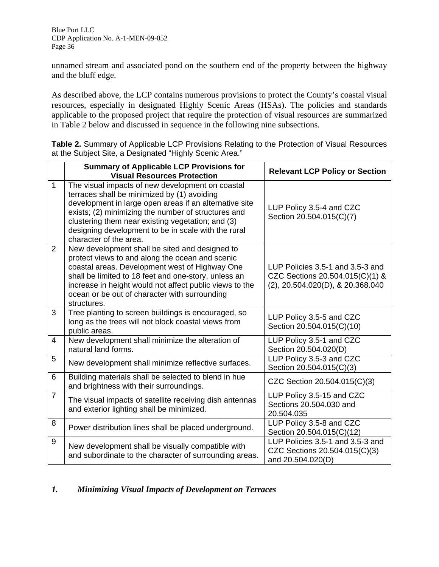unnamed stream and associated pond on the southern end of the property between the highway and the bluff edge.

As described above, the LCP contains numerous provisions to protect the County's coastal visual resources, especially in designated Highly Scenic Areas (HSAs). The policies and standards applicable to the proposed project that require the protection of visual resources are summarized in Table 2 below and discussed in sequence in the following nine subsections.

**Table 2.** Summary of Applicable LCP Provisions Relating to the Protection of Visual Resources at the Subject Site, a Designated "Highly Scenic Area."

|                  | <b>Summary of Applicable LCP Provisions for</b><br><b>Visual Resources Protection</b>                                                                                                                                                                                                                                                                  | <b>Relevant LCP Policy or Section</b>                                                                   |
|------------------|--------------------------------------------------------------------------------------------------------------------------------------------------------------------------------------------------------------------------------------------------------------------------------------------------------------------------------------------------------|---------------------------------------------------------------------------------------------------------|
| $\mathbf{1}$     | The visual impacts of new development on coastal<br>terraces shall be minimized by (1) avoiding<br>development in large open areas if an alternative site<br>exists; (2) minimizing the number of structures and<br>clustering them near existing vegetation; and (3)<br>designing development to be in scale with the rural<br>character of the area. | LUP Policy 3.5-4 and CZC<br>Section 20.504.015(C)(7)                                                    |
| $\overline{2}$   | New development shall be sited and designed to<br>protect views to and along the ocean and scenic<br>coastal areas. Development west of Highway One<br>shall be limited to 18 feet and one-story, unless an<br>increase in height would not affect public views to the<br>ocean or be out of character with surrounding<br>structures.                 | LUP Policies 3.5-1 and 3.5-3 and<br>CZC Sections 20.504.015(C)(1) &<br>(2), 20.504.020(D), & 20.368.040 |
| 3                | Tree planting to screen buildings is encouraged, so<br>long as the trees will not block coastal views from<br>public areas.                                                                                                                                                                                                                            | LUP Policy 3.5-5 and CZC<br>Section 20.504.015(C)(10)                                                   |
| 4                | New development shall minimize the alteration of<br>natural land forms.                                                                                                                                                                                                                                                                                | LUP Policy 3.5-1 and CZC<br>Section 20.504.020(D)                                                       |
| 5                | New development shall minimize reflective surfaces.                                                                                                                                                                                                                                                                                                    | LUP Policy 3.5-3 and CZC<br>Section 20.504.015(C)(3)                                                    |
| 6                | Building materials shall be selected to blend in hue<br>and brightness with their surroundings.                                                                                                                                                                                                                                                        | CZC Section 20.504.015(C)(3)                                                                            |
| $\overline{7}$   | The visual impacts of satellite receiving dish antennas<br>and exterior lighting shall be minimized.                                                                                                                                                                                                                                                   | LUP Policy 3.5-15 and CZC<br>Sections 20.504.030 and<br>20.504.035                                      |
| 8                | Power distribution lines shall be placed underground.                                                                                                                                                                                                                                                                                                  | LUP Policy 3.5-8 and CZC<br>Section 20.504.015(C)(12)                                                   |
| $\boldsymbol{9}$ | New development shall be visually compatible with<br>and subordinate to the character of surrounding areas.                                                                                                                                                                                                                                            | LUP Policies 3.5-1 and 3.5-3 and<br>CZC Sections 20.504.015(C)(3)<br>and 20.504.020(D)                  |

# *1. Minimizing Visual Impacts of Development on Terraces*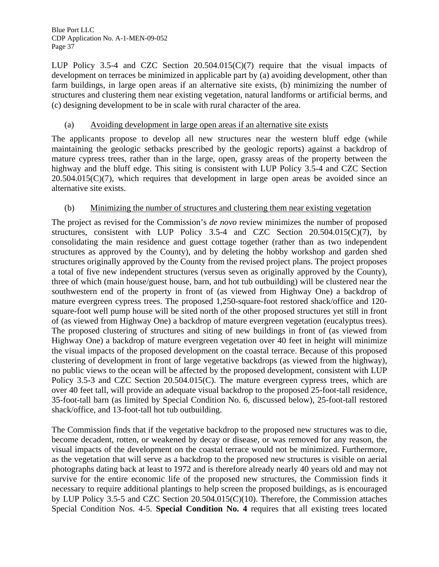LUP Policy 3.5-4 and CZC Section  $20.504.015(C)(7)$  require that the visual impacts of development on terraces be minimized in applicable part by (a) avoiding development, other than farm buildings, in large open areas if an alternative site exists, (b) minimizing the number of structures and clustering them near existing vegetation, natural landforms or artificial berms, and (c) designing development to be in scale with rural character of the area.

## (a) Avoiding development in large open areas if an alternative site exists

The applicants propose to develop all new structures near the western bluff edge (while maintaining the geologic setbacks prescribed by the geologic reports) against a backdrop of mature cypress trees, rather than in the large, open, grassy areas of the property between the highway and the bluff edge. This siting is consistent with LUP Policy 3.5-4 and CZC Section  $20.504.015(C)(7)$ , which requires that development in large open areas be avoided since an alternative site exists.

## (b) Minimizing the number of structures and clustering them near existing vegetation

The project as revised for the Commission's *de novo* review minimizes the number of proposed structures, consistent with LUP Policy 3.5-4 and CZC Section 20.504.015(C)(7), by consolidating the main residence and guest cottage together (rather than as two independent structures as approved by the County), and by deleting the hobby workshop and garden shed structures originally approved by the County from the revised project plans. The project proposes a total of five new independent structures (versus seven as originally approved by the County), three of which (main house/guest house, barn, and hot tub outbuilding) will be clustered near the southwestern end of the property in front of (as viewed from Highway One) a backdrop of mature evergreen cypress trees. The proposed 1,250-square-foot restored shack/office and 120 square-foot well pump house will be sited north of the other proposed structures yet still in front of (as viewed from Highway One) a backdrop of mature evergreen vegetation (eucalyptus trees). The proposed clustering of structures and siting of new buildings in front of (as viewed from Highway One) a backdrop of mature evergreen vegetation over 40 feet in height will minimize the visual impacts of the proposed development on the coastal terrace. Because of this proposed clustering of development in front of large vegetative backdrops (as viewed from the highway), no public views to the ocean will be affected by the proposed development, consistent with LUP Policy 3.5-3 and CZC Section 20.504.015(C). The mature evergreen cypress trees, which are over 40 feet tall, will provide an adequate visual backdrop to the proposed 25-foot-tall residence, 35-foot-tall barn (as limited by Special Condition No. 6, discussed below), 25-foot-tall restored shack/office, and 13-foot-tall hot tub outbuilding.

The Commission finds that if the vegetative backdrop to the proposed new structures was to die, become decadent, rotten, or weakened by decay or disease, or was removed for any reason, the visual impacts of the development on the coastal terrace would not be minimized. Furthermore, as the vegetation that will serve as a backdrop to the proposed new structures is visible on aerial photographs dating back at least to 1972 and is therefore already nearly 40 years old and may not survive for the entire economic life of the proposed new structures, the Commission finds it necessary to require additional plantings to help screen the proposed buildings, as is encouraged by LUP Policy 3.5-5 and CZC Section 20.504.015(C)(10). Therefore, the Commission attaches Special Condition Nos. 4-5. **Special Condition No. 4** requires that all existing trees located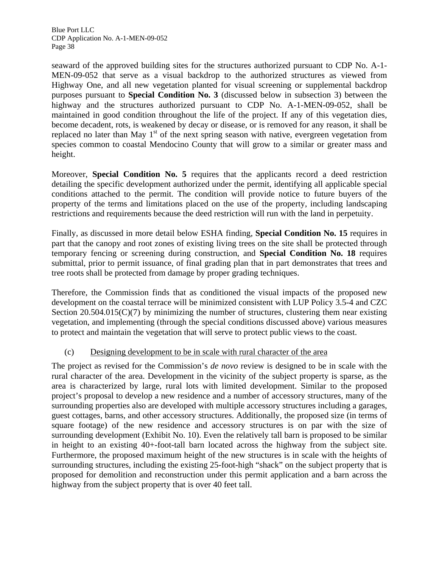seaward of the approved building sites for the structures authorized pursuant to CDP No. A-1- MEN-09-052 that serve as a visual backdrop to the authorized structures as viewed from Highway One, and all new vegetation planted for visual screening or supplemental backdrop purposes pursuant to **Special Condition No. 3** (discussed below in subsection 3) between the highway and the structures authorized pursuant to CDP No. A-1-MEN-09-052, shall be maintained in good condition throughout the life of the project. If any of this vegetation dies, become decadent, rots, is weakened by decay or disease, or is removed for any reason, it shall be replaced no later than May  $1<sup>st</sup>$  of the next spring season with native, evergreen vegetation from species common to coastal Mendocino County that will grow to a similar or greater mass and height.

Moreover, **Special Condition No. 5** requires that the applicants record a deed restriction detailing the specific development authorized under the permit, identifying all applicable special conditions attached to the permit. The condition will provide notice to future buyers of the property of the terms and limitations placed on the use of the property, including landscaping restrictions and requirements because the deed restriction will run with the land in perpetuity.

Finally, as discussed in more detail below ESHA finding, **Special Condition No. 15** requires in part that the canopy and root zones of existing living trees on the site shall be protected through temporary fencing or screening during construction, and **Special Condition No. 18** requires submittal, prior to permit issuance, of final grading plan that in part demonstrates that trees and tree roots shall be protected from damage by proper grading techniques.

Therefore, the Commission finds that as conditioned the visual impacts of the proposed new development on the coastal terrace will be minimized consistent with LUP Policy 3.5-4 and CZC Section  $20.504.015(C)(7)$  by minimizing the number of structures, clustering them near existing vegetation, and implementing (through the special conditions discussed above) various measures to protect and maintain the vegetation that will serve to protect public views to the coast.

# (c) Designing development to be in scale with rural character of the area

The project as revised for the Commission's *de novo* review is designed to be in scale with the rural character of the area. Development in the vicinity of the subject property is sparse, as the area is characterized by large, rural lots with limited development. Similar to the proposed project's proposal to develop a new residence and a number of accessory structures, many of the surrounding properties also are developed with multiple accessory structures including a garages, guest cottages, barns, and other accessory structures. Additionally, the proposed size (in terms of square footage) of the new residence and accessory structures is on par with the size of surrounding development (Exhibit No. 10). Even the relatively tall barn is proposed to be similar in height to an existing 40+-foot-tall barn located across the highway from the subject site. Furthermore, the proposed maximum height of the new structures is in scale with the heights of surrounding structures, including the existing 25-foot-high "shack" on the subject property that is proposed for demolition and reconstruction under this permit application and a barn across the highway from the subject property that is over 40 feet tall.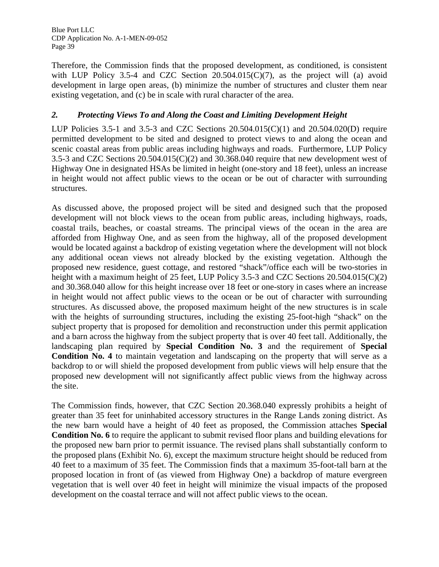Therefore, the Commission finds that the proposed development, as conditioned, is consistent with LUP Policy 3.5-4 and CZC Section  $20.504.015(C)(7)$ , as the project will (a) avoid development in large open areas, (b) minimize the number of structures and cluster them near existing vegetation, and (c) be in scale with rural character of the area.

# *2. Protecting Views To and Along the Coast and Limiting Development Height*

LUP Policies 3.5-1 and 3.5-3 and CZC Sections 20.504.015(C)(1) and 20.504.020(D) require permitted development to be sited and designed to protect views to and along the ocean and scenic coastal areas from public areas including highways and roads. Furthermore, LUP Policy 3.5-3 and CZC Sections 20.504.015(C)(2) and 30.368.040 require that new development west of Highway One in designated HSAs be limited in height (one-story and 18 feet), unless an increase in height would not affect public views to the ocean or be out of character with surrounding structures.

As discussed above, the proposed project will be sited and designed such that the proposed development will not block views to the ocean from public areas, including highways, roads, coastal trails, beaches, or coastal streams. The principal views of the ocean in the area are afforded from Highway One, and as seen from the highway, all of the proposed development would be located against a backdrop of existing vegetation where the development will not block any additional ocean views not already blocked by the existing vegetation. Although the proposed new residence, guest cottage, and restored "shack"/office each will be two-stories in height with a maximum height of 25 feet, LUP Policy 3.5-3 and CZC Sections 20.504.015(C)(2) and 30.368.040 allow for this height increase over 18 feet or one-story in cases where an increase in height would not affect public views to the ocean or be out of character with surrounding structures. As discussed above, the proposed maximum height of the new structures is in scale with the heights of surrounding structures, including the existing 25-foot-high "shack" on the subject property that is proposed for demolition and reconstruction under this permit application and a barn across the highway from the subject property that is over 40 feet tall. Additionally, the landscaping plan required by **Special Condition No. 3** and the requirement of **Special Condition No. 4** to maintain vegetation and landscaping on the property that will serve as a backdrop to or will shield the proposed development from public views will help ensure that the proposed new development will not significantly affect public views from the highway across the site.

The Commission finds, however, that CZC Section 20.368.040 expressly prohibits a height of greater than 35 feet for uninhabited accessory structures in the Range Lands zoning district. As the new barn would have a height of 40 feet as proposed, the Commission attaches **Special Condition No. 6** to require the applicant to submit revised floor plans and building elevations for the proposed new barn prior to permit issuance. The revised plans shall substantially conform to the proposed plans (Exhibit No. 6), except the maximum structure height should be reduced from 40 feet to a maximum of 35 feet. The Commission finds that a maximum 35-foot-tall barn at the proposed location in front of (as viewed from Highway One) a backdrop of mature evergreen vegetation that is well over 40 feet in height will minimize the visual impacts of the proposed development on the coastal terrace and will not affect public views to the ocean.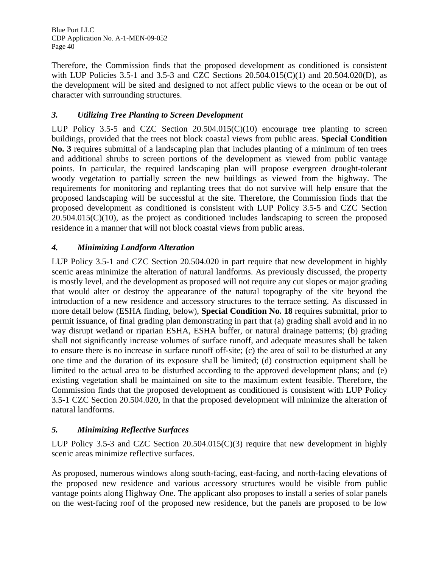Therefore, the Commission finds that the proposed development as conditioned is consistent with LUP Policies 3.5-1 and 3.5-3 and CZC Sections 20.504.015(C)(1) and 20.504.020(D), as the development will be sited and designed to not affect public views to the ocean or be out of character with surrounding structures.

# *3. Utilizing Tree Planting to Screen Development*

LUP Policy 3.5-5 and CZC Section 20.504.015(C)(10) encourage tree planting to screen buildings, provided that the trees not block coastal views from public areas. **Special Condition No. 3** requires submittal of a landscaping plan that includes planting of a minimum of ten trees and additional shrubs to screen portions of the development as viewed from public vantage points. In particular, the required landscaping plan will propose evergreen drought-tolerant woody vegetation to partially screen the new buildings as viewed from the highway. The requirements for monitoring and replanting trees that do not survive will help ensure that the proposed landscaping will be successful at the site. Therefore, the Commission finds that the proposed development as conditioned is consistent with LUP Policy 3.5-5 and CZC Section 20.504.015(C)(10), as the project as conditioned includes landscaping to screen the proposed residence in a manner that will not block coastal views from public areas.

# *4. Minimizing Landform Alteration*

LUP Policy 3.5-1 and CZC Section 20.504.020 in part require that new development in highly scenic areas minimize the alteration of natural landforms. As previously discussed, the property is mostly level, and the development as proposed will not require any cut slopes or major grading that would alter or destroy the appearance of the natural topography of the site beyond the introduction of a new residence and accessory structures to the terrace setting. As discussed in more detail below (ESHA finding, below), **Special Condition No. 18** requires submittal, prior to permit issuance, of final grading plan demonstrating in part that (a) grading shall avoid and in no way disrupt wetland or riparian ESHA, ESHA buffer, or natural drainage patterns; (b) grading shall not significantly increase volumes of surface runoff, and adequate measures shall be taken to ensure there is no increase in surface runoff off-site; (c) the area of soil to be disturbed at any one time and the duration of its exposure shall be limited; (d) construction equipment shall be limited to the actual area to be disturbed according to the approved development plans; and (e) existing vegetation shall be maintained on site to the maximum extent feasible. Therefore, the Commission finds that the proposed development as conditioned is consistent with LUP Policy 3.5-1 CZC Section 20.504.020, in that the proposed development will minimize the alteration of natural landforms.

# *5. Minimizing Reflective Surfaces*

LUP Policy 3.5-3 and CZC Section  $20.504.015(C)(3)$  require that new development in highly scenic areas minimize reflective surfaces.

As proposed, numerous windows along south-facing, east-facing, and north-facing elevations of the proposed new residence and various accessory structures would be visible from public vantage points along Highway One. The applicant also proposes to install a series of solar panels on the west-facing roof of the proposed new residence, but the panels are proposed to be low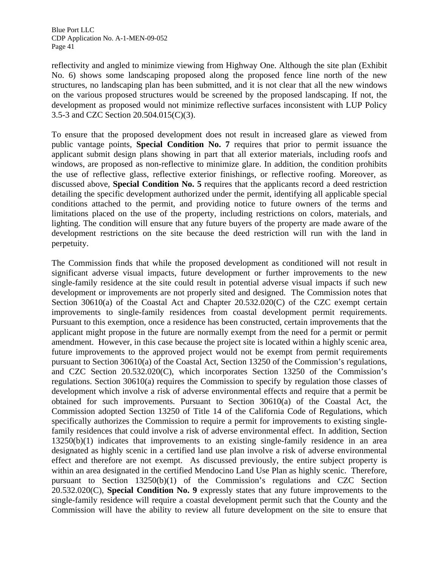reflectivity and angled to minimize viewing from Highway One. Although the site plan (Exhibit No. 6) shows some landscaping proposed along the proposed fence line north of the new structures, no landscaping plan has been submitted, and it is not clear that all the new windows on the various proposed structures would be screened by the proposed landscaping. If not, the development as proposed would not minimize reflective surfaces inconsistent with LUP Policy 3.5-3 and CZC Section 20.504.015(C)(3).

To ensure that the proposed development does not result in increased glare as viewed from public vantage points, **Special Condition No. 7** requires that prior to permit issuance the applicant submit design plans showing in part that all exterior materials, including roofs and windows, are proposed as non-reflective to minimize glare. In addition, the condition prohibits the use of reflective glass, reflective exterior finishings, or reflective roofing. Moreover, as discussed above, **Special Condition No. 5** requires that the applicants record a deed restriction detailing the specific development authorized under the permit, identifying all applicable special conditions attached to the permit, and providing notice to future owners of the terms and limitations placed on the use of the property, including restrictions on colors, materials, and lighting. The condition will ensure that any future buyers of the property are made aware of the development restrictions on the site because the deed restriction will run with the land in perpetuity.

The Commission finds that while the proposed development as conditioned will not result in significant adverse visual impacts, future development or further improvements to the new single-family residence at the site could result in potential adverse visual impacts if such new development or improvements are not properly sited and designed. The Commission notes that Section 30610(a) of the Coastal Act and Chapter 20.532.020(C) of the CZC exempt certain improvements to single-family residences from coastal development permit requirements. Pursuant to this exemption, once a residence has been constructed, certain improvements that the applicant might propose in the future are normally exempt from the need for a permit or permit amendment. However, in this case because the project site is located within a highly scenic area, future improvements to the approved project would not be exempt from permit requirements pursuant to Section 30610(a) of the Coastal Act, Section 13250 of the Commission's regulations, and CZC Section 20.532.020(C), which incorporates Section 13250 of the Commission's regulations. Section 30610(a) requires the Commission to specify by regulation those classes of development which involve a risk of adverse environmental effects and require that a permit be obtained for such improvements. Pursuant to Section 30610(a) of the Coastal Act, the Commission adopted Section 13250 of Title 14 of the California Code of Regulations, which specifically authorizes the Commission to require a permit for improvements to existing singlefamily residences that could involve a risk of adverse environmental effect. In addition, Section 13250(b)(1) indicates that improvements to an existing single-family residence in an area designated as highly scenic in a certified land use plan involve a risk of adverse environmental effect and therefore are not exempt. As discussed previously, the entire subject property is within an area designated in the certified Mendocino Land Use Plan as highly scenic. Therefore, pursuant to Section 13250(b)(1) of the Commission's regulations and CZC Section 20.532.020(C), **Special Condition No. 9** expressly states that any future improvements to the single-family residence will require a coastal development permit such that the County and the Commission will have the ability to review all future development on the site to ensure that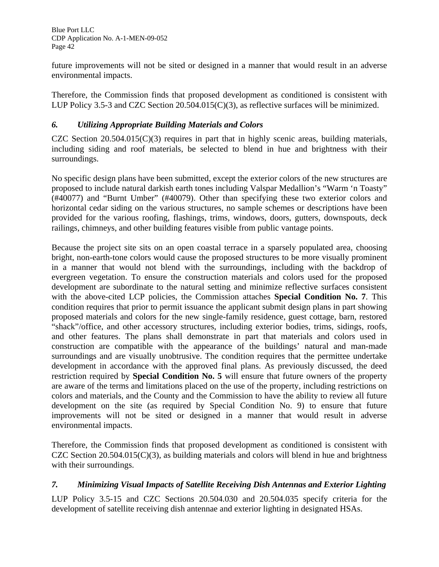future improvements will not be sited or designed in a manner that would result in an adverse environmental impacts.

Therefore, the Commission finds that proposed development as conditioned is consistent with LUP Policy 3.5-3 and CZC Section 20.504.015(C)(3), as reflective surfaces will be minimized.

# *6. Utilizing Appropriate Building Materials and Colors*

CZC Section  $20.504.015(C)(3)$  requires in part that in highly scenic areas, building materials, including siding and roof materials, be selected to blend in hue and brightness with their surroundings.

No specific design plans have been submitted, except the exterior colors of the new structures are proposed to include natural darkish earth tones including Valspar Medallion's "Warm 'n Toasty" (#40077) and "Burnt Umber" (#40079). Other than specifying these two exterior colors and horizontal cedar siding on the various structures, no sample schemes or descriptions have been provided for the various roofing, flashings, trims, windows, doors, gutters, downspouts, deck railings, chimneys, and other building features visible from public vantage points.

Because the project site sits on an open coastal terrace in a sparsely populated area, choosing bright, non-earth-tone colors would cause the proposed structures to be more visually prominent in a manner that would not blend with the surroundings, including with the backdrop of evergreen vegetation. To ensure the construction materials and colors used for the proposed development are subordinate to the natural setting and minimize reflective surfaces consistent with the above-cited LCP policies, the Commission attaches **Special Condition No. 7**. This condition requires that prior to permit issuance the applicant submit design plans in part showing proposed materials and colors for the new single-family residence, guest cottage, barn, restored "shack"/office, and other accessory structures, including exterior bodies, trims, sidings, roofs, and other features. The plans shall demonstrate in part that materials and colors used in construction are compatible with the appearance of the buildings' natural and man-made surroundings and are visually unobtrusive. The condition requires that the permittee undertake development in accordance with the approved final plans. As previously discussed, the deed restriction required by **Special Condition No. 5** will ensure that future owners of the property are aware of the terms and limitations placed on the use of the property, including restrictions on colors and materials, and the County and the Commission to have the ability to review all future development on the site (as required by Special Condition No. 9) to ensure that future improvements will not be sited or designed in a manner that would result in adverse environmental impacts.

Therefore, the Commission finds that proposed development as conditioned is consistent with CZC Section  $20.504.015(C)(3)$ , as building materials and colors will blend in hue and brightness with their surroundings.

# *7. Minimizing Visual Impacts of Satellite Receiving Dish Antennas and Exterior Lighting*

LUP Policy 3.5-15 and CZC Sections 20.504.030 and 20.504.035 specify criteria for the development of satellite receiving dish antennae and exterior lighting in designated HSAs.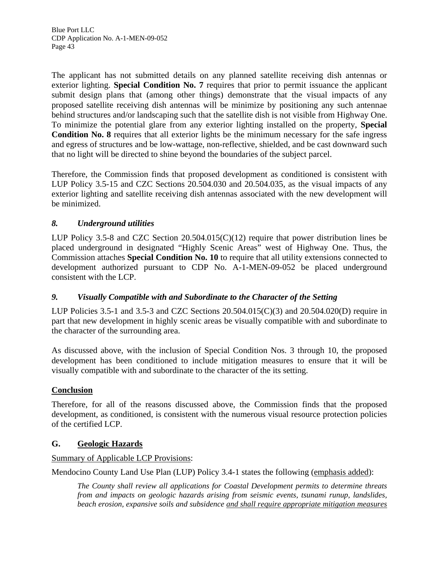The applicant has not submitted details on any planned satellite receiving dish antennas or exterior lighting. **Special Condition No. 7** requires that prior to permit issuance the applicant submit design plans that (among other things) demonstrate that the visual impacts of any proposed satellite receiving dish antennas will be minimize by positioning any such antennae behind structures and/or landscaping such that the satellite dish is not visible from Highway One. To minimize the potential glare from any exterior lighting installed on the property, **Special Condition No. 8** requires that all exterior lights be the minimum necessary for the safe ingress and egress of structures and be low-wattage, non-reflective, shielded, and be cast downward such that no light will be directed to shine beyond the boundaries of the subject parcel.

Therefore, the Commission finds that proposed development as conditioned is consistent with LUP Policy 3.5-15 and CZC Sections 20.504.030 and 20.504.035, as the visual impacts of any exterior lighting and satellite receiving dish antennas associated with the new development will be minimized.

# *8. Underground utilities*

LUP Policy 3.5-8 and CZC Section 20.504.015(C)(12) require that power distribution lines be placed underground in designated "Highly Scenic Areas" west of Highway One. Thus, the Commission attaches **Special Condition No. 10** to require that all utility extensions connected to development authorized pursuant to CDP No. A-1-MEN-09-052 be placed underground consistent with the LCP.

# *9. Visually Compatible with and Subordinate to the Character of the Setting*

LUP Policies 3.5-1 and 3.5-3 and CZC Sections 20.504.015(C)(3) and 20.504.020(D) require in part that new development in highly scenic areas be visually compatible with and subordinate to the character of the surrounding area.

As discussed above, with the inclusion of Special Condition Nos. 3 through 10, the proposed development has been conditioned to include mitigation measures to ensure that it will be visually compatible with and subordinate to the character of the its setting.

# **Conclusion**

Therefore, for all of the reasons discussed above, the Commission finds that the proposed development, as conditioned, is consistent with the numerous visual resource protection policies of the certified LCP.

## **G. Geologic Hazards**

## Summary of Applicable LCP Provisions:

Mendocino County Land Use Plan (LUP) Policy 3.4-1 states the following (emphasis added):

*The County shall review all applications for Coastal Development permits to determine threats from and impacts on geologic hazards arising from seismic events, tsunami runup, landslides, beach erosion, expansive soils and subsidence and shall require appropriate mitigation measures*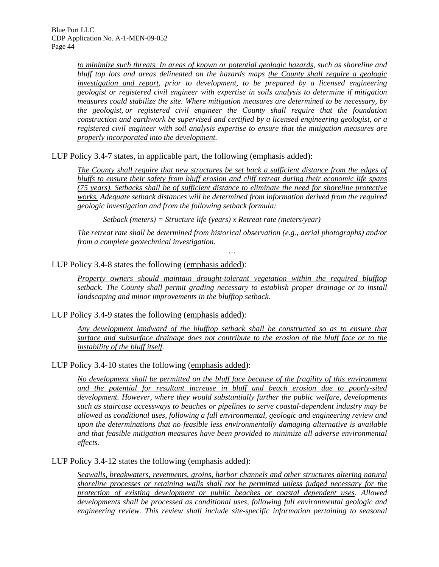> *to minimize such threats. In areas of known or potential geologic hazards, such as shoreline and bluff top lots and areas delineated on the hazards maps the County shall require a geologic investigation and report, prior to development, to be prepared by a licensed engineering geologist or registered civil engineer with expertise in soils analysis to determine if mitigation measures could stabilize the site. Where mitigation measures are determined to be necessary, by the geologist, or registered civil engineer the County shall require that the foundation construction and earthwork be supervised and certified by a licensed engineering geologist, or a registered civil engineer with soil analysis expertise to ensure that the mitigation measures are properly incorporated into the development.*

LUP Policy 3.4-7 states, in applicable part, the following (emphasis added):

*The County shall require that new structures be set back a sufficient distance from the edges of bluffs to ensure their safety from bluff erosion and cliff retreat during their economic life spans (75 years). Setbacks shall be of sufficient distance to eliminate the need for shoreline protective works. Adequate setback distances will be determined from information derived from the required geologic investigation and from the following setback formula:* 

*Setback (meters) = Structure life (years) x Retreat rate (meters/year)* 

*The retreat rate shall be determined from historical observation (e.g., aerial photographs) and/or from a complete geotechnical investigation. …* 

### LUP Policy 3.4-8 states the following (emphasis added):

*Property owners should maintain drought-tolerant vegetation within the required blufftop setback. The County shall permit grading necessary to establish proper drainage or to install landscaping and minor improvements in the blufftop setback.* 

#### LUP Policy 3.4-9 states the following (emphasis added):

*Any development landward of the blufftop setback shall be constructed so as to ensure that surface and subsurface drainage does not contribute to the erosion of the bluff face or to the instability of the bluff itself.* 

#### LUP Policy 3.4-10 states the following (emphasis added):

*No development shall be permitted on the bluff face because of the fragility of this environment and the potential for resultant increase in bluff and beach erosion due to poorly-sited development. However, where they would substantially further the public welfare, developments such as staircase accessways to beaches or pipelines to serve coastal-dependent industry may be allowed as conditional uses, following a full environmental, geologic and engineering review and upon the determinations that no feasible less environmentally damaging alternative is available and that feasible mitigation measures have been provided to minimize all adverse environmental effects.* 

#### LUP Policy 3.4-12 states the following (emphasis added):

*Seawalls, breakwaters, revetments, groins, harbor channels and other structures altering natural shoreline processes or retaining walls shall not be permitted unless judged necessary for the protection of existing development or public beaches or coastal dependent uses. Allowed developments shall be processed as conditional uses, following full environmental geologic and engineering review. This review shall include site-specific information pertaining to seasonal*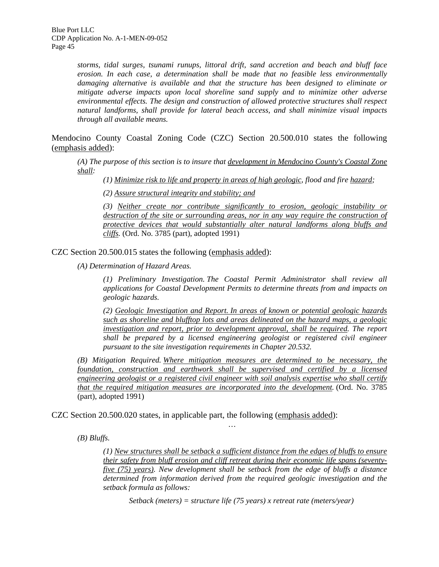*storms, tidal surges, tsunami runups, littoral drift, sand accretion and beach and bluff face erosion. In each case, a determination shall be made that no feasible less environmentally damaging alternative is available and that the structure has been designed to eliminate or mitigate adverse impacts upon local shoreline sand supply and to minimize other adverse environmental effects. The design and construction of allowed protective structures shall respect natural landforms, shall provide for lateral beach access, and shall minimize visual impacts through all available means.* 

Mendocino County Coastal Zoning Code (CZC) Section 20.500.010 states the following (emphasis added):

*(A) The purpose of this section is to insure that development in Mendocino County's Coastal Zone shall:* 

*(1) Minimize risk to life and property in areas of high geologic, flood and fire hazard;* 

*(2) Assure structural integrity and stability; and*

*(3) Neither create nor contribute significantly to erosion, geologic instability or*  destruction of the site or surrounding areas, nor in any way require the construction of *protective devices that would substantially alter natural landforms along bluffs and cliffs.* (Ord. No. 3785 (part), adopted 1991)

CZC Section 20.500.015 states the following (emphasis added):

*(A) Determination of Hazard Areas.* 

*(1) Preliminary Investigation. The Coastal Permit Administrator shall review all applications for Coastal Development Permits to determine threats from and impacts on geologic hazards.* 

*(2) Geologic Investigation and Report. In areas of known or potential geologic hazards such as shoreline and blufftop lots and areas delineated on the hazard maps, a geologic investigation and report, prior to development approval, shall be required. The report shall be prepared by a licensed engineering geologist or registered civil engineer pursuant to the site investigation requirements in [Chapter 20.532](http://www.co.mendocino.ca.us/planning/CoastZO/ZO532.htm).* 

*(B) Mitigation Required. Where mitigation measures are determined to be necessary, the foundation, construction and earthwork shall be supervised and certified by a licensed engineering geologist or a registered civil engineer with soil analysis expertise who shall certify that the required mitigation measures are incorporated into the development.* (Ord. No. 3785 (part), adopted 1991)

*…* 

CZC Section 20.500.020 states, in applicable part, the following (emphasis added):

*(B) Bluffs.* 

*(1) New structures shall be setback a sufficient distance from the edges of bluffs to ensure their safety from bluff erosion and cliff retreat during their economic life spans (seventyfive (75) years). New development shall be setback from the edge of bluffs a distance determined from information derived from the required geologic investigation and the setback formula as follows:* 

*Setback (meters) = structure life (75 years) x retreat rate (meters/year)*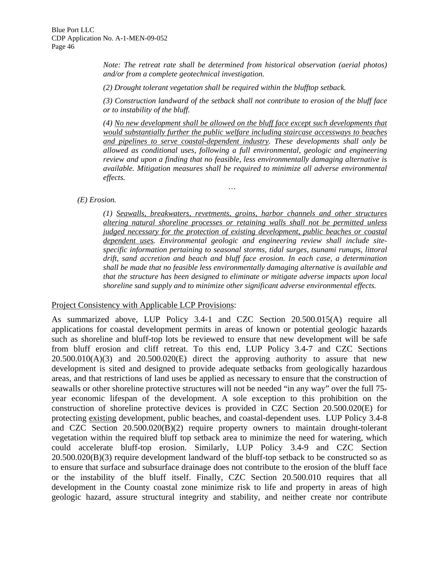*Note: The retreat rate shall be determined from historical observation (aerial photos) and/or from a complete geotechnical investigation.* 

*(2) Drought tolerant vegetation shall be required within the blufftop setback.* 

*(3) Construction landward of the setback shall not contribute to erosion of the bluff face or to instability of the bluff.* 

*(4) No new development shall be allowed on the bluff face except such developments that would substantially further the public welfare including staircase accessways to beaches and pipelines to serve coastal-dependent industry. These developments shall only be allowed as conditional uses, following a full environmental, geologic and engineering review and upon a finding that no feasible, less environmentally damaging alternative is available. Mitigation measures shall be required to minimize all adverse environmental effects.* 

*…* 

*(E) Erosion.* 

*(1) Seawalls, breakwaters, revetments, groins, harbor channels and other structures altering natural shoreline processes or retaining walls shall not be permitted unless judged necessary for the protection of existing development, public beaches or coastal dependent uses. Environmental geologic and engineering review shall include sitespecific information pertaining to seasonal storms, tidal surges, tsunami runups, littoral drift, sand accretion and beach and bluff face erosion. In each case, a determination shall be made that no feasible less environmentally damaging alternative is available and that the structure has been designed to eliminate or mitigate adverse impacts upon local shoreline sand supply and to minimize other significant adverse environmental effects.* 

#### Project Consistency with Applicable LCP Provisions:

As summarized above, LUP Policy 3.4-1 and CZC Section 20.500.015(A) require all applications for coastal development permits in areas of known or potential geologic hazards such as shoreline and bluff-top lots be reviewed to ensure that new development will be safe from bluff erosion and cliff retreat. To this end, LUP Policy 3.4-7 and CZC Sections  $20.500.010(A)(3)$  and  $20.500.020(E)$  direct the approving authority to assure that new development is sited and designed to provide adequate setbacks from geologically hazardous areas, and that restrictions of land uses be applied as necessary to ensure that the construction of seawalls or other shoreline protective structures will not be needed "in any way" over the full 75 year economic lifespan of the development. A sole exception to this prohibition on the construction of shoreline protective devices is provided in CZC Section 20.500.020(E) for protecting existing development, public beaches, and coastal-dependent uses. LUP Policy 3.4-8 and CZC Section 20.500.020(B)(2) require property owners to maintain drought-tolerant vegetation within the required bluff top setback area to minimize the need for watering, which could accelerate bluff-top erosion. Similarly, LUP Policy 3.4-9 and CZC Section 20.500.020(B)(3) require development landward of the bluff-top setback to be constructed so as to ensure that surface and subsurface drainage does not contribute to the erosion of the bluff face or the instability of the bluff itself. Finally, CZC Section 20.500.010 requires that all development in the County coastal zone minimize risk to life and property in areas of high geologic hazard, assure structural integrity and stability, and neither create nor contribute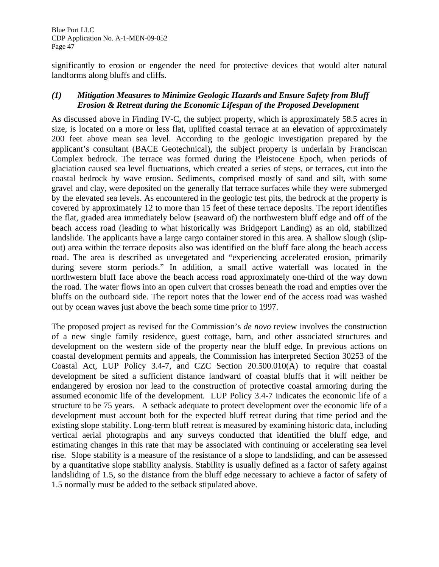significantly to erosion or engender the need for protective devices that would alter natural landforms along bluffs and cliffs.

# *(1) Mitigation Measures to Minimize Geologic Hazards and Ensure Safety from Bluff Erosion & Retreat during the Economic Lifespan of the Proposed Development*

As discussed above in Finding IV-C, the subject property, which is approximately 58.5 acres in size, is located on a more or less flat, uplifted coastal terrace at an elevation of approximately 200 feet above mean sea level. According to the geologic investigation prepared by the applicant's consultant (BACE Geotechnical), the subject property is underlain by Franciscan Complex bedrock. The terrace was formed during the Pleistocene Epoch, when periods of glaciation caused sea level fluctuations, which created a series of steps, or terraces, cut into the coastal bedrock by wave erosion. Sediments, comprised mostly of sand and silt, with some gravel and clay, were deposited on the generally flat terrace surfaces while they were submerged by the elevated sea levels. As encountered in the geologic test pits, the bedrock at the property is covered by approximately 12 to more than 15 feet of these terrace deposits. The report identifies the flat, graded area immediately below (seaward of) the northwestern bluff edge and off of the beach access road (leading to what historically was Bridgeport Landing) as an old, stabilized landslide. The applicants have a large cargo container stored in this area. A shallow slough (slipout) area within the terrace deposits also was identified on the bluff face along the beach access road. The area is described as unvegetated and "experiencing accelerated erosion, primarily during severe storm periods." In addition, a small active waterfall was located in the northwestern bluff face above the beach access road approximately one-third of the way down the road. The water flows into an open culvert that crosses beneath the road and empties over the bluffs on the outboard side. The report notes that the lower end of the access road was washed out by ocean waves just above the beach some time prior to 1997.

The proposed project as revised for the Commission's *de novo* review involves the construction of a new single family residence, guest cottage, barn, and other associated structures and development on the western side of the property near the bluff edge. In previous actions on coastal development permits and appeals, the Commission has interpreted Section 30253 of the Coastal Act, LUP Policy 3.4-7, and CZC Section 20.500.010(A) to require that coastal development be sited a sufficient distance landward of coastal bluffs that it will neither be endangered by erosion nor lead to the construction of protective coastal armoring during the assumed economic life of the development. LUP Policy 3.4-7 indicates the economic life of a structure to be 75 years. A setback adequate to protect development over the economic life of a development must account both for the expected bluff retreat during that time period and the existing slope stability. Long-term bluff retreat is measured by examining historic data, including vertical aerial photographs and any surveys conducted that identified the bluff edge, and estimating changes in this rate that may be associated with continuing or accelerating sea level rise. Slope stability is a measure of the resistance of a slope to landsliding, and can be assessed by a quantitative slope stability analysis. Stability is usually defined as a factor of safety against landsliding of 1.5, so the distance from the bluff edge necessary to achieve a factor of safety of 1.5 normally must be added to the setback stipulated above.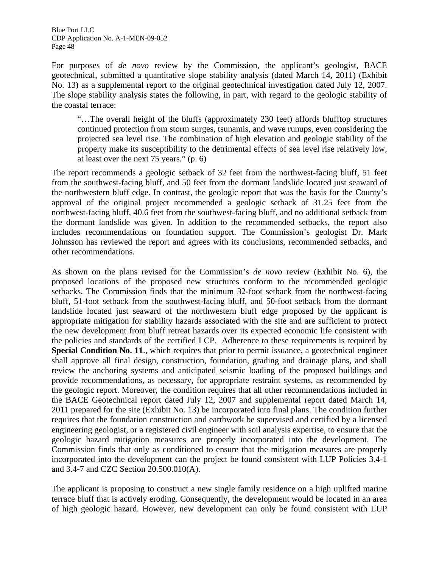For purposes of *de novo* review by the Commission, the applicant's geologist, BACE geotechnical, submitted a quantitative slope stability analysis (dated March 14, 2011) (Exhibit No. 13) as a supplemental report to the original geotechnical investigation dated July 12, 2007. The slope stability analysis states the following, in part, with regard to the geologic stability of the coastal terrace:

"…The overall height of the bluffs (approximately 230 feet) affords blufftop structures continued protection from storm surges, tsunamis, and wave runups, even considering the projected sea level rise. The combination of high elevation and geologic stability of the property make its susceptibility to the detrimental effects of sea level rise relatively low, at least over the next 75 years." (p. 6)

The report recommends a geologic setback of 32 feet from the northwest-facing bluff, 51 feet from the southwest-facing bluff, and 50 feet from the dormant landslide located just seaward of the northwestern bluff edge. In contrast, the geologic report that was the basis for the County's approval of the original project recommended a geologic setback of 31.25 feet from the northwest-facing bluff, 40.6 feet from the southwest-facing bluff, and no additional setback from the dormant landslide was given. In addition to the recommended setbacks, the report also includes recommendations on foundation support. The Commission's geologist Dr. Mark Johnsson has reviewed the report and agrees with its conclusions, recommended setbacks, and other recommendations.

As shown on the plans revised for the Commission's *de novo* review (Exhibit No. 6), the proposed locations of the proposed new structures conform to the recommended geologic setbacks. The Commission finds that the minimum 32-foot setback from the northwest-facing bluff, 51-foot setback from the southwest-facing bluff, and 50-foot setback from the dormant landslide located just seaward of the northwestern bluff edge proposed by the applicant is appropriate mitigation for stability hazards associated with the site and are sufficient to protect the new development from bluff retreat hazards over its expected economic life consistent with the policies and standards of the certified LCP. Adherence to these requirements is required by **Special Condition No. 11**., which requires that prior to permit issuance, a geotechnical engineer shall approve all final design, construction, foundation, grading and drainage plans, and shall review the anchoring systems and anticipated seismic loading of the proposed buildings and provide recommendations, as necessary, for appropriate restraint systems, as recommended by the geologic report. Moreover, the condition requires that all other recommendations included in the BACE Geotechnical report dated July 12, 2007 and supplemental report dated March 14, 2011 prepared for the site (Exhibit No. 13) be incorporated into final plans. The condition further requires that the foundation construction and earthwork be supervised and certified by a licensed engineering geologist, or a registered civil engineer with soil analysis expertise, to ensure that the geologic hazard mitigation measures are properly incorporated into the development. The Commission finds that only as conditioned to ensure that the mitigation measures are properly incorporated into the development can the project be found consistent with LUP Policies 3.4-1 and 3.4-7 and CZC Section 20.500.010(A).

The applicant is proposing to construct a new single family residence on a high uplifted marine terrace bluff that is actively eroding. Consequently, the development would be located in an area of high geologic hazard. However, new development can only be found consistent with LUP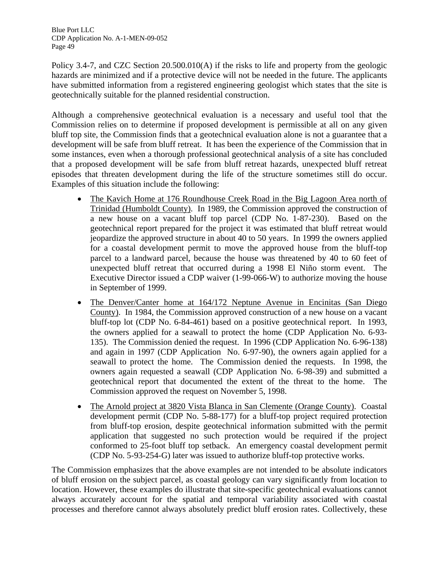Policy 3.4-7, and CZC Section  $20.500.010(A)$  if the risks to life and property from the geologic hazards are minimized and if a protective device will not be needed in the future. The applicants have submitted information from a registered engineering geologist which states that the site is geotechnically suitable for the planned residential construction.

Although a comprehensive geotechnical evaluation is a necessary and useful tool that the Commission relies on to determine if proposed development is permissible at all on any given bluff top site, the Commission finds that a geotechnical evaluation alone is not a guarantee that a development will be safe from bluff retreat. It has been the experience of the Commission that in some instances, even when a thorough professional geotechnical analysis of a site has concluded that a proposed development will be safe from bluff retreat hazards, unexpected bluff retreat episodes that threaten development during the life of the structure sometimes still do occur. Examples of this situation include the following:

- The Kavich Home at 176 Roundhouse Creek Road in the Big Lagoon Area north of Trinidad (Humboldt County). In 1989, the Commission approved the construction of a new house on a vacant bluff top parcel (CDP No. 1-87-230). Based on the geotechnical report prepared for the project it was estimated that bluff retreat would jeopardize the approved structure in about 40 to 50 years. In 1999 the owners applied for a coastal development permit to move the approved house from the bluff-top parcel to a landward parcel, because the house was threatened by 40 to 60 feet of unexpected bluff retreat that occurred during a 1998 El Niño storm event. The Executive Director issued a CDP waiver (1-99-066-W) to authorize moving the house in September of 1999.
- The Denver/Canter home at 164/172 Neptune Avenue in Encinitas (San Diego County). In 1984, the Commission approved construction of a new house on a vacant bluff-top lot (CDP No. 6-84-461) based on a positive geotechnical report. In 1993, the owners applied for a seawall to protect the home (CDP Application No. 6-93- 135). The Commission denied the request. In 1996 (CDP Application No. 6-96-138) and again in 1997 (CDP Application No. 6-97-90), the owners again applied for a seawall to protect the home. The Commission denied the requests. In 1998, the owners again requested a seawall (CDP Application No. 6-98-39) and submitted a geotechnical report that documented the extent of the threat to the home. The Commission approved the request on November 5, 1998.
- The Arnold project at 3820 Vista Blanca in San Clemente (Orange County). Coastal development permit (CDP No. 5-88-177) for a bluff-top project required protection from bluff-top erosion, despite geotechnical information submitted with the permit application that suggested no such protection would be required if the project conformed to 25-foot bluff top setback. An emergency coastal development permit (CDP No. 5-93-254-G) later was issued to authorize bluff-top protective works.

The Commission emphasizes that the above examples are not intended to be absolute indicators of bluff erosion on the subject parcel, as coastal geology can vary significantly from location to location. However, these examples do illustrate that site-specific geotechnical evaluations cannot always accurately account for the spatial and temporal variability associated with coastal processes and therefore cannot always absolutely predict bluff erosion rates. Collectively, these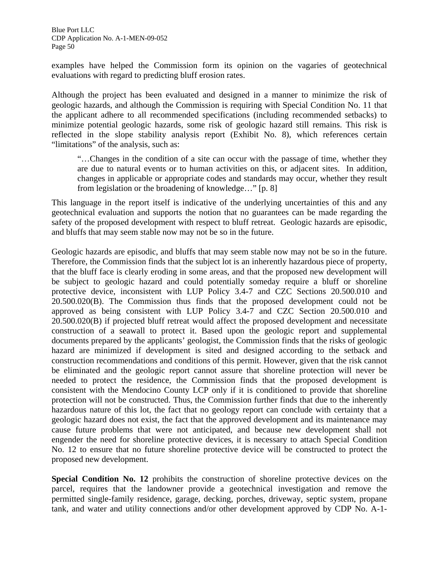examples have helped the Commission form its opinion on the vagaries of geotechnical evaluations with regard to predicting bluff erosion rates.

Although the project has been evaluated and designed in a manner to minimize the risk of geologic hazards, and although the Commission is requiring with Special Condition No. 11 that the applicant adhere to all recommended specifications (including recommended setbacks) to minimize potential geologic hazards, some risk of geologic hazard still remains. This risk is reflected in the slope stability analysis report (Exhibit No. 8), which references certain "limitations" of the analysis, such as:

"…Changes in the condition of a site can occur with the passage of time, whether they are due to natural events or to human activities on this, or adjacent sites. In addition, changes in applicable or appropriate codes and standards may occur, whether they result from legislation or the broadening of knowledge…" [p. 8]

This language in the report itself is indicative of the underlying uncertainties of this and any geotechnical evaluation and supports the notion that no guarantees can be made regarding the safety of the proposed development with respect to bluff retreat. Geologic hazards are episodic, and bluffs that may seem stable now may not be so in the future.

Geologic hazards are episodic, and bluffs that may seem stable now may not be so in the future. Therefore, the Commission finds that the subject lot is an inherently hazardous piece of property, that the bluff face is clearly eroding in some areas, and that the proposed new development will be subject to geologic hazard and could potentially someday require a bluff or shoreline protective device, inconsistent with LUP Policy 3.4-7 and CZC Sections 20.500.010 and 20.500.020(B). The Commission thus finds that the proposed development could not be approved as being consistent with LUP Policy 3.4-7 and CZC Section 20.500.010 and 20.500.020(B) if projected bluff retreat would affect the proposed development and necessitate construction of a seawall to protect it. Based upon the geologic report and supplemental documents prepared by the applicants' geologist, the Commission finds that the risks of geologic hazard are minimized if development is sited and designed according to the setback and construction recommendations and conditions of this permit. However, given that the risk cannot be eliminated and the geologic report cannot assure that shoreline protection will never be needed to protect the residence, the Commission finds that the proposed development is consistent with the Mendocino County LCP only if it is conditioned to provide that shoreline protection will not be constructed. Thus, the Commission further finds that due to the inherently hazardous nature of this lot, the fact that no geology report can conclude with certainty that a geologic hazard does not exist, the fact that the approved development and its maintenance may cause future problems that were not anticipated, and because new development shall not engender the need for shoreline protective devices, it is necessary to attach Special Condition No. 12 to ensure that no future shoreline protective device will be constructed to protect the proposed new development.

**Special Condition No. 12** prohibits the construction of shoreline protective devices on the parcel, requires that the landowner provide a geotechnical investigation and remove the permitted single-family residence, garage, decking, porches, driveway, septic system, propane tank, and water and utility connections and/or other development approved by CDP No. A-1-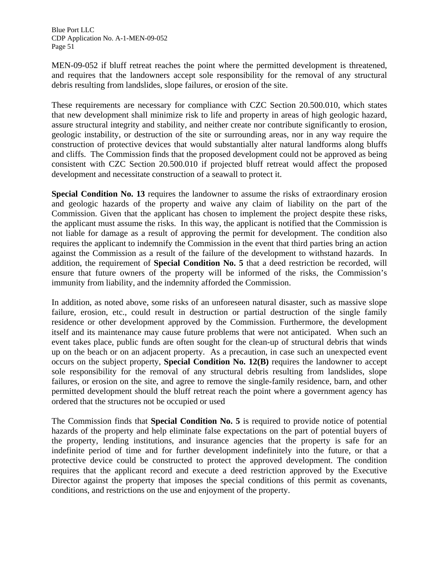MEN-09-052 if bluff retreat reaches the point where the permitted development is threatened, and requires that the landowners accept sole responsibility for the removal of any structural debris resulting from landslides, slope failures, or erosion of the site.

These requirements are necessary for compliance with CZC Section 20.500.010, which states that new development shall minimize risk to life and property in areas of high geologic hazard, assure structural integrity and stability, and neither create nor contribute significantly to erosion, geologic instability, or destruction of the site or surrounding areas, nor in any way require the construction of protective devices that would substantially alter natural landforms along bluffs and cliffs. The Commission finds that the proposed development could not be approved as being consistent with CZC Section 20.500.010 if projected bluff retreat would affect the proposed development and necessitate construction of a seawall to protect it.

**Special Condition No. 13** requires the landowner to assume the risks of extraordinary erosion and geologic hazards of the property and waive any claim of liability on the part of the Commission. Given that the applicant has chosen to implement the project despite these risks, the applicant must assume the risks. In this way, the applicant is notified that the Commission is not liable for damage as a result of approving the permit for development. The condition also requires the applicant to indemnify the Commission in the event that third parties bring an action against the Commission as a result of the failure of the development to withstand hazards. In addition, the requirement of **Special Condition No. 5** that a deed restriction be recorded, will ensure that future owners of the property will be informed of the risks, the Commission's immunity from liability, and the indemnity afforded the Commission.

In addition, as noted above, some risks of an unforeseen natural disaster, such as massive slope failure, erosion, etc., could result in destruction or partial destruction of the single family residence or other development approved by the Commission. Furthermore, the development itself and its maintenance may cause future problems that were not anticipated. When such an event takes place, public funds are often sought for the clean-up of structural debris that winds up on the beach or on an adjacent property. As a precaution, in case such an unexpected event occurs on the subject property, **Special Condition No. 12(B)** requires the landowner to accept sole responsibility for the removal of any structural debris resulting from landslides, slope failures, or erosion on the site, and agree to remove the single-family residence, barn, and other permitted development should the bluff retreat reach the point where a government agency has ordered that the structures not be occupied or used

The Commission finds that **Special Condition No. 5** is required to provide notice of potential hazards of the property and help eliminate false expectations on the part of potential buyers of the property, lending institutions, and insurance agencies that the property is safe for an indefinite period of time and for further development indefinitely into the future, or that a protective device could be constructed to protect the approved development. The condition requires that the applicant record and execute a deed restriction approved by the Executive Director against the property that imposes the special conditions of this permit as covenants, conditions, and restrictions on the use and enjoyment of the property.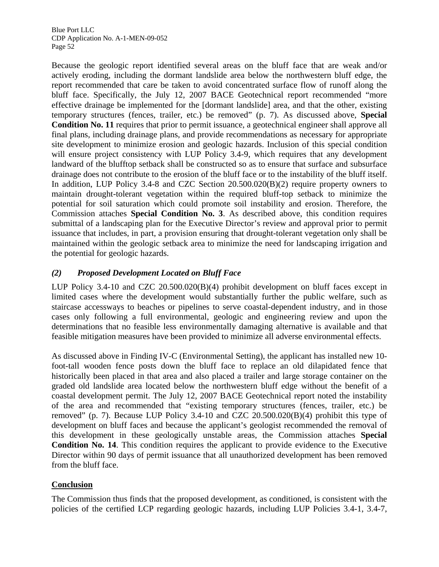Because the geologic report identified several areas on the bluff face that are weak and/or actively eroding, including the dormant landslide area below the northwestern bluff edge, the report recommended that care be taken to avoid concentrated surface flow of runoff along the bluff face. Specifically, the July 12, 2007 BACE Geotechnical report recommended "more effective drainage be implemented for the [dormant landslide] area, and that the other, existing temporary structures (fences, trailer, etc.) be removed" (p. 7). As discussed above, **Special Condition No. 11** requires that prior to permit issuance, a geotechnical engineer shall approve all final plans, including drainage plans, and provide recommendations as necessary for appropriate site development to minimize erosion and geologic hazards. Inclusion of this special condition will ensure project consistency with LUP Policy 3.4-9, which requires that any development landward of the blufftop setback shall be constructed so as to ensure that surface and subsurface drainage does not contribute to the erosion of the bluff face or to the instability of the bluff itself. In addition, LUP Policy 3.4-8 and CZC Section 20.500.020(B)(2) require property owners to maintain drought-tolerant vegetation within the required bluff-top setback to minimize the potential for soil saturation which could promote soil instability and erosion. Therefore, the Commission attaches **Special Condition No. 3**. As described above, this condition requires submittal of a landscaping plan for the Executive Director's review and approval prior to permit issuance that includes, in part, a provision ensuring that drought-tolerant vegetation only shall be maintained within the geologic setback area to minimize the need for landscaping irrigation and the potential for geologic hazards.

# *(2) Proposed Development Located on Bluff Face*

LUP Policy 3.4-10 and CZC 20.500.020(B)(4) prohibit development on bluff faces except in limited cases where the development would substantially further the public welfare, such as staircase accessways to beaches or pipelines to serve coastal-dependent industry, and in those cases only following a full environmental, geologic and engineering review and upon the determinations that no feasible less environmentally damaging alternative is available and that feasible mitigation measures have been provided to minimize all adverse environmental effects.

As discussed above in Finding IV-C (Environmental Setting), the applicant has installed new 10 foot-tall wooden fence posts down the bluff face to replace an old dilapidated fence that historically been placed in that area and also placed a trailer and large storage container on the graded old landslide area located below the northwestern bluff edge without the benefit of a coastal development permit. The July 12, 2007 BACE Geotechnical report noted the instability of the area and recommended that "existing temporary structures (fences, trailer, etc.) be removed" (p. 7). Because LUP Policy 3.4-10 and CZC 20.500.020(B)(4) prohibit this type of development on bluff faces and because the applicant's geologist recommended the removal of this development in these geologically unstable areas, the Commission attaches **Special Condition No. 14**. This condition requires the applicant to provide evidence to the Executive Director within 90 days of permit issuance that all unauthorized development has been removed from the bluff face.

# **Conclusion**

The Commission thus finds that the proposed development, as conditioned, is consistent with the policies of the certified LCP regarding geologic hazards, including LUP Policies 3.4-1, 3.4-7,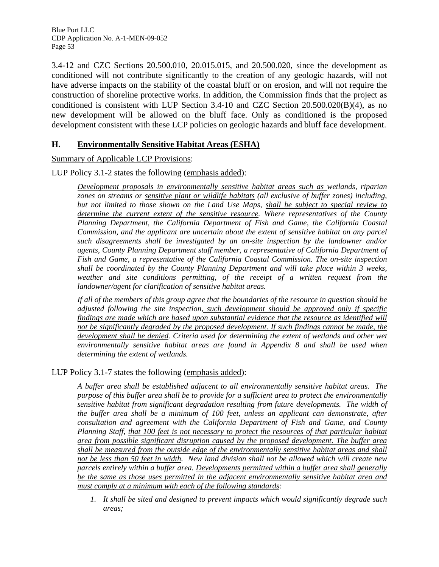3.4-12 and CZC Sections 20.500.010, 20.015.015, and 20.500.020, since the development as conditioned will not contribute significantly to the creation of any geologic hazards, will not have adverse impacts on the stability of the coastal bluff or on erosion, and will not require the construction of shoreline protective works. In addition, the Commission finds that the project as conditioned is consistent with LUP Section 3.4-10 and CZC Section 20.500.020(B)(4), as no new development will be allowed on the bluff face. Only as conditioned is the proposed development consistent with these LCP policies on geologic hazards and bluff face development.

# **H. Environmentally Sensitive Habitat Areas (ESHA)**

Summary of Applicable LCP Provisions:

LUP Policy 3.1-2 states the following (emphasis added):

*Development proposals in environmentally sensitive habitat areas such as wetlands, riparian zones on streams or sensitive plant or wildlife habitats (all exclusive of buffer zones) including, but not limited to those shown on the Land Use Maps, shall be subject to special review to determine the current extent of the sensitive resource. Where representatives of the County Planning Department, the California Department of Fish and Game, the California Coastal Commission, and the applicant are uncertain about the extent of sensitive habitat on any parcel such disagreements shall be investigated by an on-site inspection by the landowner and/or agents, County Planning Department staff member, a representative of California Department of Fish and Game, a representative of the California Coastal Commission. The on-site inspection shall be coordinated by the County Planning Department and will take place within 3 weeks, weather and site conditions permitting, of the receipt of a written request from the landowner/agent for clarification of sensitive habitat areas.* 

*If all of the members of this group agree that the boundaries of the resource in question should be adjusted following the site inspection, such development should be approved only if specific findings are made which are based upon substantial evidence that the resource as identified will not be significantly degraded by the proposed development. If such findings cannot be made, the development shall be denied. Criteria used for determining the extent of wetlands and other wet environmentally sensitive habitat areas are found in Appendix 8 and shall be used when determining the extent of wetlands.* 

LUP Policy 3.1-7 states the following (emphasis added):

*A buffer area shall be established adjacent to all environmentally sensitive habitat areas. The purpose of this buffer area shall be to provide for a sufficient area to protect the environmentally sensitive habitat from significant degradation resulting from future developments. The width of the buffer area shall be a minimum of 100 feet, unless an applicant can demonstrate, after consultation and agreement with the California Department of Fish and Game, and County Planning Staff, that 100 feet is not necessary to protect the resources of that particular habitat area from possible significant disruption caused by the proposed development. The buffer area shall be measured from the outside edge of the environmentally sensitive habitat areas and shall not be less than 50 feet in width. New land division shall not be allowed which will create new parcels entirely within a buffer area. Developments permitted within a buffer area shall generally be the same as those uses permitted in the adjacent environmentally sensitive habitat area and must comply at a minimum with each of the following standards:* 

 *1. It shall be sited and designed to prevent impacts which would significantly degrade such areas;*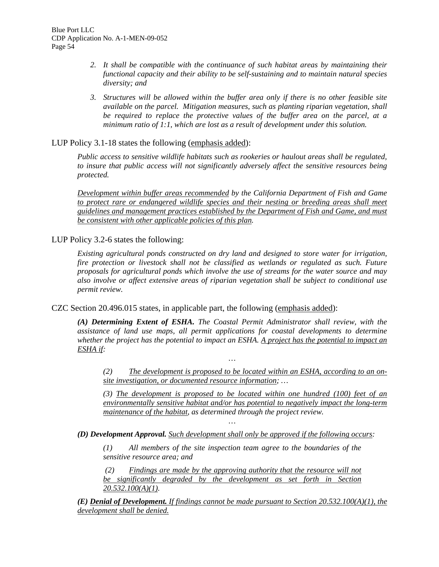- *2. It shall be compatible with the continuance of such habitat areas by maintaining their functional capacity and their ability to be self-sustaining and to maintain natural species diversity; and*
- *3. Structures will be allowed within the buffer area only if there is no other feasible site available on the parcel. Mitigation measures, such as planting riparian vegetation, shall be required to replace the protective values of the buffer area on the parcel, at a minimum ratio of 1:1, which are lost as a result of development under this solution.*

## LUP Policy 3.1-18 states the following (emphasis added):

*Public access to sensitive wildlife habitats such as rookeries or haulout areas shall be regulated, to insure that public access will not significantly adversely affect the sensitive resources being protected.* 

*Development within buffer areas recommended by the California Department of Fish and Game to protect rare or endangered wildlife species and their nesting or breeding areas shall meet guidelines and management practices established by the Department of Fish and Game, and must be consistent with other applicable policies of this plan.*

### LUP Policy 3.2-6 states the following:

*Existing agricultural ponds constructed on dry land and designed to store water for irrigation, fire protection or livestock shall not be classified as wetlands or regulated as such. Future proposals for agricultural ponds which involve the use of streams for the water source and may also involve or affect extensive areas of riparian vegetation shall be subject to conditional use permit review.* 

CZC Section 20.496.015 states, in applicable part, the following (emphasis added):

*(A) Determining Extent of ESHA. The Coastal Permit Administrator shall review, with the assistance of land use maps, all permit applications for coastal developments to determine whether the project has the potential to impact an ESHA. A project has the potential to impact an ESHA if:* 

*…* 

*(2) The development is proposed to be located within an ESHA, according to an onsite investigation, or documented resource information; …* 

*(3) The development is proposed to be located within one hundred (100) feet of an environmentally sensitive habitat and/or has potential to negatively impact the long-term maintenance of the habitat, as determined through the project review.* 

*(D) Development Approval. Such development shall only be approved if the following occurs:* 

*(1) All members of the site inspection team agree to the boundaries of the sensitive resource area; and* 

*…* 

 *(2) Findings are made by the approving authority that the resource will not be significantly degraded by the development as set forth in Section 20.532.100(A)(1).* 

*(E) Denial of Development. If findings cannot be made pursuant to Section 20.532.100(A)(1), the development shall be denied.*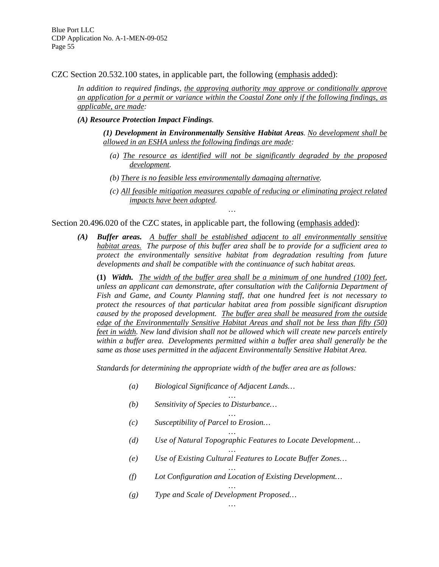CZC Section 20.532.100 states, in applicable part, the following (emphasis added):

*In addition to required findings, the approving authority may approve or conditionally approve an application for a permit or variance within the Coastal Zone only if the following findings, as applicable, are made:* 

#### *(A) Resource Protection Impact Findings.*

*(1) Development in Environmentally Sensitive Habitat Areas. No development shall be allowed in an ESHA unless the following findings are made:* 

- *(a) The resource as identified will not be significantly degraded by the proposed development.*
- *(b) There is no feasible less environmentally damaging alternative.*
- *(c) All feasible mitigation measures capable of reducing or eliminating project related impacts have been adopted.*

Section 20.496.020 of the CZC states, in applicable part, the following (emphasis added):

*(A) Buffer areas. A buffer shall be established adjacent to all environmentally sensitive habitat areas. The purpose of this buffer area shall be to provide for a sufficient area to protect the environmentally sensitive habitat from degradation resulting from future developments and shall be compatible with the continuance of such habitat areas.* 

*…* 

**(1)** *Width. The width of the buffer area shall be a minimum of one hundred (100) feet, unless an applicant can demonstrate, after consultation with the California Department of Fish and Game, and County Planning staff, that one hundred feet is not necessary to protect the resources of that particular habitat area from possible significant disruption caused by the proposed development. The buffer area shall be measured from the outside edge of the Environmentally Sensitive Habitat Areas and shall not be less than fifty (50) feet in width. New land division shall not be allowed which will create new parcels entirely within a buffer area. Developments permitted within a buffer area shall generally be the same as those uses permitted in the adjacent Environmentally Sensitive Habitat Area.* 

*Standards for determining the appropriate width of the buffer area are as follows:* 

*…* 

- *(a) Biological Significance of Adjacent Lands…*
- *(b) Sensitivity of Species to Disturbance…*
- *… (c) Susceptibility of Parcel to Erosion…*
- *… (d) Use of Natural Topographic Features to Locate Development…*
- *… (e) Use of Existing Cultural Features to Locate Buffer Zones…*
- *… (f) Lot Configuration and Location of Existing Development…*

*…* 

*… (g) Type and Scale of Development Proposed…*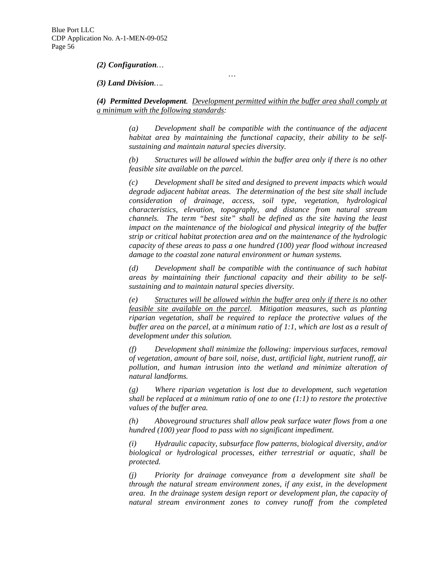*(2) Configuration…* 

*(3) Land Division….* 

*(4) Permitted Development. Development permitted within the buffer area shall comply at a minimum with the following standards:* 

*…* 

*(a) Development shall be compatible with the continuance of the adjacent habitat area by maintaining the functional capacity, their ability to be selfsustaining and maintain natural species diversity.* 

*(b) Structures will be allowed within the buffer area only if there is no other feasible site available on the parcel.* 

*(c) Development shall be sited and designed to prevent impacts which would degrade adjacent habitat areas. The determination of the best site shall include consideration of drainage, access, soil type, vegetation, hydrological characteristics, elevation, topography, and distance from natural stream channels. The term "best site" shall be defined as the site having the least impact on the maintenance of the biological and physical integrity of the buffer strip or critical habitat protection area and on the maintenance of the hydrologic capacity of these areas to pass a one hundred (100) year flood without increased damage to the coastal zone natural environment or human systems.* 

*(d) Development shall be compatible with the continuance of such habitat areas by maintaining their functional capacity and their ability to be selfsustaining and to maintain natural species diversity.* 

*(e) Structures will be allowed within the buffer area only if there is no other feasible site available on the parcel. Mitigation measures, such as planting riparian vegetation, shall be required to replace the protective values of the buffer area on the parcel, at a minimum ratio of 1:1, which are lost as a result of development under this solution.* 

*(f) Development shall minimize the following: impervious surfaces, removal of vegetation, amount of bare soil, noise, dust, artificial light, nutrient runoff, air pollution, and human intrusion into the wetland and minimize alteration of natural landforms.* 

*(g) Where riparian vegetation is lost due to development, such vegetation shall be replaced at a minimum ratio of one to one (1:1) to restore the protective values of the buffer area.* 

*(h) Aboveground structures shall allow peak surface water flows from a one hundred (100) year flood to pass with no significant impediment.* 

*(i) Hydraulic capacity, subsurface flow patterns, biological diversity, and/or biological or hydrological processes, either terrestrial or aquatic, shall be protected.* 

*(j) Priority for drainage conveyance from a development site shall be through the natural stream environment zones, if any exist, in the development area. In the drainage system design report or development plan, the capacity of natural stream environment zones to convey runoff from the completed*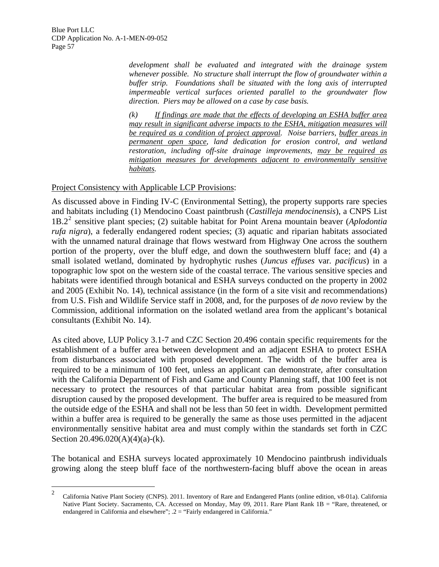> *development shall be evaluated and integrated with the drainage system whenever possible. No structure shall interrupt the flow of groundwater within a buffer strip. Foundations shall be situated with the long axis of interrupted impermeable vertical surfaces oriented parallel to the groundwater flow direction. Piers may be allowed on a case by case basis.*

> *(k) If findings are made that the effects of developing an ESHA buffer area may result in significant adverse impacts to the ESHA, mitigation measures will be required as a condition of project approval. Noise barriers, buffer areas in permanent open space, land dedication for erosion control, and wetland restoration, including off-site drainage improvements, may be required as mitigation measures for developments adjacent to environmentally sensitive habitats.*

Project Consistency with Applicable LCP Provisions:

As discussed above in Finding IV-C (Environmental Setting), the property supports rare species and habitats including (1) Mendocino Coast paintbrush (*Castilleja mendocinensis*), a CNPS List 1B.2[2](#page-62-0) sensitive plant species; (2) suitable habitat for Point Arena mountain beaver (*Aplodontia rufa nigra*), a federally endangered rodent species; (3) aquatic and riparian habitats associated with the unnamed natural drainage that flows westward from Highway One across the southern portion of the property, over the bluff edge, and down the southwestern bluff face; and (4) a small isolated wetland, dominated by hydrophytic rushes (*Juncus effuses* var*. pacificus*) in a topographic low spot on the western side of the coastal terrace. The various sensitive species and habitats were identified through botanical and ESHA surveys conducted on the property in 2002 and 2005 (Exhibit No. 14), technical assistance (in the form of a site visit and recommendations) from U.S. Fish and Wildlife Service staff in 2008, and, for the purposes of *de novo* review by the Commission, additional information on the isolated wetland area from the applicant's botanical consultants (Exhibit No. 14).

As cited above, LUP Policy 3.1-7 and CZC Section 20.496 contain specific requirements for the establishment of a buffer area between development and an adjacent ESHA to protect ESHA from disturbances associated with proposed development. The width of the buffer area is required to be a minimum of 100 feet, unless an applicant can demonstrate, after consultation with the California Department of Fish and Game and County Planning staff, that 100 feet is not necessary to protect the resources of that particular habitat area from possible significant disruption caused by the proposed development. The buffer area is required to be measured from the outside edge of the ESHA and shall not be less than 50 feet in width. Development permitted within a buffer area is required to be generally the same as those uses permitted in the adjacent environmentally sensitive habitat area and must comply within the standards set forth in CZC Section  $20.496.020(A)(4)(a)-(k)$ .

The botanical and ESHA surveys located approximately 10 Mendocino paintbrush individuals growing along the steep bluff face of the northwestern-facing bluff above the ocean in areas

 $\frac{1}{2}$  California Native Plant Society (CNPS). 2011. Inventory of Rare and Endangered Plants (online edition, v8-01a). California Native Plant Society. Sacramento, CA. Accessed on Monday, May 09, 2011. Rare Plant Rank 1B = "Rare, threatened, or endangered in California and elsewhere"; .2 = "Fairly endangered in California."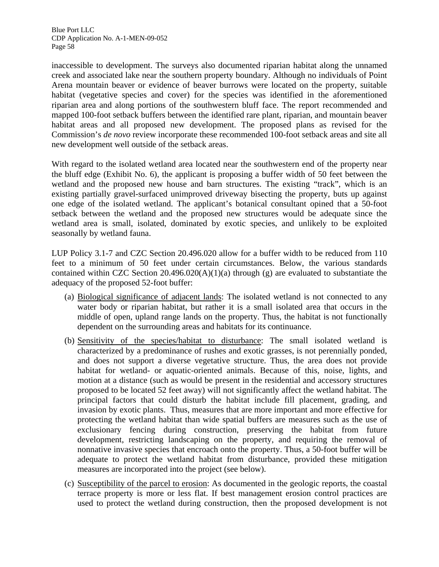inaccessible to development. The surveys also documented riparian habitat along the unnamed creek and associated lake near the southern property boundary. Although no individuals of Point Arena mountain beaver or evidence of beaver burrows were located on the property, suitable habitat (vegetative species and cover) for the species was identified in the aforementioned riparian area and along portions of the southwestern bluff face. The report recommended and mapped 100-foot setback buffers between the identified rare plant, riparian, and mountain beaver habitat areas and all proposed new development. The proposed plans as revised for the Commission's *de novo* review incorporate these recommended 100-foot setback areas and site all new development well outside of the setback areas.

With regard to the isolated wetland area located near the southwestern end of the property near the bluff edge (Exhibit No. 6), the applicant is proposing a buffer width of 50 feet between the wetland and the proposed new house and barn structures. The existing "track", which is an existing partially gravel-surfaced unimproved driveway bisecting the property, buts up against one edge of the isolated wetland. The applicant's botanical consultant opined that a 50-foot setback between the wetland and the proposed new structures would be adequate since the wetland area is small, isolated, dominated by exotic species, and unlikely to be exploited seasonally by wetland fauna.

LUP Policy 3.1-7 and CZC Section 20.496.020 allow for a buffer width to be reduced from 110 feet to a minimum of 50 feet under certain circumstances. Below, the various standards contained within CZC Section  $20.496.020(A)(1)(a)$  through (g) are evaluated to substantiate the adequacy of the proposed 52-foot buffer:

- (a) Biological significance of adjacent lands: The isolated wetland is not connected to any water body or riparian habitat, but rather it is a small isolated area that occurs in the middle of open, upland range lands on the property. Thus, the habitat is not functionally dependent on the surrounding areas and habitats for its continuance.
- (b) Sensitivity of the species/habitat to disturbance: The small isolated wetland is characterized by a predominance of rushes and exotic grasses, is not perennially ponded, and does not support a diverse vegetative structure. Thus, the area does not provide habitat for wetland- or aquatic-oriented animals. Because of this, noise, lights, and motion at a distance (such as would be present in the residential and accessory structures proposed to be located 52 feet away) will not significantly affect the wetland habitat. The principal factors that could disturb the habitat include fill placement, grading, and invasion by exotic plants. Thus, measures that are more important and more effective for protecting the wetland habitat than wide spatial buffers are measures such as the use of exclusionary fencing during construction, preserving the habitat from future development, restricting landscaping on the property, and requiring the removal of nonnative invasive species that encroach onto the property. Thus, a 50-foot buffer will be adequate to protect the wetland habitat from disturbance, provided these mitigation measures are incorporated into the project (see below).
- <span id="page-62-0"></span>(c) Susceptibility of the parcel to erosion: As documented in the geologic reports, the coastal terrace property is more or less flat. If best management erosion control practices are used to protect the wetland during construction, then the proposed development is not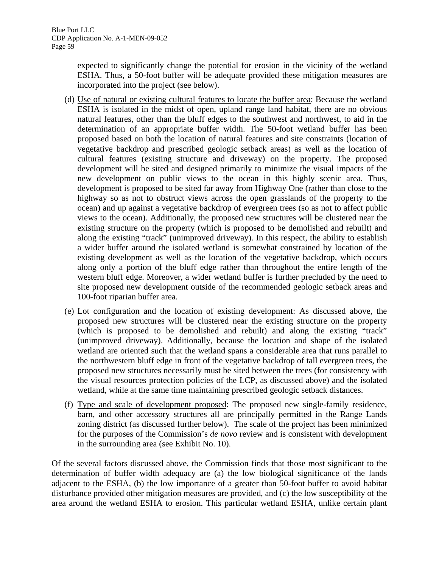expected to significantly change the potential for erosion in the vicinity of the wetland ESHA. Thus, a 50-foot buffer will be adequate provided these mitigation measures are incorporated into the project (see below).

- (d) Use of natural or existing cultural features to locate the buffer area: Because the wetland ESHA is isolated in the midst of open, upland range land habitat, there are no obvious natural features, other than the bluff edges to the southwest and northwest, to aid in the determination of an appropriate buffer width. The 50-foot wetland buffer has been proposed based on both the location of natural features and site constraints (location of vegetative backdrop and prescribed geologic setback areas) as well as the location of cultural features (existing structure and driveway) on the property. The proposed development will be sited and designed primarily to minimize the visual impacts of the new development on public views to the ocean in this highly scenic area. Thus, development is proposed to be sited far away from Highway One (rather than close to the highway so as not to obstruct views across the open grasslands of the property to the ocean) and up against a vegetative backdrop of evergreen trees (so as not to affect public views to the ocean). Additionally, the proposed new structures will be clustered near the existing structure on the property (which is proposed to be demolished and rebuilt) and along the existing "track" (unimproved driveway). In this respect, the ability to establish a wider buffer around the isolated wetland is somewhat constrained by location of the existing development as well as the location of the vegetative backdrop, which occurs along only a portion of the bluff edge rather than throughout the entire length of the western bluff edge. Moreover, a wider wetland buffer is further precluded by the need to site proposed new development outside of the recommended geologic setback areas and 100-foot riparian buffer area.
- (e) Lot configuration and the location of existing development: As discussed above, the proposed new structures will be clustered near the existing structure on the property (which is proposed to be demolished and rebuilt) and along the existing "track" (unimproved driveway). Additionally, because the location and shape of the isolated wetland are oriented such that the wetland spans a considerable area that runs parallel to the northwestern bluff edge in front of the vegetative backdrop of tall evergreen trees, the proposed new structures necessarily must be sited between the trees (for consistency with the visual resources protection policies of the LCP, as discussed above) and the isolated wetland, while at the same time maintaining prescribed geologic setback distances.
- (f) Type and scale of development proposed: The proposed new single-family residence, barn, and other accessory structures all are principally permitted in the Range Lands zoning district (as discussed further below). The scale of the project has been minimized for the purposes of the Commission's *de novo* review and is consistent with development in the surrounding area (see Exhibit No. 10).

Of the several factors discussed above, the Commission finds that those most significant to the determination of buffer width adequacy are (a) the low biological significance of the lands adjacent to the ESHA, (b) the low importance of a greater than 50-foot buffer to avoid habitat disturbance provided other mitigation measures are provided, and (c) the low susceptibility of the area around the wetland ESHA to erosion. This particular wetland ESHA, unlike certain plant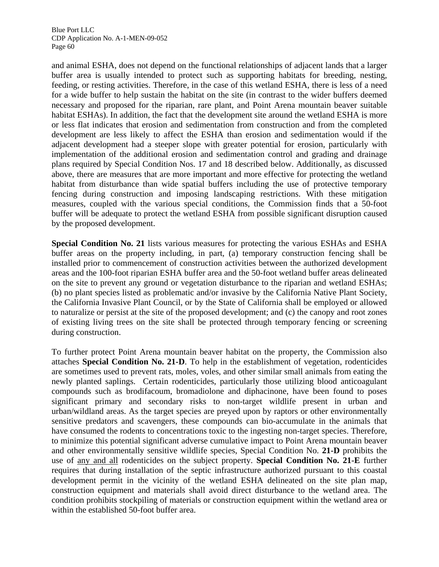and animal ESHA, does not depend on the functional relationships of adjacent lands that a larger buffer area is usually intended to protect such as supporting habitats for breeding, nesting, feeding, or resting activities. Therefore, in the case of this wetland ESHA, there is less of a need for a wide buffer to help sustain the habitat on the site (in contrast to the wider buffers deemed necessary and proposed for the riparian, rare plant, and Point Arena mountain beaver suitable habitat ESHAs). In addition, the fact that the development site around the wetland ESHA is more or less flat indicates that erosion and sedimentation from construction and from the completed development are less likely to affect the ESHA than erosion and sedimentation would if the adjacent development had a steeper slope with greater potential for erosion, particularly with implementation of the additional erosion and sedimentation control and grading and drainage plans required by Special Condition Nos. 17 and 18 described below. Additionally, as discussed above, there are measures that are more important and more effective for protecting the wetland habitat from disturbance than wide spatial buffers including the use of protective temporary fencing during construction and imposing landscaping restrictions. With these mitigation measures, coupled with the various special conditions, the Commission finds that a 50-foot buffer will be adequate to protect the wetland ESHA from possible significant disruption caused by the proposed development.

**Special Condition No. 21** lists various measures for protecting the various ESHAs and ESHA buffer areas on the property including, in part, (a) temporary construction fencing shall be installed prior to commencement of construction activities between the authorized development areas and the 100-foot riparian ESHA buffer area and the 50-foot wetland buffer areas delineated on the site to prevent any ground or vegetation disturbance to the riparian and wetland ESHAs; (b) no plant species listed as problematic and/or invasive by the California Native Plant Society, the California Invasive Plant Council, or by the State of California shall be employed or allowed to naturalize or persist at the site of the proposed development; and (c) the canopy and root zones of existing living trees on the site shall be protected through temporary fencing or screening during construction.

To further protect Point Arena mountain beaver habitat on the property, the Commission also attaches **Special Condition No. 21-D**. To help in the establishment of vegetation, rodenticides are sometimes used to prevent rats, moles, voles, and other similar small animals from eating the newly planted saplings. Certain rodenticides, particularly those utilizing blood anticoagulant compounds such as brodifacoum, bromadiolone and diphacinone, have been found to poses significant primary and secondary risks to non-target wildlife present in urban and urban/wildland areas. As the target species are preyed upon by raptors or other environmentally sensitive predators and scavengers, these compounds can bio-accumulate in the animals that have consumed the rodents to concentrations toxic to the ingesting non-target species. Therefore, to minimize this potential significant adverse cumulative impact to Point Arena mountain beaver and other environmentally sensitive wildlife species, Special Condition No. **21-D** prohibits the use of any and all rodenticides on the subject property. **Special Condition No. 21-E** further requires that during installation of the septic infrastructure authorized pursuant to this coastal development permit in the vicinity of the wetland ESHA delineated on the site plan map, construction equipment and materials shall avoid direct disturbance to the wetland area. The condition prohibits stockpiling of materials or construction equipment within the wetland area or within the established 50-foot buffer area.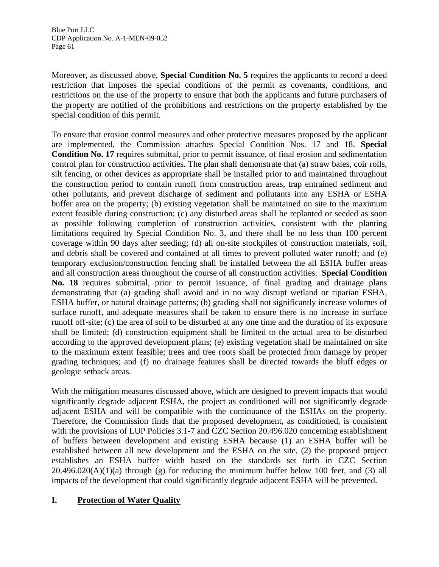Moreover, as discussed above, **Special Condition No. 5** requires the applicants to record a deed restriction that imposes the special conditions of the permit as covenants, conditions, and restrictions on the use of the property to ensure that both the applicants and future purchasers of the property are notified of the prohibitions and restrictions on the property established by the special condition of this permit.

To ensure that erosion control measures and other protective measures proposed by the applicant are implemented, the Commission attaches Special Condition Nos. 17 and 18. **Special Condition No. 17** requires submittal, prior to permit issuance, of final erosion and sedimentation control plan for construction activities. The plan shall demonstrate that (a) straw bales, coir rolls, silt fencing, or other devices as appropriate shall be installed prior to and maintained throughout the construction period to contain runoff from construction areas, trap entrained sediment and other pollutants, and prevent discharge of sediment and pollutants into any ESHA or ESHA buffer area on the property; (b) existing vegetation shall be maintained on site to the maximum extent feasible during construction; (c) any disturbed areas shall be replanted or seeded as soon as possible following completion of construction activities, consistent with the planting limitations required by Special Condition No. 3, and there shall be no less than 100 percent coverage within 90 days after seeding; (d) all on-site stockpiles of construction materials, soil, and debris shall be covered and contained at all times to prevent polluted water runoff; and (e) temporary exclusion/construction fencing shall be installed between the all ESHA buffer areas and all construction areas throughout the course of all construction activities. **Special Condition No. 18** requires submittal, prior to permit issuance, of final grading and drainage plans demonstrating that (a) grading shall avoid and in no way disrupt wetland or riparian ESHA, ESHA buffer, or natural drainage patterns; (b) grading shall not significantly increase volumes of surface runoff, and adequate measures shall be taken to ensure there is no increase in surface runoff off-site; (c) the area of soil to be disturbed at any one time and the duration of its exposure shall be limited; (d) construction equipment shall be limited to the actual area to be disturbed according to the approved development plans; (e) existing vegetation shall be maintained on site to the maximum extent feasible; trees and tree roots shall be protected from damage by proper grading techniques; and (f) no drainage features shall be directed towards the bluff edges or geologic setback areas.

With the mitigation measures discussed above, which are designed to prevent impacts that would significantly degrade adjacent ESHA, the project as conditioned will not significantly degrade adjacent ESHA and will be compatible with the continuance of the ESHAs on the property. Therefore, the Commission finds that the proposed development, as conditioned, is consistent with the provisions of LUP Policies 3.1-7 and CZC Section 20.496.020 concerning establishment of buffers between development and existing ESHA because (1) an ESHA buffer will be established between all new development and the ESHA on the site, (2) the proposed project establishes an ESHA buffer width based on the standards set forth in CZC Section  $20.496.020(A)(1)(a)$  through (g) for reducing the minimum buffer below 100 feet, and (3) all impacts of the development that could significantly degrade adjacent ESHA will be prevented.

# **I. Protection of Water Quality**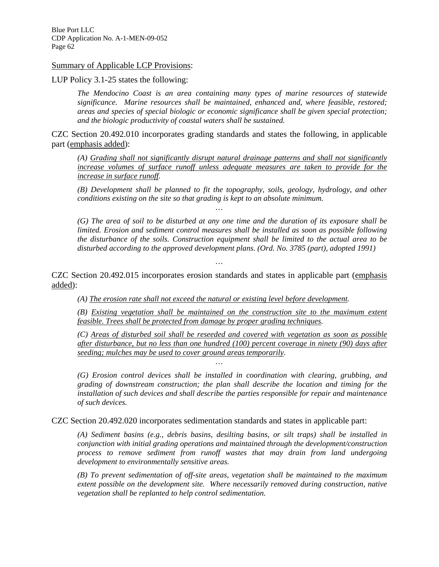Summary of Applicable LCP Provisions:

LUP Policy 3.1-25 states the following:

*The Mendocino Coast is an area containing many types of marine resources of statewide significance. Marine resources shall be maintained, enhanced and, where feasible, restored; areas and species of special biologic or economic significance shall be given special protection; and the biologic productivity of coastal waters shall be sustained.* 

CZC Section 20.492.010 incorporates grading standards and states the following, in applicable part (emphasis added):

*…* 

*(A) Grading shall not significantly disrupt natural drainage patterns and shall not significantly increase volumes of surface runoff unless adequate measures are taken to provide for the increase in surface runoff.* 

*(B) Development shall be planned to fit the topography, soils, geology, hydrology, and other conditions existing on the site so that grading is kept to an absolute minimum.* 

*(G) The area of soil to be disturbed at any one time and the duration of its exposure shall be limited. Erosion and sediment control measures shall be installed as soon as possible following the disturbance of the soils. Construction equipment shall be limited to the actual area to be disturbed according to the approved development plans. (Ord. No. 3785 (part), adopted 1991)* 

CZC Section 20.492.015 incorporates erosion standards and states in applicable part (emphasis added):

*…* 

*…* 

*(A) The erosion rate shall not exceed the natural or existing level before development.* 

*(B) Existing vegetation shall be maintained on the construction site to the maximum extent feasible. Trees shall be protected from damage by proper grading techniques.* 

*(C) Areas of disturbed soil shall be reseeded and covered with vegetation as soon as possible after disturbance, but no less than one hundred (100) percent coverage in ninety (90) days after seeding; mulches may be used to cover ground areas temporarily.* 

*(G) Erosion control devices shall be installed in coordination with clearing, grubbing, and grading of downstream construction; the plan shall describe the location and timing for the installation of such devices and shall describe the parties responsible for repair and maintenance of such devices.* 

CZC Section 20.492.020 incorporates sedimentation standards and states in applicable part:

*(A) Sediment basins (e.g., debris basins, desilting basins, or silt traps) shall be installed in conjunction with initial grading operations and maintained through the development/construction process to remove sediment from runoff wastes that may drain from land undergoing development to environmentally sensitive areas.* 

*(B) To prevent sedimentation of off-site areas, vegetation shall be maintained to the maximum extent possible on the development site. Where necessarily removed during construction, native vegetation shall be replanted to help control sedimentation.*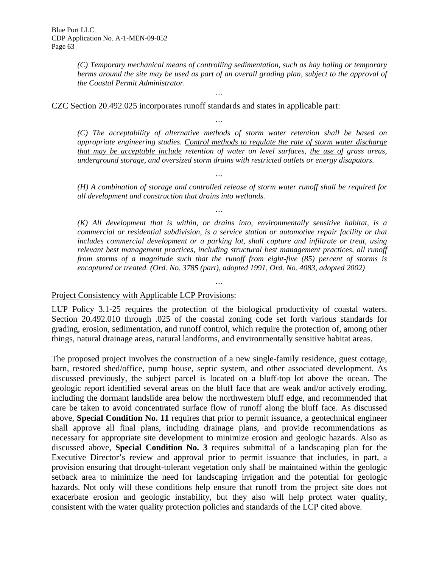*(C) Temporary mechanical means of controlling sedimentation, such as hay baling or temporary*  berms around the site may be used as part of an overall grading plan, subject to the approval of *the Coastal Permit Administrator.* 

*…* 

*…* 

*…* 

*…* 

CZC Section 20.492.025 incorporates runoff standards and states in applicable part:

*(C) The acceptability of alternative methods of storm water retention shall be based on appropriate engineering studies. Control methods to regulate the rate of storm water discharge that may be acceptable include retention of water on level surfaces, the use of grass areas, underground storage, and oversized storm drains with restricted outlets or energy disapators.* 

*(H) A combination of storage and controlled release of storm water runoff shall be required for all development and construction that drains into wetlands.* 

*(K) All development that is within, or drains into, environmentally sensitive habitat, is a commercial or residential subdivision, is a service station or automotive repair facility or that includes commercial development or a parking lot, shall capture and infiltrate or treat, using relevant best management practices, including structural best management practices, all runoff from storms of a magnitude such that the runoff from eight-five (85) percent of storms is encaptured or treated. (Ord. No. 3785 (part), adopted 1991, Ord. No. 4083, adopted 2002)* 

### Project Consistency with Applicable LCP Provisions:

LUP Policy 3.1-25 requires the protection of the biological productivity of coastal waters. Section 20.492.010 through .025 of the coastal zoning code set forth various standards for grading, erosion, sedimentation, and runoff control, which require the protection of, among other things, natural drainage areas, natural landforms, and environmentally sensitive habitat areas.

*…* 

The proposed project involves the construction of a new single-family residence, guest cottage, barn, restored shed/office, pump house, septic system, and other associated development. As discussed previously, the subject parcel is located on a bluff-top lot above the ocean. The geologic report identified several areas on the bluff face that are weak and/or actively eroding, including the dormant landslide area below the northwestern bluff edge, and recommended that care be taken to avoid concentrated surface flow of runoff along the bluff face. As discussed above, **Special Condition No. 11** requires that prior to permit issuance, a geotechnical engineer shall approve all final plans, including drainage plans, and provide recommendations as necessary for appropriate site development to minimize erosion and geologic hazards. Also as discussed above, **Special Condition No. 3** requires submittal of a landscaping plan for the Executive Director's review and approval prior to permit issuance that includes, in part, a provision ensuring that drought-tolerant vegetation only shall be maintained within the geologic setback area to minimize the need for landscaping irrigation and the potential for geologic hazards. Not only will these conditions help ensure that runoff from the project site does not exacerbate erosion and geologic instability, but they also will help protect water quality, consistent with the water quality protection policies and standards of the LCP cited above.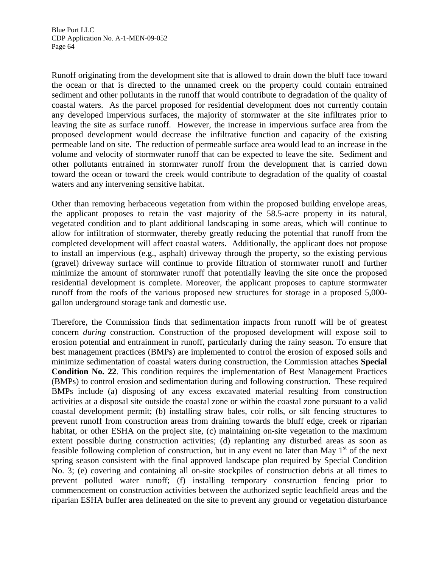Runoff originating from the development site that is allowed to drain down the bluff face toward the ocean or that is directed to the unnamed creek on the property could contain entrained sediment and other pollutants in the runoff that would contribute to degradation of the quality of coastal waters. As the parcel proposed for residential development does not currently contain any developed impervious surfaces, the majority of stormwater at the site infiltrates prior to leaving the site as surface runoff. However, the increase in impervious surface area from the proposed development would decrease the infiltrative function and capacity of the existing permeable land on site. The reduction of permeable surface area would lead to an increase in the volume and velocity of stormwater runoff that can be expected to leave the site. Sediment and other pollutants entrained in stormwater runoff from the development that is carried down toward the ocean or toward the creek would contribute to degradation of the quality of coastal waters and any intervening sensitive habitat.

Other than removing herbaceous vegetation from within the proposed building envelope areas, the applicant proposes to retain the vast majority of the 58.5-acre property in its natural, vegetated condition and to plant additional landscaping in some areas, which will continue to allow for infiltration of stormwater, thereby greatly reducing the potential that runoff from the completed development will affect coastal waters. Additionally, the applicant does not propose to install an impervious (e.g., asphalt) driveway through the property, so the existing pervious (gravel) driveway surface will continue to provide filtration of stormwater runoff and further minimize the amount of stormwater runoff that potentially leaving the site once the proposed residential development is complete. Moreover, the applicant proposes to capture stormwater runoff from the roofs of the various proposed new structures for storage in a proposed 5,000 gallon underground storage tank and domestic use.

Therefore, the Commission finds that sedimentation impacts from runoff will be of greatest concern *during* construction. Construction of the proposed development will expose soil to erosion potential and entrainment in runoff, particularly during the rainy season. To ensure that best management practices (BMPs) are implemented to control the erosion of exposed soils and minimize sedimentation of coastal waters during construction, the Commission attaches **Special Condition No. 22**. This condition requires the implementation of Best Management Practices (BMPs) to control erosion and sedimentation during and following construction. These required BMPs include (a) disposing of any excess excavated material resulting from construction activities at a disposal site outside the coastal zone or within the coastal zone pursuant to a valid coastal development permit; (b) installing straw bales, coir rolls, or silt fencing structures to prevent runoff from construction areas from draining towards the bluff edge, creek or riparian habitat, or other ESHA on the project site, (c) maintaining on-site vegetation to the maximum extent possible during construction activities; (d) replanting any disturbed areas as soon as feasible following completion of construction, but in any event no later than May  $1<sup>st</sup>$  of the next spring season consistent with the final approved landscape plan required by Special Condition No. 3; (e) covering and containing all on-site stockpiles of construction debris at all times to prevent polluted water runoff; (f) installing temporary construction fencing prior to commencement on construction activities between the authorized septic leachfield areas and the riparian ESHA buffer area delineated on the site to prevent any ground or vegetation disturbance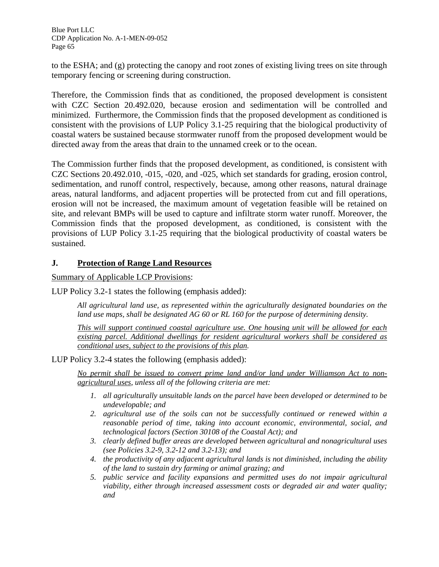to the ESHA; and (g) protecting the canopy and root zones of existing living trees on site through temporary fencing or screening during construction.

Therefore, the Commission finds that as conditioned, the proposed development is consistent with CZC Section 20.492.020, because erosion and sedimentation will be controlled and minimized. Furthermore, the Commission finds that the proposed development as conditioned is consistent with the provisions of LUP Policy 3.1-25 requiring that the biological productivity of coastal waters be sustained because stormwater runoff from the proposed development would be directed away from the areas that drain to the unnamed creek or to the ocean.

The Commission further finds that the proposed development, as conditioned, is consistent with CZC Sections 20.492.010, -015, -020, and -025, which set standards for grading, erosion control, sedimentation, and runoff control, respectively, because, among other reasons, natural drainage areas, natural landforms, and adjacent properties will be protected from cut and fill operations, erosion will not be increased, the maximum amount of vegetation feasible will be retained on site, and relevant BMPs will be used to capture and infiltrate storm water runoff. Moreover, the Commission finds that the proposed development, as conditioned, is consistent with the provisions of LUP Policy 3.1-25 requiring that the biological productivity of coastal waters be sustained.

## **J. Protection of Range Land Resources**

Summary of Applicable LCP Provisions:

LUP Policy 3.2-1 states the following (emphasis added):

*All agricultural land use, as represented within the agriculturally designated boundaries on the land use maps, shall be designated AG 60 or RL 160 for the purpose of determining density.* 

*This will support continued coastal agriculture use. One housing unit will be allowed for each existing parcel. Additional dwellings for resident agricultural workers shall be considered as conditional uses, subject to the provisions of this plan.* 

LUP Policy 3.2-4 states the following (emphasis added):

*No permit shall be issued to convert prime land and/or land under Williamson Act to nonagricultural uses, unless all of the following criteria are met:* 

- *1. all agriculturally unsuitable lands on the parcel have been developed or determined to be undevelopable; and*
- *2. agricultural use of the soils can not be successfully continued or renewed within a reasonable period of time, taking into account economic, environmental, social, and technological factors (Section 30108 of the Coastal Act); and*
- *3. clearly defined buffer areas are developed between agricultural and nonagricultural uses (see Policies 3.2-9, 3.2-12 and 3.2-13); and*
- *4. the productivity of any adjacent agricultural lands is not diminished, including the ability of the land to sustain dry farming or animal grazing; and*
- *5. public service and facility expansions and permitted uses do not impair agricultural viability, either through increased assessment costs or degraded air and water quality; and*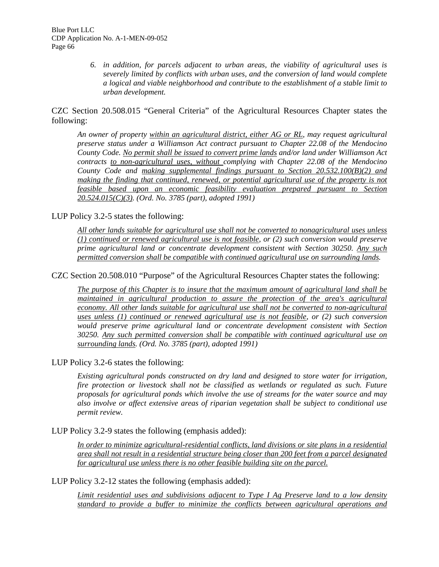*6. in addition, for parcels adjacent to urban areas, the viability of agricultural uses is severely limited by conflicts with urban uses, and the conversion of land would complete a logical and viable neighborhood and contribute to the establishment of a stable limit to urban development.*

CZC Section 20.508.015 "General Criteria" of the Agricultural Resources Chapter states the following:

*An owner of property within an agricultural district, either AG or RL, may request agricultural preserve status under a Williamson Act contract pursuant to Chapter 22.08 of the Mendocino County Code. No permit shall be issued to convert prime lands and/or land under Williamson Act contracts to non-agricultural uses, without complying with Chapter 22.08 of the Mendocino County Code and making supplemental findings pursuant to Section 20.532.100(B)(2) and making the finding that continued, renewed, or potential agricultural use of the property is not feasible based upon an economic feasibility evaluation prepared pursuant to Section 20.524.015(C)(3). (Ord. No. 3785 (part), adopted 1991)*

LUP Policy 3.2-5 states the following:

*All other lands suitable for agricultural use shall not be converted to nonagricultural uses unless (1) continued or renewed agricultural use is not feasible, or (2) such conversion would preserve prime agricultural land or concentrate development consistent with Section 30250. Any such permitted conversion shall be compatible with continued agricultural use on surrounding lands.* 

CZC Section 20.508.010 "Purpose" of the Agricultural Resources Chapter states the following:

*The purpose of this Chapter is to insure that the maximum amount of agricultural land shall be maintained in agricultural production to assure the protection of the area's agricultural economy. All other lands suitable for agricultural use shall not be converted to non-agricultural uses unless (1) continued or renewed agricultural use is not feasible, or (2) such conversion would preserve prime agricultural land or concentrate development consistent with Section 30250. Any such permitted conversion shall be compatible with continued agricultural use on surrounding lands. (Ord. No. 3785 (part), adopted 1991)* 

LUP Policy 3.2-6 states the following:

*Existing agricultural ponds constructed on dry land and designed to store water for irrigation, fire protection or livestock shall not be classified as wetlands or regulated as such. Future proposals for agricultural ponds which involve the use of streams for the water source and may also involve or affect extensive areas of riparian vegetation shall be subject to conditional use permit review.* 

LUP Policy 3.2-9 states the following (emphasis added):

*In order to minimize agricultural-residential conflicts, land divisions or site plans in a residential area shall not result in a residential structure being closer than 200 feet from a parcel designated for agricultural use unless there is no other feasible building site on the parcel.*

LUP Policy 3.2-12 states the following (emphasis added):

*Limit residential uses and subdivisions adjacent to Type I Ag Preserve land to a low density standard to provide a buffer to minimize the conflicts between agricultural operations and*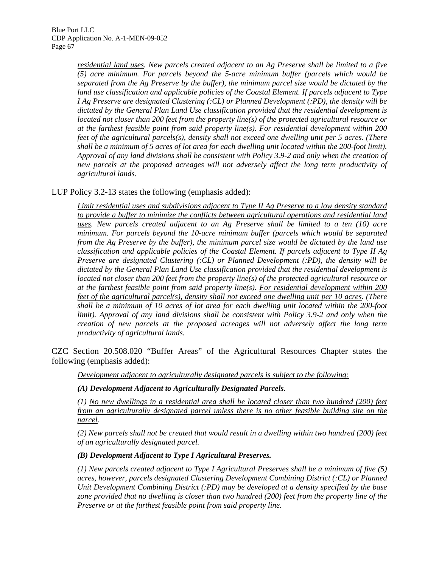*residential land uses. New parcels created adjacent to an Ag Preserve shall be limited to a five (5) acre minimum. For parcels beyond the 5-acre minimum buffer (parcels which would be separated from the Ag Preserve by the buffer), the minimum parcel size would be dictated by the land use classification and applicable policies of the Coastal Element. If parcels adjacent to Type I Ag Preserve are designated Clustering (:CL) or Planned Development (:PD), the density will be dictated by the General Plan Land Use classification provided that the residential development is located not closer than 200 feet from the property line(s) of the protected agricultural resource or at the farthest feasible point from said property line(s). For residential development within 200 feet of the agricultural parcels(s), density shall not exceed one dwelling unit per 5 acres. (There shall be a minimum of 5 acres of lot area for each dwelling unit located within the 200-foot limit). Approval of any land divisions shall be consistent with Policy 3.9-2 and only when the creation of new parcels at the proposed acreages will not adversely affect the long term productivity of agricultural lands.* 

LUP Policy 3.2-13 states the following (emphasis added):

*Limit residential uses and subdivisions adjacent to Type II Ag Preserve to a low density standard to provide a buffer to minimize the conflicts between agricultural operations and residential land uses. New parcels created adjacent to an Ag Preserve shall be limited to a ten (10) acre minimum. For parcels beyond the 10-acre minimum buffer (parcels which would be separated from the Ag Preserve by the buffer), the minimum parcel size would be dictated by the land use classification and applicable policies of the Coastal Element. If parcels adjacent to Type II Ag Preserve are designated Clustering (:CL) or Planned Development (:PD), the density will be dictated by the General Plan Land Use classification provided that the residential development is located not closer than 200 feet from the property line(s) of the protected agricultural resource or at the farthest feasible point from said property line(s). For residential development within 200 feet of the agricultural parcel(s), density shall not exceed one dwelling unit per 10 acres. (There shall be a minimum of 10 acres of lot area for each dwelling unit located within the 200-foot limit*). Approval of any land divisions shall be consistent with Policy 3.9-2 and only when the *creation of new parcels at the proposed acreages will not adversely affect the long term productivity of agricultural lands.* 

CZC Section 20.508.020 "Buffer Areas" of the Agricultural Resources Chapter states the following (emphasis added):

*Development adjacent to agriculturally designated parcels is subject to the following:*

*(A) Development Adjacent to Agriculturally Designated Parcels.* 

*(1) No new dwellings in a residential area shall be located closer than two hundred (200) feet from an agriculturally designated parcel unless there is no other feasible building site on the parcel.* 

*(2) New parcels shall not be created that would result in a dwelling within two hundred (200) feet of an agriculturally designated parcel.* 

## *(B) Development Adjacent to Type I Agricultural Preserves.*

*(1) New parcels created adjacent to Type I Agricultural Preserves shall be a minimum of five (5) acres, however, parcels designated Clustering Development Combining District (:CL) or Planned Unit Development Combining District (:PD) may be developed at a density specified by the base zone provided that no dwelling is closer than two hundred (200) feet from the property line of the Preserve or at the furthest feasible point from said property line.*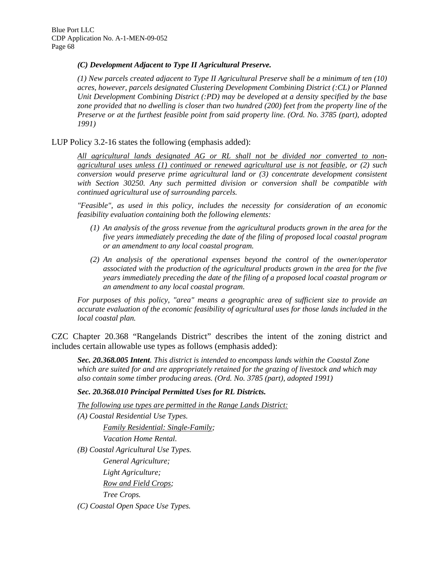#### *(C) Development Adjacent to Type II Agricultural Preserve.*

*(1) New parcels created adjacent to Type II Agricultural Preserve shall be a minimum of ten (10) acres, however, parcels designated Clustering Development Combining District (:CL) or Planned Unit Development Combining District (:PD) may be developed at a density specified by the base zone provided that no dwelling is closer than two hundred (200) feet from the property line of the Preserve or at the furthest feasible point from said property line. (Ord. No. 3785 (part), adopted 1991)* 

LUP Policy 3.2-16 states the following (emphasis added):

*All agricultural lands designated AG or RL shall not be divided nor converted to nonagricultural uses unless (1) continued or renewed agricultural use is not feasible, or (2) such conversion would preserve prime agricultural land or (3) concentrate development consistent with Section 30250. Any such permitted division or conversion shall be compatible with continued agricultural use of surrounding parcels.* 

*"Feasible", as used in this policy, includes the necessity for consideration of an economic feasibility evaluation containing both the following elements:* 

- *(1) An analysis of the gross revenue from the agricultural products grown in the area for the five years immediately preceding the date of the filing of proposed local coastal program or an amendment to any local coastal program.*
- *(2) An analysis of the operational expenses beyond the control of the owner/operator associated with the production of the agricultural products grown in the area for the five years immediately preceding the date of the filing of a proposed local coastal program or an amendment to any local coastal program.*

*For purposes of this policy, "area" means a geographic area of sufficient size to provide an accurate evaluation of the economic feasibility of agricultural uses for those lands included in the local coastal plan.* 

CZC Chapter 20.368 "Rangelands District" describes the intent of the zoning district and includes certain allowable use types as follows (emphasis added):

*Sec. 20.368.005 Intent. This district is intended to encompass lands within the Coastal Zone which are suited for and are appropriately retained for the grazing of livestock and which may also contain some timber producing areas. (Ord. No. 3785 (part), adopted 1991)* 

#### *Sec. 20.368.010 Principal Permitted Uses for RL Districts.*

*The following use types are permitted in the Range Lands District:*

*(A) Coastal Residential Use Types. Family Residential: Single-Family; Vacation Home Rental. (B) Coastal Agricultural Use Types. General Agriculture; Light Agriculture; Row and Field Crops; Tree Crops.* 

*(C) Coastal Open Space Use Types.*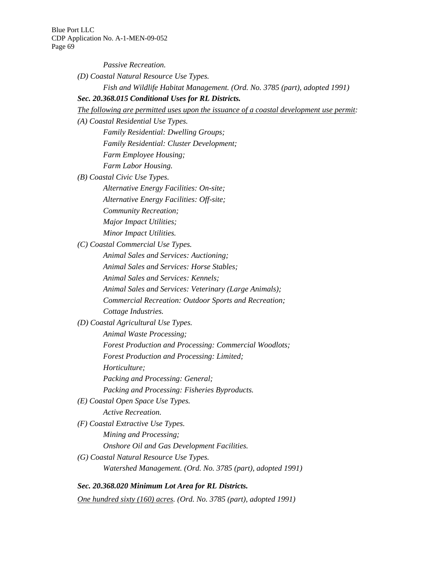*Passive Recreation.* 

*(D) Coastal Natural Resource Use Types.* 

*Fish and Wildlife Habitat Management. (Ord. No. 3785 (part), adopted 1991)* 

*Sec. 20.368.015 Conditional Uses for RL Districts.* 

*The following are permitted uses upon the issuance of a coastal development use permit:* 

*(A) Coastal Residential Use Types.* 

*Family Residential: Dwelling Groups;* 

*Family Residential: Cluster Development;* 

*Farm Employee Housing;* 

*Farm Labor Housing.* 

*(B) Coastal Civic Use Types.* 

*Alternative Energy Facilities: On-site;* 

*Alternative Energy Facilities: Off-site;* 

*Community Recreation;* 

*Major Impact Utilities;* 

*Minor Impact Utilities.* 

*(C) Coastal Commercial Use Types.* 

*Animal Sales and Services: Auctioning;* 

*Animal Sales and Services: Horse Stables;* 

*Animal Sales and Services: Kennels;* 

*Animal Sales and Services: Veterinary (Large Animals);* 

*Commercial Recreation: Outdoor Sports and Recreation; Cottage Industries.* 

*(D) Coastal Agricultural Use Types.* 

*Animal Waste Processing;* 

*Forest Production and Processing: Commercial Woodlots;* 

*Forest Production and Processing: Limited;* 

*Horticulture;* 

*Packing and Processing: General;* 

*Packing and Processing: Fisheries Byproducts.* 

*(E) Coastal Open Space Use Types.* 

*Active Recreation.* 

*(F) Coastal Extractive Use Types.* 

*Mining and Processing;* 

*Onshore Oil and Gas Development Facilities.* 

*(G) Coastal Natural Resource Use Types. Watershed Management. (Ord. No. 3785 (part), adopted 1991)* 

*Sec. 20.368.020 Minimum Lot Area for RL Districts. One hundred sixty (160) acres. (Ord. No. 3785 (part), adopted 1991)*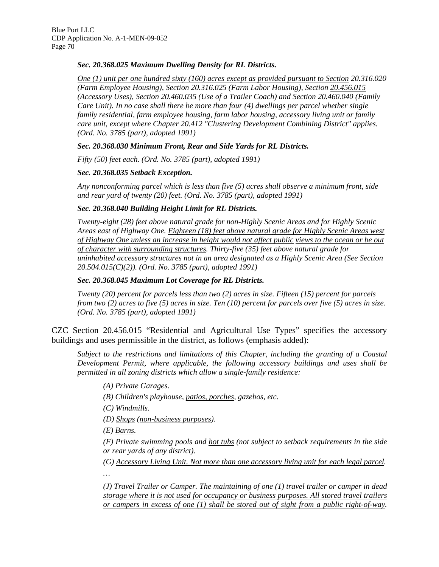#### *Sec. 20.368.025 Maximum Dwelling Density for RL Districts.*

*One (1) unit per one hundred sixty (160) acres except as provided pursuant to Section 20.316.020 (Farm Employee Housing), Section 20.316.025 (Farm Labor Housing), Section 20.456.015 (Accessory Uses), Section 20.460.035 (Use of a Trailer Coach) and Section 20.460.040 (Family Care Unit). In no case shall there be more than four (4) dwellings per parcel whether single family residential, farm employee housing, farm labor housing, accessory living unit or family care unit, except where Chapter 20.412 "Clustering Development Combining District" applies. (Ord. No. 3785 (part), adopted 1991)* 

#### *Sec. 20.368.030 Minimum Front, Rear and Side Yards for RL Districts.*

*Fifty (50) feet each. (Ord. No. 3785 (part), adopted 1991)* 

#### *Sec. 20.368.035 Setback Exception.*

*Any nonconforming parcel which is less than five (5) acres shall observe a minimum front, side and rear yard of twenty (20) feet. (Ord. No. 3785 (part), adopted 1991)* 

#### *Sec. 20.368.040 Building Height Limit for RL Districts.*

*Twenty-eight (28) feet above natural grade for non-Highly Scenic Areas and for Highly Scenic Areas east of Highway One. Eighteen (18) feet above natural grade for Highly Scenic Areas west of Highway One unless an increase in height would not affect public views to the ocean or be out of character with surrounding structures. Thirty-five (35) feet above natural grade for uninhabited accessory structures not in an area designated as a Highly Scenic Area (See Section 20.504.015(C)(2)). (Ord. No. 3785 (part), adopted 1991)* 

#### *Sec. 20.368.045 Maximum Lot Coverage for RL Districts.*

*Twenty (20) percent for parcels less than two (2) acres in size. Fifteen (15) percent for parcels from two (2) acres to five (5) acres in size. Ten (10) percent for parcels over five (5) acres in size. (Ord. No. 3785 (part), adopted 1991)* 

CZC Section 20.456.015 "Residential and Agricultural Use Types" specifies the accessory buildings and uses permissible in the district, as follows (emphasis added):

*Subject to the restrictions and limitations of this Chapter, including the granting of a Coastal Development Permit, where applicable, the following accessory buildings and uses shall be permitted in all zoning districts which allow a single-family residence:* 

*(A) Private Garages.* 

*(B) Children's playhouse, patios, porches, gazebos, etc.* 

*(C) Windmills.* 

*(D) Shops (non-business purposes).* 

*(E) Barns.* 

*…* 

*(F) Private swimming pools and hot tubs (not subject to setback requirements in the side or rear yards of any district).* 

*(G) Accessory Living Unit. Not more than one accessory living unit for each legal parcel.* 

*(J) Travel Trailer or Camper. The maintaining of one (1) travel trailer or camper in dead storage where it is not used for occupancy or business purposes. All stored travel trailers or campers in excess of one (1) shall be stored out of sight from a public right-of-way.*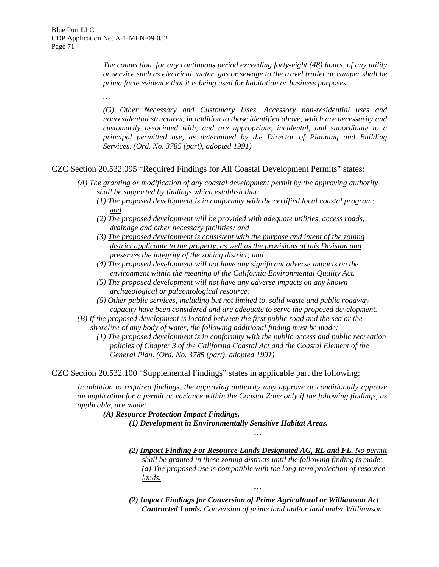*…* 

*The connection, for any continuous period exceeding forty-eight (48) hours, of any utility or service such as electrical, water, gas or sewage to the travel trailer or camper shall be prima facie evidence that it is being used for habitation or business purposes.* 

*(O) Other Necessary and Customary Uses. Accessory non-residential uses and nonresidential structures, in addition to those identified above, which are necessarily and customarily associated with, and are appropriate, incidental, and subordinate to a principal permitted use, as determined by the Director of Planning and Building Services. (Ord. No. 3785 (part), adopted 1991)* 

CZC Section 20.532.095 "Required Findings for All Coastal Development Permits" states:

- *(A) The granting or modification of any coastal development permit by the approving authority shall be supported by findings which establish that:*
	- *(1) The proposed development is in conformity with the certified local coastal program; and*
	- *(2) The proposed development will be provided with adequate utilities, access roads, drainage and other necessary facilities; and*
	- *(3) The proposed development is consistent with the purpose and intent of the zoning district applicable to the property, as well as the provisions of this Division and preserves the integrity of the zoning district; and*
	- *(4) The proposed development will not have any significant adverse impacts on the environment within the meaning of the California Environmental Quality Act.*
	- *(5) The proposed development will not have any adverse impacts on any known archaeological or paleontological resource.*
	- *(6) Other public services, including but not limited to, solid waste and public roadway capacity have been considered and are adequate to serve the proposed development.*
- *(B) If the proposed development is located between the first public road and the sea or the shoreline of any body of water, the following additional finding must be made:* 
	- *(1) The proposed development is in conformity with the public access and public recreation policies of Chapter 3 of the California Coastal Act and the Coastal Element of the General Plan. (Ord. No. 3785 (part), adopted 1991)*

CZC Section 20.532.100 "Supplemental Findings" states in applicable part the following:

*In addition to required findings, the approving authority may approve or conditionally approve an application for a permit or variance within the Coastal Zone only if the following findings, as applicable, are made:* 

*(A) Resource Protection Impact Findings.* 

*(1) Development in Environmentally Sensitive Habitat Areas.* 

*(2) Impact Finding For Resource Lands Designated AG, RL and FL. No permit shall be granted in these zoning districts until the following finding is made: (a) The proposed use is compatible with the long-term protection of resource lands.*

*…* 

*(2) Impact Findings for Conversion of Prime Agricultural or Williamson Act Contracted Lands. Conversion of prime land and/or land under Williamson* 

*…*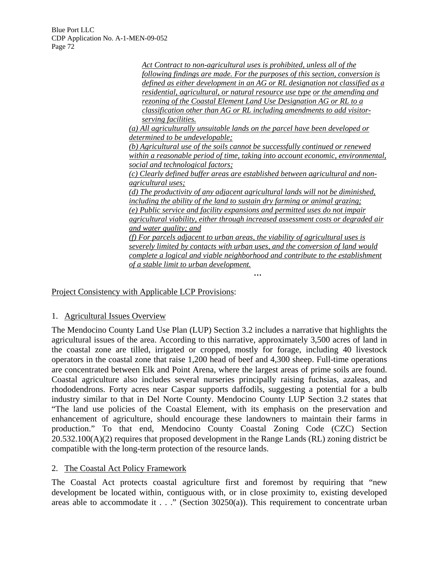> *Act Contract to non-agricultural uses is prohibited, unless all of the following findings are made. For the purposes of this section, conversion is defined as either development in an AG or RL designation not classified as a residential, agricultural, or natural resource use type or the amending and rezoning of the Coastal Element Land Use Designation AG or RL to a classification other than AG or RL including amendments to add visitorserving facilities. (a) All agriculturally unsuitable lands on the parcel have been developed or determined to be undevelopable; (b) Agricultural use of the soils cannot be successfully continued or renewed within a reasonable period of time, taking into account economic, environmental, social and technological factors; (c) Clearly defined buffer areas are established between agricultural and nonagricultural uses; (d) The productivity of any adjacent agricultural lands will not be diminished, including the ability of the land to sustain dry farming or animal grazing; (e) Public service and facility expansions and permitted uses do not impair agricultural viability, either through increased assessment costs or degraded air and water quality; and (f) For parcels adjacent to urban areas, the viability of agricultural uses is severely limited by contacts with urban uses, and the conversion of land would complete a logical and viable neighborhood and contribute to the establishment of a stable limit to urban development.*

> > *…*

Project Consistency with Applicable LCP Provisions:

### 1. Agricultural Issues Overview

The Mendocino County Land Use Plan (LUP) Section 3.2 includes a narrative that highlights the agricultural issues of the area. According to this narrative, approximately 3,500 acres of land in the coastal zone are tilled, irrigated or cropped, mostly for forage, including 40 livestock operators in the coastal zone that raise 1,200 head of beef and 4,300 sheep. Full-time operations are concentrated between Elk and Point Arena, where the largest areas of prime soils are found. Coastal agriculture also includes several nurseries principally raising fuchsias, azaleas, and rhododendrons. Forty acres near Caspar supports daffodils, suggesting a potential for a bulb industry similar to that in Del Norte County. Mendocino County LUP Section 3.2 states that "The land use policies of the Coastal Element, with its emphasis on the preservation and enhancement of agriculture, should encourage these landowners to maintain their farms in production." To that end, Mendocino County Coastal Zoning Code (CZC) Section 20.532.100(A)(2) requires that proposed development in the Range Lands (RL) zoning district be compatible with the long-term protection of the resource lands.

### 2. The Coastal Act Policy Framework

The Coastal Act protects coastal agriculture first and foremost by requiring that "new development be located within, contiguous with, or in close proximity to, existing developed areas able to accommodate it . . ." (Section 30250(a)). This requirement to concentrate urban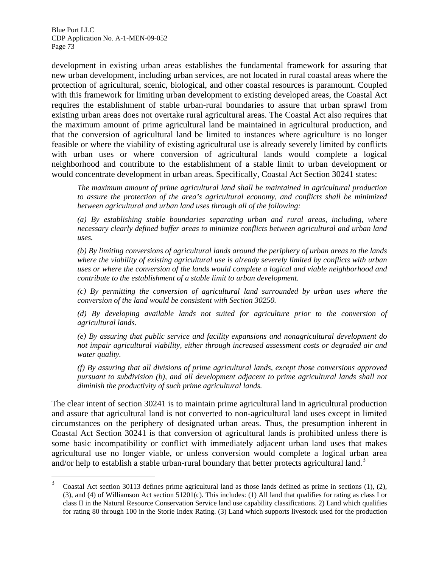development in existing urban areas establishes the fundamental framework for assuring that new urban development, including urban services, are not located in rural coastal areas where the protection of agricultural, scenic, biological, and other coastal resources is paramount. Coupled with this framework for limiting urban development to existing developed areas, the Coastal Act requires the establishment of stable urban-rural boundaries to assure that urban sprawl from existing urban areas does not overtake rural agricultural areas. The Coastal Act also requires that the maximum amount of prime agricultural land be maintained in agricultural production, and that the conversion of agricultural land be limited to instances where agriculture is no longer feasible or where the viability of existing agricultural use is already severely limited by conflicts with urban uses or where conversion of agricultural lands would complete a logical neighborhood and contribute to the establishment of a stable limit to urban development or would concentrate development in urban areas. Specifically, Coastal Act Section 30241 states:

*The maximum amount of prime agricultural land shall be maintained in agricultural production to assure the protection of the area's agricultural economy, and conflicts shall be minimized between agricultural and urban land uses through all of the following:* 

*(a) By establishing stable boundaries separating urban and rural areas, including, where necessary clearly defined buffer areas to minimize conflicts between agricultural and urban land uses.* 

*(b) By limiting conversions of agricultural lands around the periphery of urban areas to the lands where the viability of existing agricultural use is already severely limited by conflicts with urban uses or where the conversion of the lands would complete a logical and viable neighborhood and contribute to the establishment of a stable limit to urban development.* 

*(c) By permitting the conversion of agricultural land surrounded by urban uses where the conversion of the land would be consistent with Section 30250.* 

*(d) By developing available lands not suited for agriculture prior to the conversion of agricultural lands.* 

*(e) By assuring that public service and facility expansions and nonagricultural development do not impair agricultural viability, either through increased assessment costs or degraded air and water quality.* 

*(f) By assuring that all divisions of prime agricultural lands, except those conversions approved pursuant to subdivision (b), and all development adjacent to prime agricultural lands shall not diminish the productivity of such prime agricultural lands.* 

The clear intent of section 30241 is to maintain prime agricultural land in agricultural production and assure that agricultural land is not converted to non-agricultural land uses except in limited circumstances on the periphery of designated urban areas. Thus, the presumption inherent in Coastal Act Section 30241 is that conversion of agricultural lands is prohibited unless there is some basic incompatibility or conflict with immediately adjacent urban land uses that makes agricultural use no longer viable, or unless conversion would complete a logical urban area and/or help to establish a stable urban-rural boundary that better protects agricultural land.<sup>[3](#page-78-0)</sup>

 $\frac{1}{3}$  Coastal Act section 30113 defines prime agricultural land as those lands defined as prime in sections (1), (2), (3), and (4) of Williamson Act section 51201(c). This includes: (1) All land that qualifies for rating as class I or class II in the Natural Resource Conservation Service land use capability classifications. 2) Land which qualifies for rating 80 through 100 in the Storie Index Rating. (3) Land which supports livestock used for the production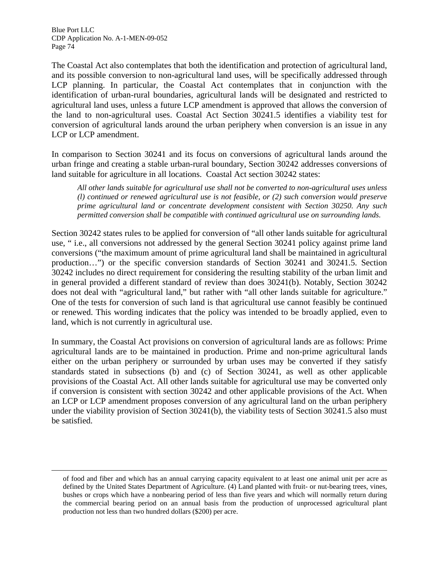<span id="page-78-0"></span> $\overline{a}$ 

The Coastal Act also contemplates that both the identification and protection of agricultural land, and its possible conversion to non-agricultural land uses, will be specifically addressed through LCP planning. In particular, the Coastal Act contemplates that in conjunction with the identification of urban-rural boundaries, agricultural lands will be designated and restricted to agricultural land uses, unless a future LCP amendment is approved that allows the conversion of the land to non-agricultural uses. Coastal Act Section 30241.5 identifies a viability test for conversion of agricultural lands around the urban periphery when conversion is an issue in any LCP or LCP amendment.

In comparison to Section 30241 and its focus on conversions of agricultural lands around the urban fringe and creating a stable urban-rural boundary, Section 30242 addresses conversions of land suitable for agriculture in all locations. Coastal Act section 30242 states:

*All other lands suitable for agricultural use shall not be converted to non-agricultural uses unless (l) continued or renewed agricultural use is not feasible, or (2) such conversion would preserve prime agricultural land or concentrate development consistent with Section 30250. Any such permitted conversion shall be compatible with continued agricultural use on surrounding lands.* 

Section 30242 states rules to be applied for conversion of "all other lands suitable for agricultural use, " i.e., all conversions not addressed by the general Section 30241 policy against prime land conversions ("the maximum amount of prime agricultural land shall be maintained in agricultural production…") or the specific conversion standards of Section 30241 and 30241.5. Section 30242 includes no direct requirement for considering the resulting stability of the urban limit and in general provided a different standard of review than does 30241(b). Notably, Section 30242 does not deal with "agricultural land," but rather with "all other lands suitable for agriculture." One of the tests for conversion of such land is that agricultural use cannot feasibly be continued or renewed. This wording indicates that the policy was intended to be broadly applied, even to land, which is not currently in agricultural use.

In summary, the Coastal Act provisions on conversion of agricultural lands are as follows: Prime agricultural lands are to be maintained in production. Prime and non-prime agricultural lands either on the urban periphery or surrounded by urban uses may be converted if they satisfy standards stated in subsections (b) and (c) of Section 30241, as well as other applicable provisions of the Coastal Act. All other lands suitable for agricultural use may be converted only if conversion is consistent with section 30242 and other applicable provisions of the Act. When an LCP or LCP amendment proposes conversion of any agricultural land on the urban periphery under the viability provision of Section 30241(b), the viability tests of Section 30241.5 also must be satisfied.

of food and fiber and which has an annual carrying capacity equivalent to at least one animal unit per acre as defined by the United States Department of Agriculture. (4) Land planted with fruit- or nut-bearing trees, vines, bushes or crops which have a nonbearing period of less than five years and which will normally return during the commercial bearing period on an annual basis from the production of unprocessed agricultural plant production not less than two hundred dollars (\$200) per acre.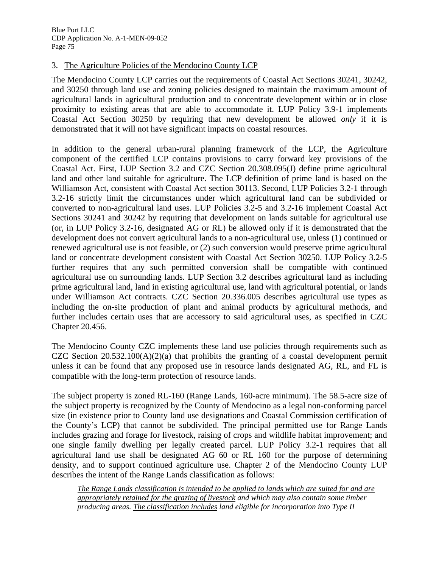### 3. The Agriculture Policies of the Mendocino County LCP

The Mendocino County LCP carries out the requirements of Coastal Act Sections 30241, 30242, and 30250 through land use and zoning policies designed to maintain the maximum amount of agricultural lands in agricultural production and to concentrate development within or in close proximity to existing areas that are able to accommodate it. LUP Policy 3.9-1 implements Coastal Act Section 30250 by requiring that new development be allowed *only* if it is demonstrated that it will not have significant impacts on coastal resources.

In addition to the general urban-rural planning framework of the LCP, the Agriculture component of the certified LCP contains provisions to carry forward key provisions of the Coastal Act. First, LUP Section 3.2 and CZC Section 20.308.095(J) define prime agricultural land and other land suitable for agriculture. The LCP definition of prime land is based on the Williamson Act, consistent with Coastal Act section 30113. Second, LUP Policies 3.2-1 through 3.2-16 strictly limit the circumstances under which agricultural land can be subdivided or converted to non-agricultural land uses. LUP Policies 3.2-5 and 3.2-16 implement Coastal Act Sections 30241 and 30242 by requiring that development on lands suitable for agricultural use (or, in LUP Policy 3.2-16, designated AG or RL) be allowed only if it is demonstrated that the development does not convert agricultural lands to a non-agricultural use, unless (1) continued or renewed agricultural use is not feasible, or (2) such conversion would preserve prime agricultural land or concentrate development consistent with Coastal Act Section 30250. LUP Policy 3.2-5 further requires that any such permitted conversion shall be compatible with continued agricultural use on surrounding lands. LUP Section 3.2 describes agricultural land as including prime agricultural land, land in existing agricultural use, land with agricultural potential, or lands under Williamson Act contracts. CZC Section 20.336.005 describes agricultural use types as including the on-site production of plant and animal products by agricultural methods, and further includes certain uses that are accessory to said agricultural uses, as specified in CZC Chapter 20.456.

The Mendocino County CZC implements these land use policies through requirements such as CZC Section  $20.532.100(A)(2)(a)$  that prohibits the granting of a coastal development permit unless it can be found that any proposed use in resource lands designated AG, RL, and FL is compatible with the long-term protection of resource lands.

The subject property is zoned RL-160 (Range Lands, 160-acre minimum). The 58.5-acre size of the subject property is recognized by the County of Mendocino as a legal non-conforming parcel size (in existence prior to County land use designations and Coastal Commission certification of the County's LCP) that cannot be subdivided. The principal permitted use for Range Lands includes grazing and forage for livestock, raising of crops and wildlife habitat improvement; and one single family dwelling per legally created parcel. LUP Policy 3.2-1 requires that all agricultural land use shall be designated AG 60 or RL 160 for the purpose of determining density, and to support continued agriculture use. Chapter 2 of the Mendocino County LUP describes the intent of the Range Lands classification as follows:

*The Range Lands classification is intended to be applied to lands which are suited for and are appropriately retained for the grazing of livestock and which may also contain some timber producing areas. The classification includes land eligible for incorporation into Type II*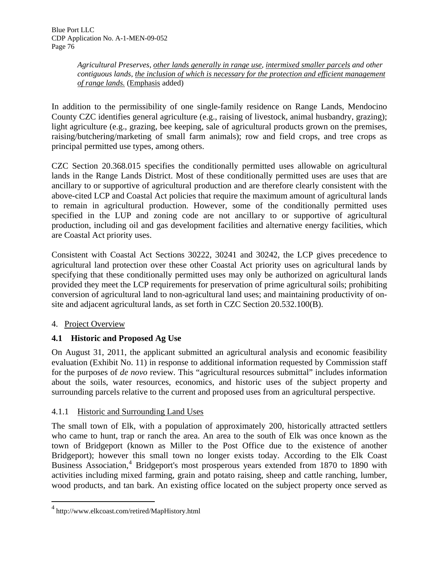*Agricultural Preserves, other lands generally in range use, intermixed smaller parcels and other contiguous lands, the inclusion of which is necessary for the protection and efficient management of range lands.* (Emphasis added)

In addition to the permissibility of one single-family residence on Range Lands, Mendocino County CZC identifies general agriculture (e.g., raising of livestock, animal husbandry, grazing); light agriculture (e.g., grazing, bee keeping, sale of agricultural products grown on the premises, raising/butchering/marketing of small farm animals); row and field crops, and tree crops as principal permitted use types, among others.

CZC Section 20.368.015 specifies the conditionally permitted uses allowable on agricultural lands in the Range Lands District. Most of these conditionally permitted uses are uses that are ancillary to or supportive of agricultural production and are therefore clearly consistent with the above-cited LCP and Coastal Act policies that require the maximum amount of agricultural lands to remain in agricultural production. However, some of the conditionally permitted uses specified in the LUP and zoning code are not ancillary to or supportive of agricultural production, including oil and gas development facilities and alternative energy facilities, which are Coastal Act priority uses.

Consistent with Coastal Act Sections 30222, 30241 and 30242, the LCP gives precedence to agricultural land protection over these other Coastal Act priority uses on agricultural lands by specifying that these conditionally permitted uses may only be authorized on agricultural lands provided they meet the LCP requirements for preservation of prime agricultural soils; prohibiting conversion of agricultural land to non-agricultural land uses; and maintaining productivity of onsite and adjacent agricultural lands, as set forth in CZC Section 20.532.100(B).

# 4. Project Overview

<u>.</u>

# **4.1 Historic and Proposed Ag Use**

On August 31, 2011, the applicant submitted an agricultural analysis and economic feasibility evaluation (Exhibit No. 11) in response to additional information requested by Commission staff for the purposes of *de novo* review. This "agricultural resources submittal" includes information about the soils, water resources, economics, and historic uses of the subject property and surrounding parcels relative to the current and proposed uses from an agricultural perspective.

# 4.1.1 Historic and Surrounding Land Uses

The small town of Elk, with a population of approximately 200, historically attracted settlers who came to hunt, trap or ranch the area. An area to the south of Elk was once known as the town of Bridgeport (known as Miller to the Post Office due to the existence of another Bridgeport); however this small town no longer exists today. According to the Elk Coast Business Association,<sup>[4](#page-81-0)</sup> Bridgeport's most prosperous years extended from 1870 to 1890 with activities including mixed farming, grain and potato raising, sheep and cattle ranching, lumber, wood products, and tan bark. An existing office located on the subject property once served as

<sup>4</sup> http://www.elkcoast.com/retired/MapHistory.html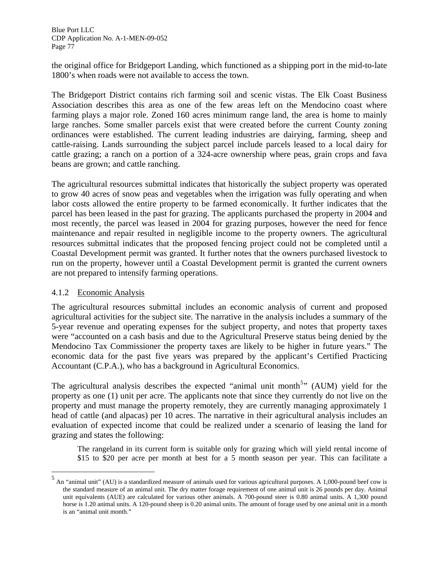the original office for Bridgeport Landing, which functioned as a shipping port in the mid-to-late 1800's when roads were not available to access the town.

The Bridgeport District contains rich farming soil and scenic vistas. The Elk Coast Business Association describes this area as one of the few areas left on the Mendocino coast where farming plays a major role. Zoned 160 acres minimum range land, the area is home to mainly large ranches. Some smaller parcels exist that were created before the current County zoning ordinances were established. The current leading industries are dairying, farming, sheep and cattle-raising. Lands surrounding the subject parcel include parcels leased to a local dairy for cattle grazing; a ranch on a portion of a 324-acre ownership where peas, grain crops and fava beans are grown; and cattle ranching.

The agricultural resources submittal indicates that historically the subject property was operated to grow 40 acres of snow peas and vegetables when the irrigation was fully operating and when labor costs allowed the entire property to be farmed economically. It further indicates that the parcel has been leased in the past for grazing. The applicants purchased the property in 2004 and most recently, the parcel was leased in 2004 for grazing purposes, however the need for fence maintenance and repair resulted in negligible income to the property owners. The agricultural resources submittal indicates that the proposed fencing project could not be completed until a Coastal Development permit was granted. It further notes that the owners purchased livestock to run on the property, however until a Coastal Development permit is granted the current owners are not prepared to intensify farming operations.

### 4.1.2 Economic Analysis

 $\overline{a}$ 

The agricultural resources submittal includes an economic analysis of current and proposed agricultural activities for the subject site. The narrative in the analysis includes a summary of the 5-year revenue and operating expenses for the subject property, and notes that property taxes were "accounted on a cash basis and due to the Agricultural Preserve status being denied by the Mendocino Tax Commissioner the property taxes are likely to be higher in future years." The economic data for the past five years was prepared by the applicant's Certified Practicing Accountant (C.P.A.), who has a background in Agricultural Economics.

The agricultural analysis describes the expected "animal unit month<sup>[5](#page-82-0)</sup>" (AUM) yield for the property as one (1) unit per acre. The applicants note that since they currently do not live on the property and must manage the property remotely, they are currently managing approximately 1 head of cattle (and alpacas) per 10 acres. The narrative in their agricultural analysis includes an evaluation of expected income that could be realized under a scenario of leasing the land for grazing and states the following:

The rangeland in its current form is suitable only for grazing which will yield rental income of \$15 to \$20 per acre per month at best for a 5 month season per year. This can facilitate a

<span id="page-81-0"></span><sup>&</sup>lt;sup>5</sup> An "animal unit" (AU) is a standardized measure of animals used for various agricultural purposes. A 1,000-pound beef cow is the standard measure of an animal unit. The dry matter forage requirement of one animal unit is 26 pounds per day. Animal unit equivalents (AUE) are calculated for various other animals. A 700-pound steer is 0.80 animal units. A 1,300 pound horse is 1.20 animal units. A 120-pound sheep is 0.20 animal units. The amount of forage used by one animal unit in a month is an "animal unit month."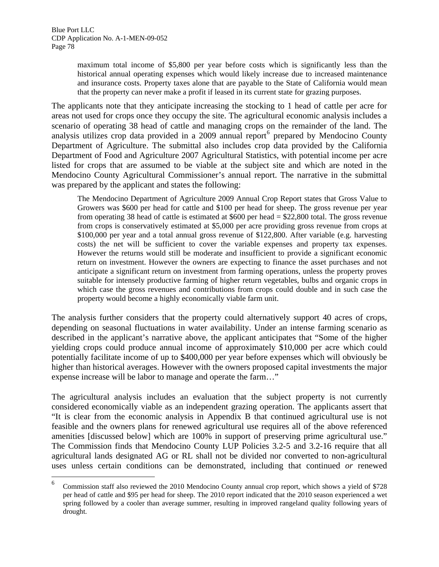$\overline{a}$ 

maximum total income of \$5,800 per year before costs which is significantly less than the historical annual operating expenses which would likely increase due to increased maintenance and insurance costs. Property taxes alone that are payable to the State of California would mean that the property can never make a profit if leased in its current state for grazing purposes.

The applicants note that they anticipate increasing the stocking to 1 head of cattle per acre for areas not used for crops once they occupy the site. The agricultural economic analysis includes a scenario of operating 38 head of cattle and managing crops on the remainder of the land. The analysis utilizes crop data provided in a 2009 annual report<sup>[6](#page-83-0)</sup> prepared by Mendocino County Department of Agriculture. The submittal also includes crop data provided by the California Department of Food and Agriculture 2007 Agricultural Statistics, with potential income per acre listed for crops that are assumed to be viable at the subject site and which are noted in the Mendocino County Agricultural Commissioner's annual report. The narrative in the submittal was prepared by the applicant and states the following:

The Mendocino Department of Agriculture 2009 Annual Crop Report states that Gross Value to Growers was \$600 per head for cattle and \$100 per head for sheep. The gross revenue per year from operating 38 head of cattle is estimated at \$600 per head = \$22,800 total. The gross revenue from crops is conservatively estimated at \$5,000 per acre providing gross revenue from crops at \$100,000 per year and a total annual gross revenue of \$122,800. After variable (e.g. harvesting costs) the net will be sufficient to cover the variable expenses and property tax expenses. However the returns would still be moderate and insufficient to provide a significant economic return on investment. However the owners are expecting to finance the asset purchases and not anticipate a significant return on investment from farming operations, unless the property proves suitable for intensely productive farming of higher return vegetables, bulbs and organic crops in which case the gross revenues and contributions from crops could double and in such case the property would become a highly economically viable farm unit.

The analysis further considers that the property could alternatively support 40 acres of crops, depending on seasonal fluctuations in water availability. Under an intense farming scenario as described in the applicant's narrative above, the applicant anticipates that "Some of the higher yielding crops could produce annual income of approximately \$10,000 per acre which could potentially facilitate income of up to \$400,000 per year before expenses which will obviously be higher than historical averages. However with the owners proposed capital investments the major expense increase will be labor to manage and operate the farm…"

The agricultural analysis includes an evaluation that the subject property is not currently considered economically viable as an independent grazing operation. The applicants assert that "It is clear from the economic analysis in Appendix B that continued agricultural use is not feasible and the owners plans for renewed agricultural use requires all of the above referenced amenities [discussed below] which are 100% in support of preserving prime agricultural use." The Commission finds that Mendocino County LUP Policies 3.2-5 and 3.2-16 require that all agricultural lands designated AG or RL shall not be divided nor converted to non-agricultural uses unless certain conditions can be demonstrated, including that continued *or* renewed

<span id="page-82-0"></span><sup>6</sup> Commission staff also reviewed the 2010 Mendocino County annual crop report, which shows a yield of \$728 per head of cattle and \$95 per head for sheep. The 2010 report indicated that the 2010 season experienced a wet spring followed by a cooler than average summer, resulting in improved rangeland quality following years of drought.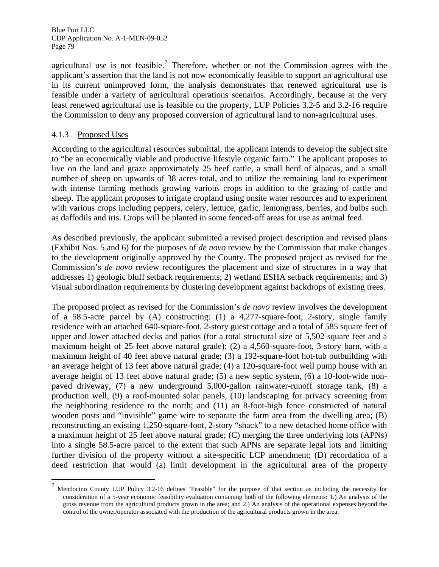agricultural use is not feasible.<sup>[7](#page-83-1)</sup> Therefore, whether or not the Commission agrees with the applicant's assertion that the land is not now economically feasible to support an agricultural use in its current unimproved form, the analysis demonstrates that renewed agricultural use is feasible under a variety of agricultural operations scenarios. Accordingly, because at the very least renewed agricultural use is feasible on the property, LUP Policies 3.2-5 and 3.2-16 require the Commission to deny any proposed conversion of agricultural land to non-agricultural uses.

### 4.1.3 Proposed Uses

<span id="page-83-0"></span> $\overline{a}$ 

According to the agricultural resources submittal, the applicant intends to develop the subject site to "be an economically viable and productive lifestyle organic farm." The applicant proposes to live on the land and graze approximately 25 beef cattle, a small herd of alpacas, and a small number of sheep on upwards of 38 acres total, and to utilize the remaining land to experiment with intense farming methods growing various crops in addition to the grazing of cattle and sheep. The applicant proposes to irrigate cropland using onsite water resources and to experiment with various crops including peppers, celery, lettuce, garlic, lemongrass, berries, and bulbs such as daffodils and iris. Crops will be planted in some fenced-off areas for use as animal feed.

As described previously, the applicant submitted a revised project description and revised plans (Exhibit Nos. 5 and 6) for the purposes of *de novo* review by the Commission that make changes to the development originally approved by the County. The proposed project as revised for the Commission's *de novo* review reconfigures the placement and size of structures in a way that addresses 1) geologic bluff setback requirements; 2) wetland ESHA setback requirements; and 3) visual subordination requirements by clustering development against backdrops of existing trees.

The proposed project as revised for the Commission's *de novo* review involves the development of a 58.5-acre parcel by (A) constructing: (1) a 4,277-square-foot, 2-story, single family residence with an attached 640-square-foot, 2-story guest cottage and a total of 585 square feet of upper and lower attached decks and patios (for a total structural size of 5,502 square feet and a maximum height of 25 feet above natural grade); (2) a 4,560-square-foot, 3-story barn, with a maximum height of 40 feet above natural grade; (3) a 192-square-foot hot-tub outbuilding with an average height of 13 feet above natural grade; (4) a 120-square-foot well pump house with an average height of 13 feet above natural grade; (5) a new septic system, (6) a 10-foot-wide nonpaved driveway, (7) a new underground 5,000-gallon rainwater-runoff storage tank, (8) a production well, (9) a roof-mounted solar panels, (10) landscaping for privacy screening from the neighboring residence to the north; and (11) an 8-foot-high fence constructed of natural wooden posts and "invisible" game wire to separate the farm area from the dwelling area; (B) reconstructing an existing 1,250-square-foot, 2-story "shack" to a new detached home office with a maximum height of 25 feet above natural grade; (C) merging the three underlying lots (APNs) into a single 58.5-acre parcel to the extent that such APNs are separate legal lots and limiting further division of the property without a site-specific LCP amendment; (D) recordation of a deed restriction that would (a) limit development in the agricultural area of the property

<span id="page-83-1"></span><sup>&</sup>lt;sup>7</sup> Mendocino County LUP Policy 3.2-16 defines "Feasible" for the purpose of that section as including the necessity for consideration of a 5-year economic feasibility evaluation containing both of the following elements: 1.) An analysis of the gross revenue from the agricultural products grown in the area; and 2.) An analysis of the operational expenses beyond the control of the owner/operator associated with the production of the agricultural products grown in the area.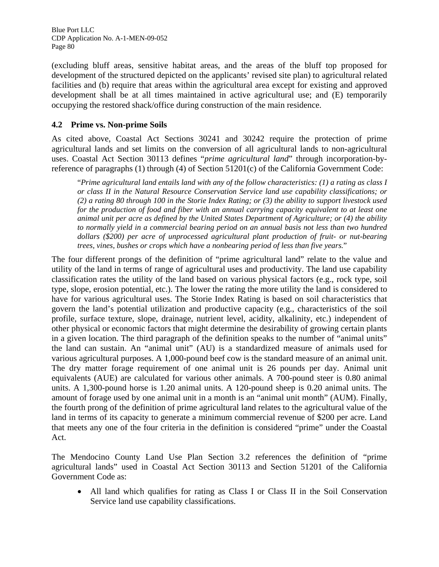(excluding bluff areas, sensitive habitat areas, and the areas of the bluff top proposed for development of the structured depicted on the applicants' revised site plan) to agricultural related facilities and (b) require that areas within the agricultural area except for existing and approved development shall be at all times maintained in active agricultural use; and (E) temporarily occupying the restored shack/office during construction of the main residence.

### **4.2 Prime vs. Non-prime Soils**

As cited above, Coastal Act Sections 30241 and 30242 require the protection of prime agricultural lands and set limits on the conversion of all agricultural lands to non-agricultural uses. Coastal Act Section 30113 defines "*prime agricultural land*" through incorporation-byreference of paragraphs (1) through (4) of Section 51201(c) of the California Government Code:

"*Prime agricultural land entails land with any of the follow characteristics: (1) a rating as class I or class II in the Natural Resource Conservation Service land use capability classifications; or (2) a rating 80 through 100 in the Storie Index Rating; or (3) the ability to support livestock used for the production of food and fiber with an annual carrying capacity equivalent to at least one animal unit per acre as defined by the United States Department of Agriculture; or (4) the ability to normally yield in a commercial bearing period on an annual basis not less than two hundred dollars (\$200) per acre of unprocessed agricultural plant production of fruit- or nut-bearing trees, vines, bushes or crops which have a nonbearing period of less than five years.*"

The four different prongs of the definition of "prime agricultural land" relate to the value and utility of the land in terms of range of agricultural uses and productivity. The land use capability classification rates the utility of the land based on various physical factors (e.g., rock type, soil type, slope, erosion potential, etc.). The lower the rating the more utility the land is considered to have for various agricultural uses. The Storie Index Rating is based on soil characteristics that govern the land's potential utilization and productive capacity (e.g., characteristics of the soil profile, surface texture, slope, drainage, nutrient level, acidity, alkalinity, etc.) independent of other physical or economic factors that might determine the desirability of growing certain plants in a given location. The third paragraph of the definition speaks to the number of "animal units" the land can sustain. An "animal unit" (AU) is a standardized measure of animals used for various agricultural purposes. A 1,000-pound beef cow is the standard measure of an animal unit. The dry matter forage requirement of one animal unit is 26 pounds per day. Animal unit equivalents (AUE) are calculated for various other animals. A 700-pound steer is 0.80 animal units. A 1,300-pound horse is 1.20 animal units. A 120-pound sheep is 0.20 animal units. The amount of forage used by one animal unit in a month is an "animal unit month" (AUM). Finally, the fourth prong of the definition of prime agricultural land relates to the agricultural value of the land in terms of its capacity to generate a minimum commercial revenue of \$200 per acre. Land that meets any one of the four criteria in the definition is considered "prime" under the Coastal Act.

The Mendocino County Land Use Plan Section 3.2 references the definition of "prime agricultural lands" used in Coastal Act Section 30113 and Section 51201 of the California Government Code as:

 All land which qualifies for rating as Class I or Class II in the Soil Conservation Service land use capability classifications.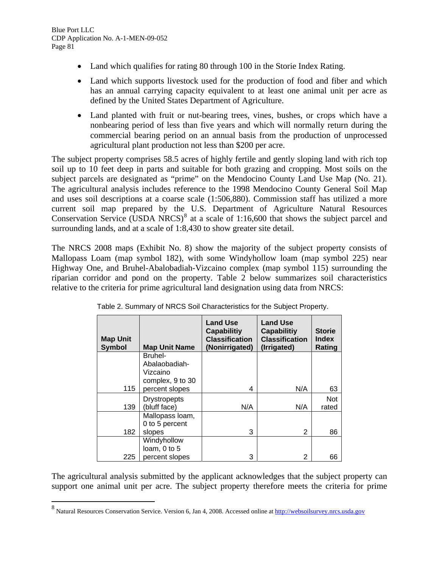$\overline{a}$ 

- Land which qualifies for rating 80 through 100 in the Storie Index Rating.
- Land which supports livestock used for the production of food and fiber and which has an annual carrying capacity equivalent to at least one animal unit per acre as defined by the United States Department of Agriculture.
- Land planted with fruit or nut-bearing trees, vines, bushes, or crops which have a nonbearing period of less than five years and which will normally return during the commercial bearing period on an annual basis from the production of unprocessed agricultural plant production not less than \$200 per acre.

The subject property comprises 58.5 acres of highly fertile and gently sloping land with rich top soil up to 10 feet deep in parts and suitable for both grazing and cropping. Most soils on the subject parcels are designated as "prime" on the Mendocino County Land Use Map (No. 21). The agricultural analysis includes reference to the 1998 Mendocino County General Soil Map and uses soil descriptions at a coarse scale (1:506,880). Commission staff has utilized a more current soil map prepared by the U.S. Department of Agriculture Natural Resources Conservation Service (USDA NRCS) $8$  at a scale of 1:16,600 that shows the subject parcel and surrounding lands, and at a scale of 1:8,430 to show greater site detail.

The NRCS 2008 maps (Exhibit No. 8) show the majority of the subject property consists of Mallopass Loam (map symbol 182), with some Windyhollow loam (map symbol 225) near Highway One, and Bruhel-Abalobadiah-Vizcaino complex (map symbol 115) surrounding the riparian corridor and pond on the property. Table 2 below summarizes soil characteristics relative to the criteria for prime agricultural land designation using data from NRCS:

| <b>Map Unit</b><br><b>Symbol</b> | <b>Map Unit Name</b>                                     | <b>Land Use</b><br><b>Capabilitiy</b><br><b>Classification</b><br>(Nonirrigated) | <b>Land Use</b><br><b>Capabilitiy</b><br><b>Classification</b><br>(Irrigated) | <b>Storie</b><br><b>Index</b><br>Rating |
|----------------------------------|----------------------------------------------------------|----------------------------------------------------------------------------------|-------------------------------------------------------------------------------|-----------------------------------------|
|                                  | Bruhel-<br>Abalaobadiah-<br>Vizcaino<br>complex, 9 to 30 | 4                                                                                |                                                                               |                                         |
| 115                              | percent slopes                                           |                                                                                  | N/A                                                                           | 63                                      |
| 139                              | <b>Drystropepts</b><br>(bluff face)                      | N/A                                                                              | N/A                                                                           | <b>Not</b><br>rated                     |
|                                  | Mallopass loam,<br>0 to 5 percent                        |                                                                                  |                                                                               |                                         |
| 182                              | slopes                                                   | 3                                                                                | 2                                                                             | 86                                      |
| 225                              | Windyhollow<br>loam, 0 to 5<br>percent slopes            | 3                                                                                | 2                                                                             | 66                                      |

| Table 2. Summary of NRCS Soil Characteristics for the Subject Property. |
|-------------------------------------------------------------------------|
|                                                                         |
|                                                                         |

The agricultural analysis submitted by the applicant acknowledges that the subject property can support one animal unit per acre. The subject property therefore meets the criteria for prime

<sup>&</sup>lt;sup>8</sup> Natural Resources Conservation Service. Version 6, Jan 4, 2008. Accessed online at **http://websoilsurvey.nrcs.usda.gov**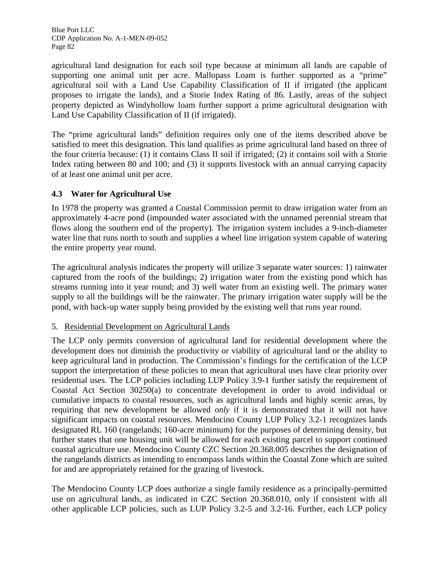agricultural land designation for each soil type because at minimum all lands are capable of supporting one animal unit per acre. Mallopass Loam is further supported as a "prime" agricultural soil with a Land Use Capability Classification of II if irrigated (the applicant proposes to irrigate the lands), and a Storie Index Rating of 86. Lastly, areas of the subject property depicted as Windyhollow loam further support a prime agricultural designation with Land Use Capability Classification of II (if irrigated).

The "prime agricultural lands" definition requires only one of the items described above be satisfied to meet this designation. This land qualifies as prime agricultural land based on three of the four criteria because: (1) it contains Class II soil if irrigated; (2) it contains soil with a Storie Index rating between 80 and 100; and (3) it supports livestock with an annual carrying capacity of at least one animal unit per acre.

## **4.3 Water for Agricultural Use**

In 1978 the property was granted a Coastal Commission permit to draw irrigation water from an approximately 4-acre pond (impounded water associated with the unnamed perennial stream that flows along the southern end of the property). The irrigation system includes a 9-inch-diameter water line that runs north to south and supplies a wheel line irrigation system capable of watering the entire property year round.

The agricultural analysis indicates the property will utilize 3 separate water sources: 1) rainwater captured from the roofs of the buildings; 2) irrigation water from the existing pond which has streams running into it year round; and 3) well water from an existing well. The primary water supply to all the buildings will be the rainwater. The primary irrigation water supply will be the pond, with back-up water supply being provided by the existing well that runs year round.

## 5. Residential Development on Agricultural Lands

The LCP only permits conversion of agricultural land for residential development where the development does not diminish the productivity or viability of agricultural land or the ability to keep agricultural land in production. The Commission's findings for the certification of the LCP support the interpretation of these policies to mean that agricultural uses have clear priority over residential uses. The LCP policies including LUP Policy 3.9-1 further satisfy the requirement of Coastal Act Section 30250(a) to concentrate development in order to avoid individual or cumulative impacts to coastal resources, such as agricultural lands and highly scenic areas, by requiring that new development be allowed *only* if it is demonstrated that it will not have significant impacts on coastal resources. Mendocino County LUP Policy 3.2-1 recognizes lands designated RL 160 (rangelands; 160-acre minimum) for the purposes of determining density, but further states that one housing unit will be allowed for each existing parcel to support continued coastal agriculture use. Mendocino County CZC Section 20.368.005 describes the designation of the rangelands districts as intending to encompass lands within the Coastal Zone which are suited for and are appropriately retained for the grazing of livestock.

<span id="page-86-0"></span>The Mendocino County LCP does authorize a single family residence as a principally-permitted use on agricultural lands, as indicated in CZC Section 20.368.010, only if consistent with all other applicable LCP policies, such as LUP Policy 3.2-5 and 3.2-16. Further, each LCP policy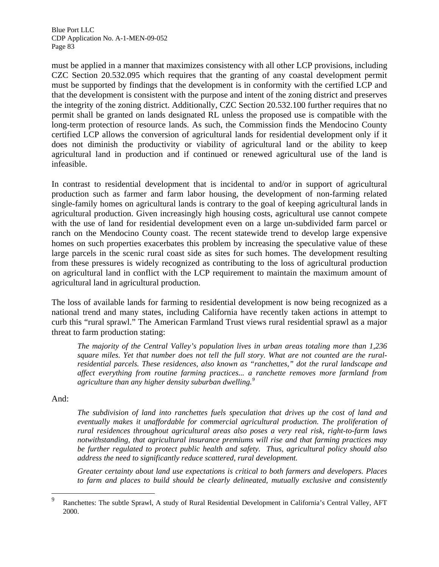must be applied in a manner that maximizes consistency with all other LCP provisions, including CZC Section 20.532.095 which requires that the granting of any coastal development permit must be supported by findings that the development is in conformity with the certified LCP and that the development is consistent with the purpose and intent of the zoning district and preserves the integrity of the zoning district. Additionally, CZC Section 20.532.100 further requires that no permit shall be granted on lands designated RL unless the proposed use is compatible with the long-term protection of resource lands. As such, the Commission finds the Mendocino County certified LCP allows the conversion of agricultural lands for residential development only if it does not diminish the productivity or viability of agricultural land or the ability to keep agricultural land in production and if continued or renewed agricultural use of the land is infeasible.

In contrast to residential development that is incidental to and/or in support of agricultural production such as farmer and farm labor housing, the development of non-farming related single-family homes on agricultural lands is contrary to the goal of keeping agricultural lands in agricultural production. Given increasingly high housing costs, agricultural use cannot compete with the use of land for residential development even on a large un-subdivided farm parcel or ranch on the Mendocino County coast. The recent statewide trend to develop large expensive homes on such properties exacerbates this problem by increasing the speculative value of these large parcels in the scenic rural coast side as sites for such homes. The development resulting from these pressures is widely recognized as contributing to the loss of agricultural production on agricultural land in conflict with the LCP requirement to maintain the maximum amount of agricultural land in agricultural production.

The loss of available lands for farming to residential development is now being recognized as a national trend and many states, including California have recently taken actions in attempt to curb this "rural sprawl." The American Farmland Trust views rural residential sprawl as a major threat to farm production stating:

*The majority of the Central Valley's population lives in urban areas totaling more than 1,236 square miles. Yet that number does not tell the full story. What are not counted are the ruralresidential parcels. These residences, also known as "ranchettes," dot the rural landscape and affect everything from routine farming practices... a ranchette removes more farmland from agriculture than any higher density suburban dwelling.[9](#page-88-0)*

And:

*The subdivision of land into ranchettes fuels speculation that drives up the cost of land and*  eventually makes it unaffordable for commercial agricultural production. The proliferation of *rural residences throughout agricultural areas also poses a very real risk, right-to-farm laws notwithstanding, that agricultural insurance premiums will rise and that farming practices may be further regulated to protect public health and safety. Thus, agricultural policy should also address the need to significantly reduce scattered, rural development.* 

*Greater certainty about land use expectations is critical to both farmers and developers. Places to farm and places to build should be clearly delineated, mutually exclusive and consistently* 

<sup>—&</sup>lt;br>9 Ranchettes: The subtle Sprawl, A study of Rural Residential Development in California's Central Valley, AFT 2000.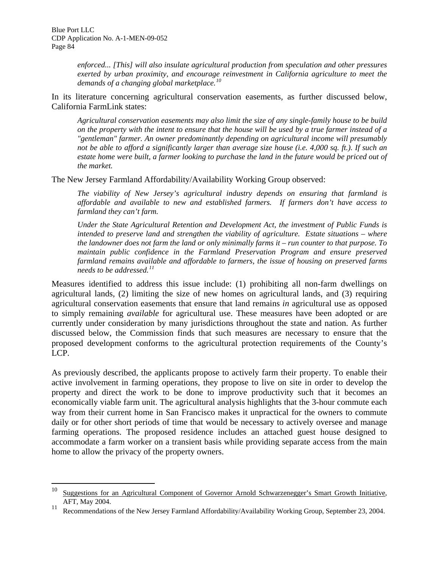*enforced... [This] will also insulate agricultural production from speculation and other pressures exerted by urban proximity, and encourage reinvestment in California agriculture to meet the demands of a changing global marketplace.[10](#page-89-0)*

In its literature concerning agricultural conservation easements, as further discussed below, California FarmLink states:

*Agricultural conservation easements may also limit the size of any single-family house to be build on the property with the intent to ensure that the house will be used by a true farmer instead of a "gentleman" farmer. An owner predominantly depending on agricultural income will presumably not be able to afford a significantly larger than average size house (i.e. 4,000 sq. ft.). If such an*  estate home were built, a farmer looking to purchase the land in the future would be priced out of *the market.* 

The New Jersey Farmland Affordability/Availability Working Group observed:

*The viability of New Jersey's agricultural industry depends on ensuring that farmland is affordable and available to new and established farmers. If farmers don't have access to farmland they can't farm.* 

*Under the State Agricultural Retention and Development Act, the investment of Public Funds is intended to preserve land and strengthen the viability of agriculture. Estate situations – where the landowner does not farm the land or only minimally farms it – run counter to that purpose. To maintain public confidence in the Farmland Preservation Program and ensure preserved farmland remains available and affordable to farmers, the issue of housing on preserved farms needs to be addressed.[11](#page-89-1)*

Measures identified to address this issue include: (1) prohibiting all non-farm dwellings on agricultural lands, (2) limiting the size of new homes on agricultural lands, and (3) requiring agricultural conservation easements that ensure that land remains *in* agricultural use as opposed to simply remaining *available* for agricultural use. These measures have been adopted or are currently under consideration by many jurisdictions throughout the state and nation. As further discussed below, the Commission finds that such measures are necessary to ensure that the proposed development conforms to the agricultural protection requirements of the County's LCP.

As previously described, the applicants propose to actively farm their property. To enable their active involvement in farming operations, they propose to live on site in order to develop the property and direct the work to be done to improve productivity such that it becomes an economically viable farm unit. The agricultural analysis highlights that the 3-hour commute each way from their current home in San Francisco makes it unpractical for the owners to commute daily or for other short periods of time that would be necessary to actively oversee and manage farming operations. The proposed residence includes an attached guest house designed to accommodate a farm worker on a transient basis while providing separate access from the main home to allow the privacy of the property owners.

<sup>10</sup> Suggestions for an Agricultural Component of Governor Arnold Schwarzenegger's Smart Growth Initiative, AFT, May 2004.

<span id="page-88-0"></span><sup>&</sup>lt;sup>11</sup> Recommendations of the New Jersey Farmland Affordability/Availability Working Group, September 23, 2004.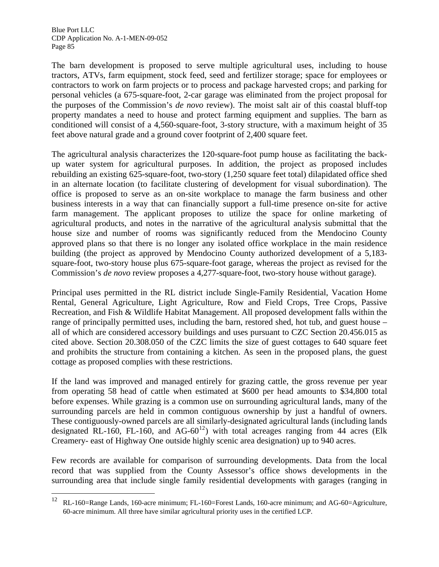<span id="page-89-0"></span> $\overline{a}$ 

The barn development is proposed to serve multiple agricultural uses, including to house tractors, ATVs, farm equipment, stock feed, seed and fertilizer storage; space for employees or contractors to work on farm projects or to process and package harvested crops; and parking for personal vehicles (a 675-square-foot, 2-car garage was eliminated from the project proposal for the purposes of the Commission's *de novo* review). The moist salt air of this coastal bluff-top property mandates a need to house and protect farming equipment and supplies. The barn as conditioned will consist of a 4,560-square-foot, 3-story structure, with a maximum height of 35 feet above natural grade and a ground cover footprint of 2,400 square feet.

The agricultural analysis characterizes the 120-square-foot pump house as facilitating the backup water system for agricultural purposes. In addition, the project as proposed includes rebuilding an existing 625-square-foot, two-story (1,250 square feet total) dilapidated office shed in an alternate location (to facilitate clustering of development for visual subordination). The office is proposed to serve as an on-site workplace to manage the farm business and other business interests in a way that can financially support a full-time presence on-site for active farm management. The applicant proposes to utilize the space for online marketing of agricultural products, and notes in the narrative of the agricultural analysis submittal that the house size and number of rooms was significantly reduced from the Mendocino County approved plans so that there is no longer any isolated office workplace in the main residence building (the project as approved by Mendocino County authorized development of a 5,183 square-foot, two-story house plus 675-square-foot garage, whereas the project as revised for the Commission's *de novo* review proposes a 4,277-square-foot, two-story house without garage).

Principal uses permitted in the RL district include Single-Family Residential, Vacation Home Rental, General Agriculture, Light Agriculture, Row and Field Crops, Tree Crops, Passive Recreation, and Fish & Wildlife Habitat Management. All proposed development falls within the range of principally permitted uses, including the barn, restored shed, hot tub, and guest house – all of which are considered accessory buildings and uses pursuant to CZC Section 20.456.015 as cited above. Section 20.308.050 of the CZC limits the size of guest cottages to 640 square feet and prohibits the structure from containing a kitchen. As seen in the proposed plans, the guest cottage as proposed complies with these restrictions.

If the land was improved and managed entirely for grazing cattle, the gross revenue per year from operating 58 head of cattle when estimated at \$600 per head amounts to \$34,800 total before expenses. While grazing is a common use on surrounding agricultural lands, many of the surrounding parcels are held in common contiguous ownership by just a handful of owners. These contiguously-owned parcels are all similarly-designated agricultural lands (including lands designated RL-160, FL-160, and AG-60<sup>[12](#page-90-0)</sup>) with total acreages ranging from 44 acres (Elk Creamery- east of Highway One outside highly scenic area designation) up to 940 acres.

Few records are available for comparison of surrounding developments. Data from the local record that was supplied from the County Assessor's office shows developments in the surrounding area that include single family residential developments with garages (ranging in

<span id="page-89-1"></span> $12$  RL-160=Range Lands, 160-acre minimum; FL-160=Forest Lands, 160-acre minimum; and AG-60=Agriculture, 60-acre minimum. All three have similar agricultural priority uses in the certified LCP.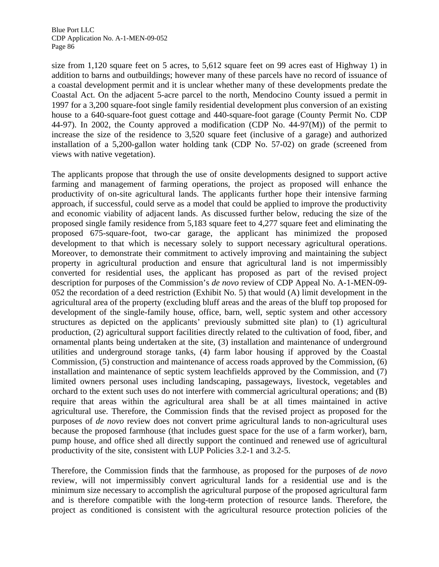size from 1,120 square feet on 5 acres, to 5,612 square feet on 99 acres east of Highway 1) in addition to barns and outbuildings; however many of these parcels have no record of issuance of a coastal development permit and it is unclear whether many of these developments predate the Coastal Act. On the adjacent 5-acre parcel to the north, Mendocino County issued a permit in 1997 for a 3,200 square-foot single family residential development plus conversion of an existing house to a 640-square-foot guest cottage and 440-square-foot garage (County Permit No. CDP 44-97). In 2002, the County approved a modification (CDP No. 44-97(M)) of the permit to increase the size of the residence to 3,520 square feet (inclusive of a garage) and authorized installation of a 5,200-gallon water holding tank (CDP No. 57-02) on grade (screened from views with native vegetation).

The applicants propose that through the use of onsite developments designed to support active farming and management of farming operations, the project as proposed will enhance the productivity of on-site agricultural lands. The applicants further hope their intensive farming approach, if successful, could serve as a model that could be applied to improve the productivity and economic viability of adjacent lands. As discussed further below, reducing the size of the proposed single family residence from 5,183 square feet to 4,277 square feet and eliminating the proposed 675-square-foot, two-car garage, the applicant has minimized the proposed development to that which is necessary solely to support necessary agricultural operations. Moreover, to demonstrate their commitment to actively improving and maintaining the subject property in agricultural production and ensure that agricultural land is not impermissibly converted for residential uses, the applicant has proposed as part of the revised project description for purposes of the Commission's *de novo* review of CDP Appeal No. A-1-MEN-09- 052 the recordation of a deed restriction (Exhibit No. 5) that would (A) limit development in the agricultural area of the property (excluding bluff areas and the areas of the bluff top proposed for development of the single-family house, office, barn, well, septic system and other accessory structures as depicted on the applicants' previously submitted site plan) to (1) agricultural production, (2) agricultural support facilities directly related to the cultivation of food, fiber, and ornamental plants being undertaken at the site, (3) installation and maintenance of underground utilities and underground storage tanks, (4) farm labor housing if approved by the Coastal Commission, (5) construction and maintenance of access roads approved by the Commission, (6) installation and maintenance of septic system leachfields approved by the Commission, and (7) limited owners personal uses including landscaping, passageways, livestock, vegetables and orchard to the extent such uses do not interfere with commercial agricultural operations; and (B) require that areas within the agricultural area shall be at all times maintained in active agricultural use. Therefore, the Commission finds that the revised project as proposed for the purposes of *de novo* review does not convert prime agricultural lands to non-agricultural uses because the proposed farmhouse (that includes guest space for the use of a farm worker), barn, pump house, and office shed all directly support the continued and renewed use of agricultural productivity of the site, consistent with LUP Policies 3.2-1 and 3.2-5.

<span id="page-90-0"></span>Therefore, the Commission finds that the farmhouse, as proposed for the purposes of *de novo* review, will not impermissibly convert agricultural lands for a residential use and is the minimum size necessary to accomplish the agricultural purpose of the proposed agricultural farm and is therefore compatible with the long-term protection of resource lands. Therefore, the project as conditioned is consistent with the agricultural resource protection policies of the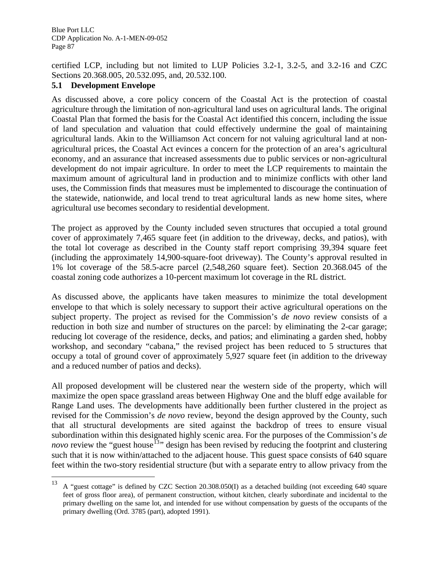certified LCP, including but not limited to LUP Policies 3.2-1, 3.2-5, and 3.2-16 and CZC Sections 20.368.005, 20.532.095, and, 20.532.100.

## **5.1 Development Envelope**

As discussed above, a core policy concern of the Coastal Act is the protection of coastal agriculture through the limitation of non-agricultural land uses on agricultural lands. The original Coastal Plan that formed the basis for the Coastal Act identified this concern, including the issue of land speculation and valuation that could effectively undermine the goal of maintaining agricultural lands. Akin to the Williamson Act concern for not valuing agricultural land at nonagricultural prices, the Coastal Act evinces a concern for the protection of an area's agricultural economy, and an assurance that increased assessments due to public services or non-agricultural development do not impair agriculture. In order to meet the LCP requirements to maintain the maximum amount of agricultural land in production and to minimize conflicts with other land uses, the Commission finds that measures must be implemented to discourage the continuation of the statewide, nationwide, and local trend to treat agricultural lands as new home sites, where agricultural use becomes secondary to residential development.

The project as approved by the County included seven structures that occupied a total ground cover of approximately 7,465 square feet (in addition to the driveway, decks, and patios), with the total lot coverage as described in the County staff report comprising 39,394 square feet (including the approximately 14,900-square-foot driveway). The County's approval resulted in 1% lot coverage of the 58.5-acre parcel (2,548,260 square feet). Section 20.368.045 of the coastal zoning code authorizes a 10-percent maximum lot coverage in the RL district.

As discussed above, the applicants have taken measures to minimize the total development envelope to that which is solely necessary to support their active agricultural operations on the subject property. The project as revised for the Commission's *de novo* review consists of a reduction in both size and number of structures on the parcel: by eliminating the 2-car garage; reducing lot coverage of the residence, decks, and patios; and eliminating a garden shed, hobby workshop, and secondary "cabana," the revised project has been reduced to 5 structures that occupy a total of ground cover of approximately 5,927 square feet (in addition to the driveway and a reduced number of patios and decks).

All proposed development will be clustered near the western side of the property, which will maximize the open space grassland areas between Highway One and the bluff edge available for Range Land uses. The developments have additionally been further clustered in the project as revised for the Commission's *de novo* review, beyond the design approved by the County, such that all structural developments are sited against the backdrop of trees to ensure visual subordination within this designated highly scenic area. For the purposes of the Commission's *de novo* review the "guest house<sup>[13](#page-92-0)</sup>" design has been revised by reducing the footprint and clustering such that it is now within/attached to the adjacent house. This guest space consists of 640 square feet within the two-story residential structure (but with a separate entry to allow privacy from the

<sup>13</sup> 13 A "guest cottage" is defined by CZC Section 20.308.050(I) as a detached building (not exceeding 640 square feet of gross floor area), of permanent construction, without kitchen, clearly subordinate and incidental to the primary dwelling on the same lot, and intended for use without compensation by guests of the occupants of the primary dwelling (Ord. 3785 (part), adopted 1991).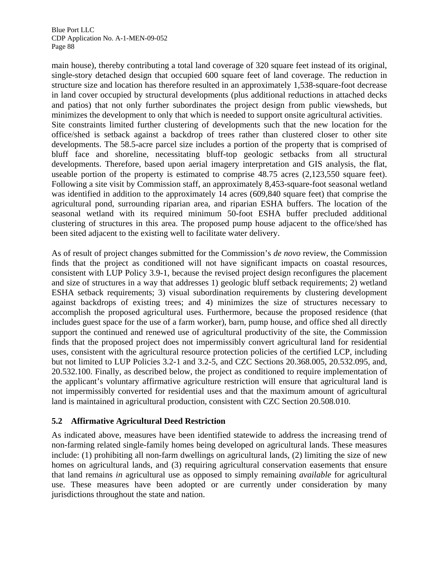main house), thereby contributing a total land coverage of 320 square feet instead of its original, single-story detached design that occupied 600 square feet of land coverage. The reduction in structure size and location has therefore resulted in an approximately 1,538-square-foot decrease in land cover occupied by structural developments (plus additional reductions in attached decks and patios) that not only further subordinates the project design from public viewsheds, but minimizes the development to only that which is needed to support onsite agricultural activities. Site constraints limited further clustering of developments such that the new location for the office/shed is setback against a backdrop of trees rather than clustered closer to other site developments. The 58.5-acre parcel size includes a portion of the property that is comprised of bluff face and shoreline, necessitating bluff-top geologic setbacks from all structural developments. Therefore, based upon aerial imagery interpretation and GIS analysis, the flat, useable portion of the property is estimated to comprise 48.75 acres (2,123,550 square feet). Following a site visit by Commission staff, an approximately 8,453-square-foot seasonal wetland was identified in addition to the approximately 14 acres (609,840 square feet) that comprise the agricultural pond, surrounding riparian area, and riparian ESHA buffers. The location of the seasonal wetland with its required minimum 50-foot ESHA buffer precluded additional clustering of structures in this area. The proposed pump house adjacent to the office/shed has been sited adjacent to the existing well to facilitate water delivery.

As of result of project changes submitted for the Commission's *de novo* review, the Commission finds that the project as conditioned will not have significant impacts on coastal resources, consistent with LUP Policy 3.9-1, because the revised project design reconfigures the placement and size of structures in a way that addresses 1) geologic bluff setback requirements; 2) wetland ESHA setback requirements; 3) visual subordination requirements by clustering development against backdrops of existing trees; and 4) minimizes the size of structures necessary to accomplish the proposed agricultural uses. Furthermore, because the proposed residence (that includes guest space for the use of a farm worker), barn, pump house, and office shed all directly support the continued and renewed use of agricultural productivity of the site, the Commission finds that the proposed project does not impermissibly convert agricultural land for residential uses, consistent with the agricultural resource protection policies of the certified LCP, including but not limited to LUP Policies 3.2-1 and 3.2-5, and CZC Sections 20.368.005, 20.532.095, and, 20.532.100. Finally, as described below, the project as conditioned to require implementation of the applicant's voluntary affirmative agriculture restriction will ensure that agricultural land is not impermissibly converted for residential uses and that the maximum amount of agricultural land is maintained in agricultural production, consistent with CZC Section 20.508.010.

## **5.2 Affirmative Agricultural Deed Restriction**

<span id="page-92-0"></span>As indicated above, measures have been identified statewide to address the increasing trend of non-farming related single-family homes being developed on agricultural lands. These measures include: (1) prohibiting all non-farm dwellings on agricultural lands, (2) limiting the size of new homes on agricultural lands, and (3) requiring agricultural conservation easements that ensure that land remains *in* agricultural use as opposed to simply remaining *available* for agricultural use. These measures have been adopted or are currently under consideration by many jurisdictions throughout the state and nation.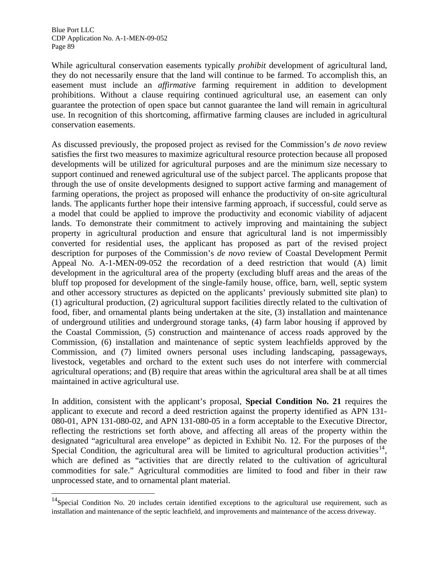$\overline{a}$ 

While agricultural conservation easements typically *prohibit* development of agricultural land, they do not necessarily ensure that the land will continue to be farmed. To accomplish this, an easement must include an *affirmative* farming requirement in addition to development prohibitions. Without a clause requiring continued agricultural use, an easement can only guarantee the protection of open space but cannot guarantee the land will remain in agricultural use. In recognition of this shortcoming, affirmative farming clauses are included in agricultural conservation easements.

As discussed previously, the proposed project as revised for the Commission's *de novo* review satisfies the first two measures to maximize agricultural resource protection because all proposed developments will be utilized for agricultural purposes and are the minimum size necessary to support continued and renewed agricultural use of the subject parcel. The applicants propose that through the use of onsite developments designed to support active farming and management of farming operations, the project as proposed will enhance the productivity of on-site agricultural lands. The applicants further hope their intensive farming approach, if successful, could serve as a model that could be applied to improve the productivity and economic viability of adjacent lands. To demonstrate their commitment to actively improving and maintaining the subject property in agricultural production and ensure that agricultural land is not impermissibly converted for residential uses, the applicant has proposed as part of the revised project description for purposes of the Commission's *de novo* review of Coastal Development Permit Appeal No. A-1-MEN-09-052 the recordation of a deed restriction that would (A) limit development in the agricultural area of the property (excluding bluff areas and the areas of the bluff top proposed for development of the single-family house, office, barn, well, septic system and other accessory structures as depicted on the applicants' previously submitted site plan) to (1) agricultural production, (2) agricultural support facilities directly related to the cultivation of food, fiber, and ornamental plants being undertaken at the site, (3) installation and maintenance of underground utilities and underground storage tanks, (4) farm labor housing if approved by the Coastal Commission, (5) construction and maintenance of access roads approved by the Commission, (6) installation and maintenance of septic system leachfields approved by the Commission, and (7) limited owners personal uses including landscaping, passageways, livestock, vegetables and orchard to the extent such uses do not interfere with commercial agricultural operations; and (B) require that areas within the agricultural area shall be at all times maintained in active agricultural use.

In addition, consistent with the applicant's proposal, **Special Condition No. 21** requires the applicant to execute and record a deed restriction against the property identified as APN 131- 080-01, APN 131-080-02, and APN 131-080-05 in a form acceptable to the Executive Director, reflecting the restrictions set forth above, and affecting all areas of the property within the designated "agricultural area envelope" as depicted in Exhibit No. 12. For the purposes of the Special Condition, the agricultural area will be limited to agricultural production activities<sup>[14](#page-94-0)</sup>, which are defined as "activities that are directly related to the cultivation of agricultural commodities for sale." Agricultural commodities are limited to food and fiber in their raw unprocessed state, and to ornamental plant material.

 $14$ Special Condition No. 20 includes certain identified exceptions to the agricultural use requirement, such as installation and maintenance of the septic leachfield, and improvements and maintenance of the access driveway.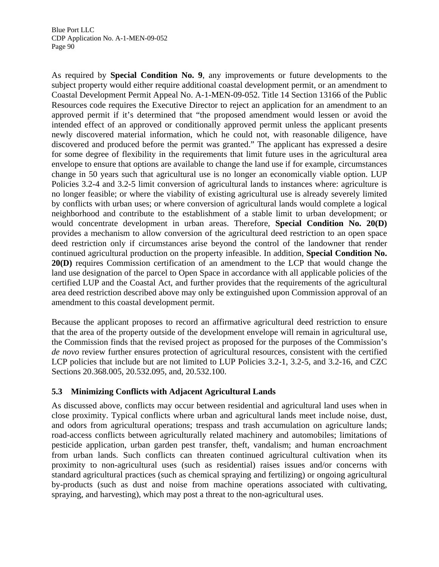As required by **Special Condition No. 9**, any improvements or future developments to the subject property would either require additional coastal development permit, or an amendment to Coastal Development Permit Appeal No. A-1-MEN-09-052. Title 14 Section 13166 of the Public Resources code requires the Executive Director to reject an application for an amendment to an approved permit if it's determined that "the proposed amendment would lessen or avoid the intended effect of an approved or conditionally approved permit unless the applicant presents newly discovered material information, which he could not, with reasonable diligence, have discovered and produced before the permit was granted." The applicant has expressed a desire for some degree of flexibility in the requirements that limit future uses in the agricultural area envelope to ensure that options are available to change the land use if for example, circumstances change in 50 years such that agricultural use is no longer an economically viable option. LUP Policies 3.2-4 and 3.2-5 limit conversion of agricultural lands to instances where: agriculture is no longer feasible; or where the viability of existing agricultural use is already severely limited by conflicts with urban uses; or where conversion of agricultural lands would complete a logical neighborhood and contribute to the establishment of a stable limit to urban development; or would concentrate development in urban areas. Therefore, **Special Condition No. 20(D)** provides a mechanism to allow conversion of the agricultural deed restriction to an open space deed restriction only if circumstances arise beyond the control of the landowner that render continued agricultural production on the property infeasible. In addition, **Special Condition No. 20(D)** requires Commission certification of an amendment to the LCP that would change the land use designation of the parcel to Open Space in accordance with all applicable policies of the certified LUP and the Coastal Act, and further provides that the requirements of the agricultural area deed restriction described above may only be extinguished upon Commission approval of an amendment to this coastal development permit.

Because the applicant proposes to record an affirmative agricultural deed restriction to ensure that the area of the property outside of the development envelope will remain in agricultural use, the Commission finds that the revised project as proposed for the purposes of the Commission's *de novo* review further ensures protection of agricultural resources, consistent with the certified LCP policies that include but are not limited to LUP Policies 3.2-1, 3.2-5, and 3.2-16, and CZC Sections 20.368.005, 20.532.095, and, 20.532.100.

## **5.3 Minimizing Conflicts with Adjacent Agricultural Lands**

<span id="page-94-0"></span>As discussed above, conflicts may occur between residential and agricultural land uses when in close proximity. Typical conflicts where urban and agricultural lands meet include noise, dust, and odors from agricultural operations; trespass and trash accumulation on agriculture lands; road-access conflicts between agriculturally related machinery and automobiles; limitations of pesticide application, urban garden pest transfer, theft, vandalism; and human encroachment from urban lands. Such conflicts can threaten continued agricultural cultivation when its proximity to non-agricultural uses (such as residential) raises issues and/or concerns with standard agricultural practices (such as chemical spraying and fertilizing) or ongoing agricultural by-products (such as dust and noise from machine operations associated with cultivating, spraying, and harvesting), which may post a threat to the non-agricultural uses.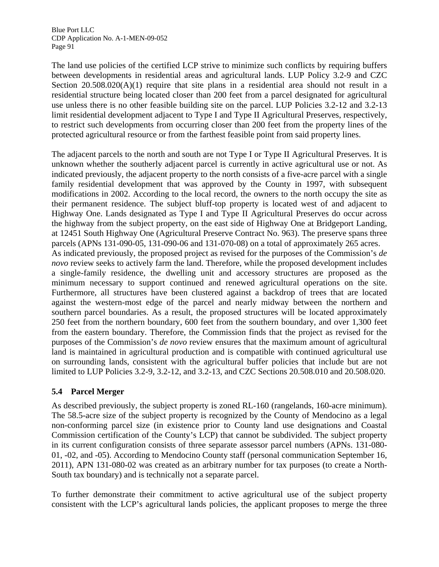The land use policies of the certified LCP strive to minimize such conflicts by requiring buffers between developments in residential areas and agricultural lands. LUP Policy 3.2-9 and CZC Section  $20.508.020(A)(1)$  require that site plans in a residential area should not result in a residential structure being located closer than 200 feet from a parcel designated for agricultural use unless there is no other feasible building site on the parcel. LUP Policies 3.2-12 and 3.2-13 limit residential development adjacent to Type I and Type II Agricultural Preserves, respectively, to restrict such developments from occurring closer than 200 feet from the property lines of the protected agricultural resource or from the farthest feasible point from said property lines.

The adjacent parcels to the north and south are not Type I or Type II Agricultural Preserves. It is unknown whether the southerly adjacent parcel is currently in active agricultural use or not. As indicated previously, the adjacent property to the north consists of a five-acre parcel with a single family residential development that was approved by the County in 1997, with subsequent modifications in 2002. According to the local record, the owners to the north occupy the site as their permanent residence. The subject bluff-top property is located west of and adjacent to Highway One. Lands designated as Type I and Type II Agricultural Preserves do occur across the highway from the subject property, on the east side of Highway One at Bridgeport Landing, at 12451 South Highway One (Agricultural Preserve Contract No. 963). The preserve spans three parcels (APNs 131-090-05, 131-090-06 and 131-070-08) on a total of approximately 265 acres. As indicated previously, the proposed project as revised for the purposes of the Commission's *de novo* review seeks to actively farm the land. Therefore, while the proposed development includes a single-family residence, the dwelling unit and accessory structures are proposed as the minimum necessary to support continued and renewed agricultural operations on the site. Furthermore, all structures have been clustered against a backdrop of trees that are located against the western-most edge of the parcel and nearly midway between the northern and southern parcel boundaries. As a result, the proposed structures will be located approximately 250 feet from the northern boundary, 600 feet from the southern boundary, and over 1,300 feet from the eastern boundary. Therefore, the Commission finds that the project as revised for the purposes of the Commission's *de novo* review ensures that the maximum amount of agricultural land is maintained in agricultural production and is compatible with continued agricultural use on surrounding lands, consistent with the agricultural buffer policies that include but are not limited to LUP Policies 3.2-9, 3.2-12, and 3.2-13, and CZC Sections 20.508.010 and 20.508.020.

## **5.4 Parcel Merger**

As described previously, the subject property is zoned RL-160 (rangelands, 160-acre minimum). The 58.5-acre size of the subject property is recognized by the County of Mendocino as a legal non-conforming parcel size (in existence prior to County land use designations and Coastal Commission certification of the County's LCP) that cannot be subdivided. The subject property in its current configuration consists of three separate assessor parcel numbers (APNs. 131-080- 01, -02, and -05). According to Mendocino County staff (personal communication September 16, 2011), APN 131-080-02 was created as an arbitrary number for tax purposes (to create a North-South tax boundary) and is technically not a separate parcel.

To further demonstrate their commitment to active agricultural use of the subject property consistent with the LCP's agricultural lands policies, the applicant proposes to merge the three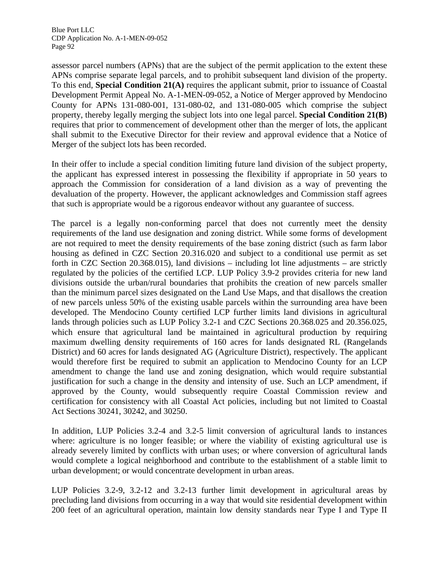assessor parcel numbers (APNs) that are the subject of the permit application to the extent these APNs comprise separate legal parcels, and to prohibit subsequent land division of the property. To this end, **Special Condition 21(A)** requires the applicant submit, prior to issuance of Coastal Development Permit Appeal No. A-1-MEN-09-052, a Notice of Merger approved by Mendocino County for APNs 131-080-001, 131-080-02, and 131-080-005 which comprise the subject property, thereby legally merging the subject lots into one legal parcel. **Special Condition 21(B)**  requires that prior to commencement of development other than the merger of lots, the applicant shall submit to the Executive Director for their review and approval evidence that a Notice of Merger of the subject lots has been recorded.

In their offer to include a special condition limiting future land division of the subject property, the applicant has expressed interest in possessing the flexibility if appropriate in 50 years to approach the Commission for consideration of a land division as a way of preventing the devaluation of the property. However, the applicant acknowledges and Commission staff agrees that such is appropriate would be a rigorous endeavor without any guarantee of success.

The parcel is a legally non-conforming parcel that does not currently meet the density requirements of the land use designation and zoning district. While some forms of development are not required to meet the density requirements of the base zoning district (such as farm labor housing as defined in CZC Section 20.316.020 and subject to a conditional use permit as set forth in CZC Section 20.368.015), land divisions – including lot line adjustments – are strictly regulated by the policies of the certified LCP. LUP Policy 3.9-2 provides criteria for new land divisions outside the urban/rural boundaries that prohibits the creation of new parcels smaller than the minimum parcel sizes designated on the Land Use Maps, and that disallows the creation of new parcels unless 50% of the existing usable parcels within the surrounding area have been developed. The Mendocino County certified LCP further limits land divisions in agricultural lands through policies such as LUP Policy 3.2-1 and CZC Sections 20.368.025 and 20.356.025, which ensure that agricultural land be maintained in agricultural production by requiring maximum dwelling density requirements of 160 acres for lands designated RL (Rangelands District) and 60 acres for lands designated AG (Agriculture District), respectively. The applicant would therefore first be required to submit an application to Mendocino County for an LCP amendment to change the land use and zoning designation, which would require substantial justification for such a change in the density and intensity of use. Such an LCP amendment, if approved by the County, would subsequently require Coastal Commission review and certification for consistency with all Coastal Act policies, including but not limited to Coastal Act Sections 30241, 30242, and 30250.

In addition, LUP Policies 3.2-4 and 3.2-5 limit conversion of agricultural lands to instances where: agriculture is no longer feasible; or where the viability of existing agricultural use is already severely limited by conflicts with urban uses; or where conversion of agricultural lands would complete a logical neighborhood and contribute to the establishment of a stable limit to urban development; or would concentrate development in urban areas.

LUP Policies 3.2-9, 3.2-12 and 3.2-13 further limit development in agricultural areas by precluding land divisions from occurring in a way that would site residential development within 200 feet of an agricultural operation, maintain low density standards near Type I and Type II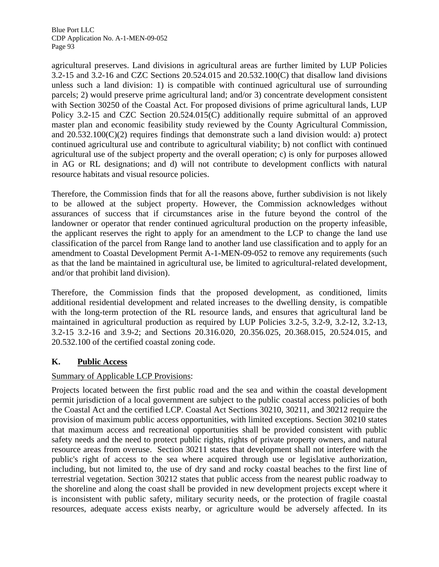agricultural preserves. Land divisions in agricultural areas are further limited by LUP Policies 3.2-15 and 3.2-16 and CZC Sections 20.524.015 and 20.532.100(C) that disallow land divisions unless such a land division: 1) is compatible with continued agricultural use of surrounding parcels; 2) would preserve prime agricultural land; and/or 3) concentrate development consistent with Section 30250 of the Coastal Act. For proposed divisions of prime agricultural lands, LUP Policy 3.2-15 and CZC Section 20.524.015(C) additionally require submittal of an approved master plan and economic feasibility study reviewed by the County Agricultural Commission, and  $20.532.100(C)(2)$  requires findings that demonstrate such a land division would: a) protect continued agricultural use and contribute to agricultural viability; b) not conflict with continued agricultural use of the subject property and the overall operation; c) is only for purposes allowed in AG or RL designations; and d) will not contribute to development conflicts with natural resource habitats and visual resource policies.

Therefore, the Commission finds that for all the reasons above, further subdivision is not likely to be allowed at the subject property. However, the Commission acknowledges without assurances of success that if circumstances arise in the future beyond the control of the landowner or operator that render continued agricultural production on the property infeasible, the applicant reserves the right to apply for an amendment to the LCP to change the land use classification of the parcel from Range land to another land use classification and to apply for an amendment to Coastal Development Permit A-1-MEN-09-052 to remove any requirements (such as that the land be maintained in agricultural use, be limited to agricultural-related development, and/or that prohibit land division).

Therefore, the Commission finds that the proposed development, as conditioned, limits additional residential development and related increases to the dwelling density, is compatible with the long-term protection of the RL resource lands, and ensures that agricultural land be maintained in agricultural production as required by LUP Policies 3.2-5, 3.2-9, 3.2-12, 3.2-13, 3.2-15 3.2-16 and 3.9-2; and Sections 20.316.020, 20.356.025, 20.368.015, 20.524.015, and 20.532.100 of the certified coastal zoning code.

# **K. Public Access**

## Summary of Applicable LCP Provisions:

Projects located between the first public road and the sea and within the coastal development permit jurisdiction of a local government are subject to the public coastal access policies of both the Coastal Act and the certified LCP. Coastal Act Sections 30210, 30211, and 30212 require the provision of maximum public access opportunities, with limited exceptions. Section 30210 states that maximum access and recreational opportunities shall be provided consistent with public safety needs and the need to protect public rights, rights of private property owners, and natural resource areas from overuse. Section 30211 states that development shall not interfere with the public's right of access to the sea where acquired through use or legislative authorization, including, but not limited to, the use of dry sand and rocky coastal beaches to the first line of terrestrial vegetation. Section 30212 states that public access from the nearest public roadway to the shoreline and along the coast shall be provided in new development projects except where it is inconsistent with public safety, military security needs, or the protection of fragile coastal resources, adequate access exists nearby, or agriculture would be adversely affected. In its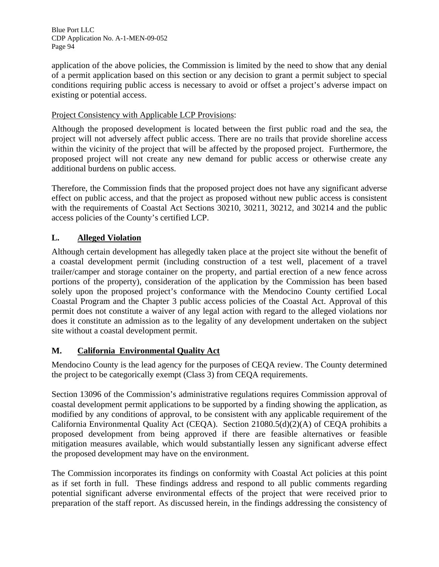application of the above policies, the Commission is limited by the need to show that any denial of a permit application based on this section or any decision to grant a permit subject to special conditions requiring public access is necessary to avoid or offset a project's adverse impact on existing or potential access.

## Project Consistency with Applicable LCP Provisions:

Although the proposed development is located between the first public road and the sea, the project will not adversely affect public access. There are no trails that provide shoreline access within the vicinity of the project that will be affected by the proposed project. Furthermore, the proposed project will not create any new demand for public access or otherwise create any additional burdens on public access.

Therefore, the Commission finds that the proposed project does not have any significant adverse effect on public access, and that the project as proposed without new public access is consistent with the requirements of Coastal Act Sections 30210, 30211, 30212, and 30214 and the public access policies of the County's certified LCP.

# **L. Alleged Violation**

Although certain development has allegedly taken place at the project site without the benefit of a coastal development permit (including construction of a test well, placement of a travel trailer/camper and storage container on the property, and partial erection of a new fence across portions of the property), consideration of the application by the Commission has been based solely upon the proposed project's conformance with the Mendocino County certified Local Coastal Program and the Chapter 3 public access policies of the Coastal Act. Approval of this permit does not constitute a waiver of any legal action with regard to the alleged violations nor does it constitute an admission as to the legality of any development undertaken on the subject site without a coastal development permit.

# **M. California Environmental Quality Act**

Mendocino County is the lead agency for the purposes of CEQA review. The County determined the project to be categorically exempt (Class 3) from CEQA requirements.

Section 13096 of the Commission's administrative regulations requires Commission approval of coastal development permit applications to be supported by a finding showing the application, as modified by any conditions of approval, to be consistent with any applicable requirement of the California Environmental Quality Act (CEQA). Section 21080.5(d)(2)(A) of CEQA prohibits a proposed development from being approved if there are feasible alternatives or feasible mitigation measures available, which would substantially lessen any significant adverse effect the proposed development may have on the environment.

The Commission incorporates its findings on conformity with Coastal Act policies at this point as if set forth in full. These findings address and respond to all public comments regarding potential significant adverse environmental effects of the project that were received prior to preparation of the staff report. As discussed herein, in the findings addressing the consistency of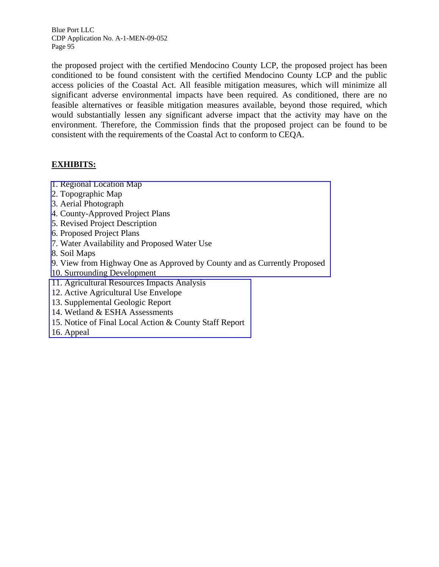the proposed project with the certified Mendocino County LCP, the proposed project has been conditioned to be found consistent with the certified Mendocino County LCP and the public access policies of the Coastal Act. All feasible mitigation measures, which will minimize all significant adverse environmental impacts have been required. As conditioned, there are no feasible alternatives or feasible mitigation measures available, beyond those required, which would substantially lessen any significant adverse impact that the activity may have on the environment. Therefore, the Commission finds that the proposed project can be found to be consistent with the requirements of the Coastal Act to conform to CEQA.

## **EXHIBITS:**

- 1. Regional Location Map
- 2. Topographic Map
- 3. Aerial Photograph
- 4. County-Approved Project Plans
- 5. Revised Project Description
- 6. Proposed Project Plans
- 7. Water Availability and Proposed Water Use
- 8. Soil Maps
- [9. View from Highway One as Approved by County and as Currently Proposed](http://documents.coastal.ca.gov/reports/2011/10/W10a-10-2011-a1.pdf)
- 10. Surrounding Development
- 11. Agricultural Resources Impacts Analysis
- 12. Active Agricultural Use Envelope
- 13. Supplemental Geologic Report
- 14. Wetland & ESHA Assessments
- [15. Notice of Final Local Action & County Staff Report](http://documents.coastal.ca.gov/reports/2011/10/W10a-10-2011-a2.pdf)
- 16. Appeal